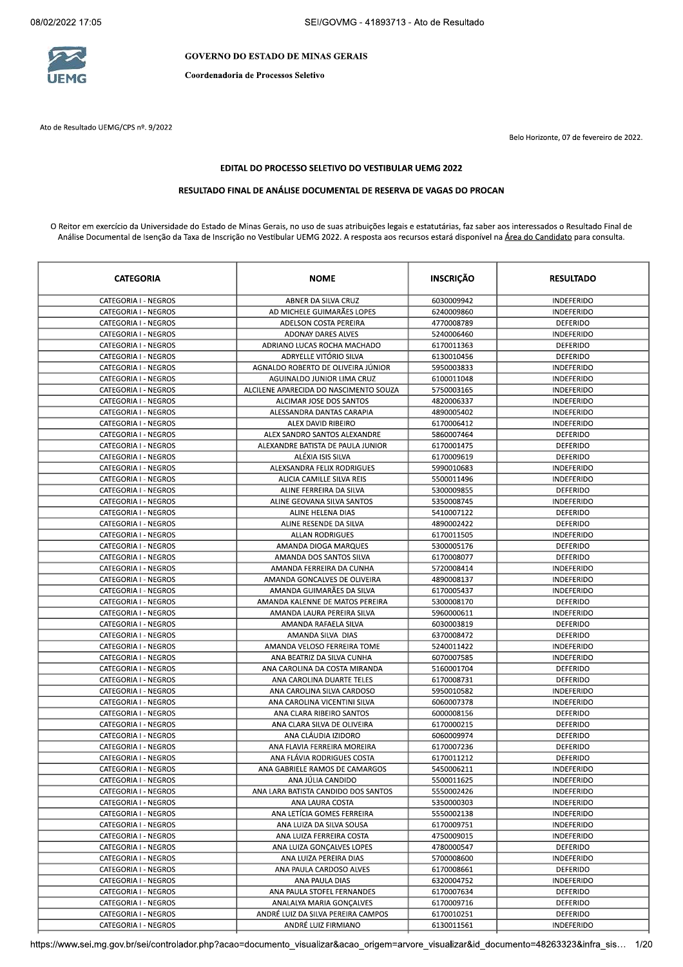

22 GOVERNO DO ESTADO DE MINAS GERAIS<br>Coordenadoria de Processos Seletivo

Ato de Resultado UEMG/CPS nº. 9/2022

Belo Horizonte, 07 de fevereiro de 2022.

# EDITAL DO PROCESSO SELETIVO DO VESTIBULAR UEMG 2022

# RESULTADO FINAL DE ANÁLISE DOCUMENTAL DE RESERVA DE VAGAS DO PROCAN

O Reitor em exercício da Universidade do Estado de Minas Gerais, no uso de suas atribuições legais e estatutárias, faz saber aos interessados o Resultado Final de Análise Documental de Isenção da Taxa de Inscrição no Vestibular UEMG 2022. A resposta aos recursos estará disponível na Área do Candidato para consulta.

| <b>CATEGORIA</b>                             | <b>NOME</b>                                              | <b>INSCRIÇÃO</b>         | <b>RESULTADO</b>              |
|----------------------------------------------|----------------------------------------------------------|--------------------------|-------------------------------|
| CATEGORIA I - NEGROS                         | ABNER DA SILVA CRUZ                                      | 6030009942               | <b>INDEFERIDO</b>             |
| CATEGORIA I - NEGROS                         | AD MICHELE GUIMARÃES LOPES                               | 6240009860               | <b>INDEFERIDO</b>             |
| CATEGORIA I - NEGROS                         | <b>ADELSON COSTA PEREIRA</b>                             | 4770008789               | <b>DEFERIDO</b>               |
| CATEGORIA I - NEGROS                         | <b>ADONAY DARES ALVES</b>                                | 5240006460               | <b>INDEFERIDO</b>             |
| CATEGORIA I - NEGROS                         | ADRIANO LUCAS ROCHA MACHADO                              | 6170011363               | <b>DEFERIDO</b>               |
| CATEGORIA I - NEGROS                         | ADRYELLE VITÓRIO SILVA                                   | 6130010456               | <b>DEFERIDO</b>               |
| CATEGORIA I - NEGROS                         | AGNALDO ROBERTO DE OLIVEIRA JÚNIOR                       | 5950003833               | <b>INDEFERIDO</b>             |
| CATEGORIA I - NEGROS                         | AGUINALDO JUNIOR LIMA CRUZ                               | 6100011048               | INDEFERIDO                    |
| CATEGORIA I - NEGROS                         | ALCILENE APARECIDA DO NASCIMENTO SOUZA                   | 5750003165               | <b>INDEFERIDO</b>             |
| CATEGORIA I - NEGROS                         | ALCIMAR JOSE DOS SANTOS                                  | 4820006337               | <b>INDEFERIDO</b>             |
| CATEGORIA I - NEGROS                         | ALESSANDRA DANTAS CARAPIA                                | 4890005402               | <b>INDEFERIDO</b>             |
| <b>CATEGORIA I - NEGROS</b>                  | ALEX DAVID RIBEIRO                                       | 6170006412               | <b>INDEFERIDO</b>             |
| CATEGORIA I - NEGROS                         | ALEX SANDRO SANTOS ALEXANDRE                             | 5860007464               | DEFERIDO                      |
| CATEGORIA I - NEGROS                         | ALEXANDRE BATISTA DE PAULA JUNIOR                        | 6170001475               | <b>DEFERIDO</b>               |
| CATEGORIA I - NEGROS                         | ALÉXIA ISIS SILVA                                        | 6170009619               | <b>DEFERIDO</b>               |
| CATEGORIA I - NEGROS                         | ALEXSANDRA FELIX RODRIGUES                               | 5990010683               | <b>INDEFERIDO</b>             |
| CATEGORIA I - NEGROS                         | ALICIA CAMILLE SILVA REIS                                | 5500011496               | <b>INDEFERIDO</b>             |
| CATEGORIA I - NEGROS                         | ALINE FERREIRA DA SILVA                                  | 5300009855               | <b>DEFERIDO</b>               |
| CATEGORIA I - NEGROS                         | ALINE GEOVANA SILVA SANTOS                               | 5350008745               | <b>INDEFERIDO</b>             |
| CATEGORIA I - NEGROS                         | ALINE HELENA DIAS                                        | 5410007122               | <b>DEFERIDO</b>               |
| CATEGORIA I - NEGROS                         | ALINE RESENDE DA SILVA                                   | 4890002422               | DEFERIDO                      |
| CATEGORIA I - NEGROS                         | <b>ALLAN RODRIGUES</b>                                   | 6170011505               | <b>INDEFERIDO</b>             |
| CATEGORIA I - NEGROS                         | AMANDA DIOGA MARQUES                                     | 5300005176               | DEFERIDO                      |
| CATEGORIA I - NEGROS                         | AMANDA DOS SANTOS SILVA                                  | 6170008077               | DEFERIDO                      |
| CATEGORIA I - NEGROS                         | AMANDA FERREIRA DA CUNHA                                 | 5720008414               | INDEFERIDO                    |
| CATEGORIA I - NEGROS                         | AMANDA GONCALVES DE OLIVEIRA                             | 4890008137               | <b>INDEFERIDO</b>             |
| CATEGORIA I - NEGROS                         | AMANDA GUIMARÃES DA SILVA                                | 6170005437               | <b>INDEFERIDO</b>             |
| CATEGORIA I - NEGROS                         | AMANDA KALENNE DE MATOS PEREIRA                          | 5300008170               | DEFERIDO                      |
| CATEGORIA I - NEGROS                         | AMANDA LAURA PEREIRA SILVA                               | 5960000611               | <b>INDEFERIDO</b>             |
| CATEGORIA I - NEGROS                         | AMANDA RAFAELA SILVA                                     | 6030003819               | <b>DEFERIDO</b>               |
| CATEGORIA I - NEGROS                         | AMANDA SILVA DIAS                                        | 6370008472               | <b>DEFERIDO</b>               |
| CATEGORIA I - NEGROS                         | AMANDA VELOSO FERREIRA TOME                              | 5240011422               | <b>INDEFERIDO</b>             |
| CATEGORIA I - NEGROS                         | ANA BEATRIZ DA SILVA CUNHA                               | 6070007585               | <b>INDEFERIDO</b>             |
| CATEGORIA I - NEGROS                         | ANA CAROLINA DA COSTA MIRANDA                            | 5160001704               | DEFERIDO                      |
| CATEGORIA I - NEGROS                         | ANA CAROLINA DUARTE TELES                                | 6170008731               | <b>DEFERIDO</b>               |
| CATEGORIA I - NEGROS                         | ANA CAROLINA SILVA CARDOSO                               | 5950010582               | <b>INDEFERIDO</b>             |
| CATEGORIA I - NEGROS<br>CATEGORIA I - NEGROS | ANA CAROLINA VICENTINI SILVA<br>ANA CLARA RIBEIRO SANTOS | 6060007378<br>6000008156 | <b>INDEFERIDO</b><br>DEFERIDO |
| CATEGORIA I - NEGROS                         | ANA CLARA SILVA DE OLIVEIRA                              | 6170000215               | <b>DEFERIDO</b>               |
| CATEGORIA I - NEGROS                         | ANA CLÁUDIA IZIDORO                                      | 6060009974               | <b>DEFERIDO</b>               |
| CATEGORIA I - NEGROS                         | ANA FLAVIA FERREIRA MOREIRA                              | 6170007236               | <b>DEFERIDO</b>               |
| CATEGORIA I - NEGROS                         | ANA FLÁVIA RODRIGUES COSTA                               | 6170011212               | DEFERIDO                      |
| CATEGORIA I - NEGROS                         | ANA GABRIELE RAMOS DE CAMARGOS                           | 5450006211               | <b>INDEFERIDO</b>             |
| CATEGORIA I - NEGROS                         | ANA JULIA CANDIDO                                        | 5500011625               | <b>INDEFERIDO</b>             |
| CATEGORIA I - NEGROS                         | ANA LARA BATISTA CANDIDO DOS SANTOS                      | 5550002426               | <b>INDEFERIDO</b>             |
| CATEGORIA I - NEGROS                         | ANA LAURA COSTA                                          | 5350000303               | <b>INDEFERIDO</b>             |
| CATEGORIA I - NEGROS                         | ANA LETÍCIA GOMES FERREIRA                               | 5550002138               | <b>INDEFERIDO</b>             |
| CATEGORIA I - NEGROS                         | ANA LUIZA DA SILVA SOUSA                                 | 6170009751               | <b>INDEFERIDO</b>             |
| CATEGORIA I - NEGROS                         | ANA LUIZA FERREIRA COSTA                                 | 4750009015               | <b>INDEFERIDO</b>             |
| CATEGORIA I - NEGROS                         | ANA LUIZA GONÇALVES LOPES                                | 4780000547               | DEFERIDO                      |
| CATEGORIA I - NEGROS                         | ANA LUIZA PEREIRA DIAS                                   | 5700008600               | INDEFERIDO                    |
| CATEGORIA I - NEGROS                         | ANA PAULA CARDOSO ALVES                                  | 6170008661               | DEFERIDO                      |
| CATEGORIA I - NEGROS                         | ANA PAULA DIAS                                           | 6320004752               | INDEFERIDO                    |
| CATEGORIA I - NEGROS                         | ANA PAULA STOFEL FERNANDES                               | 6170007634               | DEFERIDO                      |
| CATEGORIA I - NEGROS                         | ANALALYA MARIA GONÇALVES                                 | 6170009716               | DEFERIDO                      |
| CATEGORIA I - NEGROS                         | ANDRÉ LUIZ DA SILVA PEREIRA CAMPOS                       | 6170010251               | DEFERIDO                      |
| CATEGORIA I - NEGROS                         | ANDRÉ LUIZ FIRMIANO                                      | 6130011561               | <b>INDEFERIDO</b>             |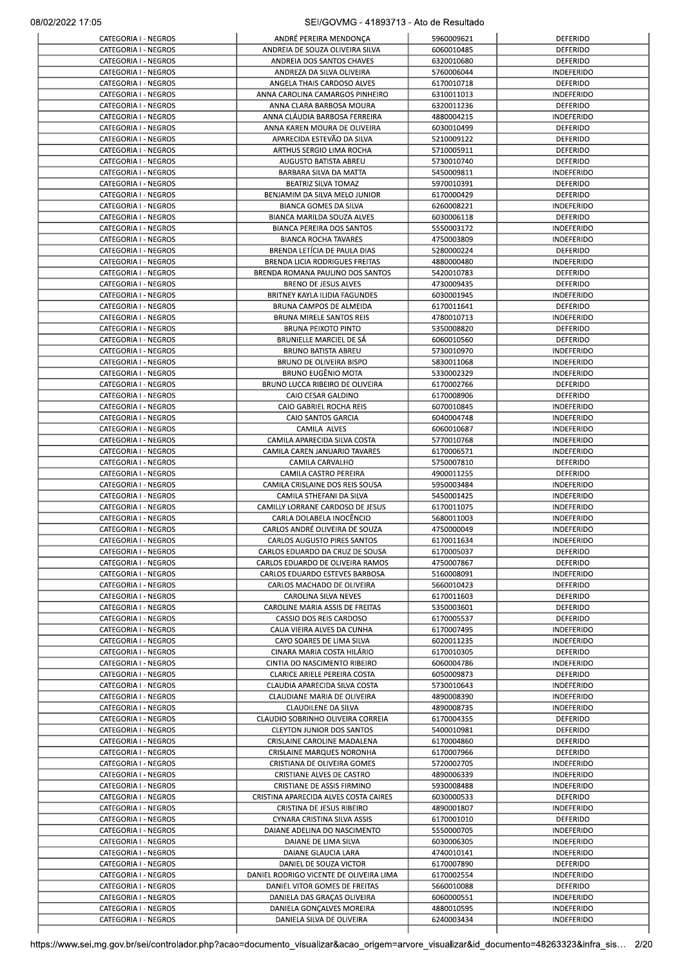| CATEGORIA I - NEGROS                         | ANDRÉ PEREIRA MENDONÇA                                                                                                                     | 5960009621               | DEFERIDO                               |
|----------------------------------------------|--------------------------------------------------------------------------------------------------------------------------------------------|--------------------------|----------------------------------------|
| CATEGORIA I - NEGROS                         | ANDREIA DE SOUZA OLIVEIRA SILVA                                                                                                            | 6060010485               | <b>DEFERIDO</b>                        |
| CATEGORIA I - NEGROS                         | ANDREIA DOS SANTOS CHAVES                                                                                                                  | 6320010680               | DEFERIDO                               |
| CATEGORIA I - NEGROS                         | ANDREZA DA SILVA OLIVEIRA                                                                                                                  | 5760006044               | <b>INDEFERIDO</b>                      |
| CATEGORIA I - NEGROS                         | ANGELA THAIS CARDOSO ALVES                                                                                                                 | 6170010718               | DEFERIDO                               |
| CATEGORIA I - NEGROS                         | ANNA CAROLINA CAMARGOS PINHEIRO                                                                                                            | 6310011013               | INDEFERIDO                             |
| CATEGORIA I - NEGROS                         | ANNA CLARA BARBOSA MOURA                                                                                                                   | 6320011236               | <b>DEFERIDO</b>                        |
| CATEGORIA I - NEGROS                         | ANNA CLÁUDIA BARBOSA FERREIRA                                                                                                              | 4880004215               | <b>INDEFERIDO</b>                      |
| CATEGORIA I - NEGROS                         | ANNA KAREN MOURA DE OLIVEIRA                                                                                                               | 6030010499               | <b>DEFERIDO</b>                        |
| CATEGORIA I - NEGROS                         | APARECIDA ESTEVÃO DA SILVA                                                                                                                 | 5210009122               | DEFERIDO                               |
| CATEGORIA I - NEGROS                         | ARTHUS SERGIO LIMA ROCHA                                                                                                                   | 5710005911               | <b>DEFERIDO</b>                        |
| CATEGORIA I - NEGROS                         | AUGUSTO BATISTA ABREU                                                                                                                      | 5730010740               | DEFERIDO                               |
| CATEGORIA I - NEGROS                         | BARBARA SILVA DA MATTA                                                                                                                     | 5450009811               | <b>INDEFERIDO</b>                      |
| CATEGORIA I - NEGROS                         | BEATRIZ SILVA TOMAZ                                                                                                                        | 5970010391               | <b>DEFERIDO</b>                        |
| CATEGORIA I - NEGROS                         | BENJAMIM DA SILVA MELO JUNIOR                                                                                                              | 6170000429               | <b>DEFERIDO</b>                        |
| CATEGORIA I - NEGROS                         | BIANCA GOMES DA SILVA                                                                                                                      | 6260008221               | <b>INDEFERIDO</b>                      |
| CATEGORIA I - NEGROS                         | BIANCA MARILDA SOUZA ALVES                                                                                                                 | 6030006118               | DEFERIDO                               |
| CATEGORIA I - NEGROS                         | BIANCA PEREIRA DOS SANTOS                                                                                                                  | 5550003172               | <b>INDEFERIDO</b>                      |
| CATEGORIA I - NEGROS                         | <b>BIANCA ROCHA TAVARES</b>                                                                                                                | 4750003809               | <b>INDEFERIDO</b>                      |
| CATEGORIA I - NEGROS                         | BRENDA LETÍCIA DE PAULA DIAS                                                                                                               | 5280000224               | DEFERIDO                               |
| CATEGORIA I - NEGROS                         | <b>BRENDA LICIA RODRIGUES FREITAS</b>                                                                                                      | 4880000480               | <b>INDEFERIDO</b>                      |
| CATEGORIA I - NEGROS                         | BRENDA ROMANA PAULINO DOS SANTOS                                                                                                           | 5420010783               | <b>DEFERIDO</b>                        |
| CATEGORIA I - NEGROS                         | <b>BRENO DE JESUS ALVES</b>                                                                                                                | 4730009435               | <b>DEFERIDO</b>                        |
| CATEGORIA I - NEGROS                         | BRITNEY KAYLA ILIDIA FAGUNDES                                                                                                              | 6030001945               | <b>INDEFERIDO</b>                      |
| CATEGORIA I - NEGROS                         | BRUNA CAMPOS DE ALMEIDA                                                                                                                    | 6170011641               | <b>DEFERIDO</b>                        |
| CATEGORIA I - NEGROS                         | <b>BRUNA MIRELE SANTOS REIS</b>                                                                                                            | 4780010713               | INDEFERIDO                             |
| CATEGORIA I - NEGROS<br>CATEGORIA I - NEGROS | <b>BRUNA PEIXOTO PINTO</b><br>BRUNIELLE MARCIEL DE SÁ                                                                                      | 5350008820               | DEFERIDO<br>DEFERIDO                   |
|                                              |                                                                                                                                            | 6060010560               |                                        |
| CATEGORIA I - NEGROS<br>CATEGORIA I - NEGROS | <b>BRUNO BATISTA ABREU</b><br><b>BRUNO DE OLIVEIRA BISPO</b>                                                                               | 5730010970<br>5830011068 | <b>INDEFERIDO</b><br><b>INDEFERIDO</b> |
| CATEGORIA I - NEGROS                         | BRUNO EUGÊNIO MOTA                                                                                                                         | 5330002329               | <b>INDEFERIDO</b>                      |
| CATEGORIA I - NEGROS                         | BRUNO LUCCA RIBEIRO DE OLIVEIRA                                                                                                            | 6170002766               | <b>DEFERIDO</b>                        |
| CATEGORIA I - NEGROS                         | CAIO CESAR GALDINO                                                                                                                         | 6170008906               | <b>DEFERIDO</b>                        |
| CATEGORIA I - NEGROS                         | CAIO GABRIEL ROCHA REIS                                                                                                                    | 6070010845               | <b>INDEFERIDO</b>                      |
| CATEGORIA I - NEGROS                         | CAIO SANTOS GARCIA                                                                                                                         | 6040004748               | INDEFERIDO                             |
| CATEGORIA I - NEGROS                         | CAMILA ALVES                                                                                                                               | 6060010687               | <b>INDEFERIDO</b>                      |
| CATEGORIA I - NEGROS                         | CAMILA APARECIDA SILVA COSTA                                                                                                               | 5770010768               | INDEFERIDO                             |
| CATEGORIA I - NEGROS                         | CAMILA CAREN JANUARIO TAVARES                                                                                                              | 6170006571               | <b>INDEFERIDO</b>                      |
| CATEGORIA I - NEGROS                         | CAMILA CARVALHO                                                                                                                            | 5750007810               | DEFERIDO                               |
| CATEGORIA I - NEGROS                         | CAMILA CASTRO PEREIRA                                                                                                                      | 4900011255               | DEFERIDO                               |
| CATEGORIA I - NEGROS                         | CAMILA CRISLAINE DOS REIS SOUSA                                                                                                            | 5950003484               | <b>INDEFERIDO</b>                      |
| CATEGORIA I - NEGROS                         | CAMILA STHEFANI DA SILVA                                                                                                                   | 5450001425               | <b>INDEFERIDO</b>                      |
| CATEGORIA I - NEGROS                         | CAMILLY LORRANE CARDOSO DE JESUS                                                                                                           | 6170011075               | <b>INDEFERIDO</b>                      |
| CATEGORIA I - NEGROS                         | CARLA DOLABELA INOCÊNCIO                                                                                                                   | 5680011003               | <b>INDEFERIDO</b>                      |
| CATEGORIA I - NEGROS                         | CARLOS ANDRÉ OLIVEIRA DE SOUZA                                                                                                             | 4750000049               | INDEFERIDO                             |
| CATEGORIA I - NEGROS                         | <b>CARLOS AUGUSTO PIRES SANTOS</b>                                                                                                         | 6170011634               | <b>INDEFERIDO</b>                      |
| CATEGORIA I - NEGROS                         | CARLOS EDUARDO DA CRUZ DE SOUSA                                                                                                            | 6170005037               | DEFERIDO                               |
| CATEGORIA I - NEGROS                         | CARLOS EDUARDO DE OLIVEIRA RAMOS                                                                                                           | 4750007867               | DEFERIDO                               |
| CATEGORIA I - NEGROS                         | CARLOS EDUARDO ESTEVES BARBOSA                                                                                                             | 5160008091               | <b>INDEFERIDO</b>                      |
| CATEGORIA I - NEGROS                         | CARLOS MACHADO DE OLIVEIRA                                                                                                                 | 5660010423               | DEFERIDO                               |
| CATEGORIA I - NEGROS                         | CAROLINA SILVA NEVES                                                                                                                       | 6170011603               | DEFERIDO                               |
| CATEGORIA I - NEGROS                         | CAROLINE MARIA ASSIS DE FREITAS                                                                                                            | 5350003601               | DEFERIDO                               |
| CATEGORIA I - NEGROS                         | CASSIO DOS REIS CARDOSO                                                                                                                    | 6170005537               | <b>DEFERIDO</b>                        |
| CATEGORIA I - NEGROS                         | CAUA VIEIRA ALVES DA CUNHA                                                                                                                 | 6170007495               | <b>INDEFERIDO</b>                      |
| CATEGORIA I - NEGROS                         | CAYO SOARES DE LIMA SILVA                                                                                                                  | 6020011235               | <b>INDEFERIDO</b>                      |
| CATEGORIA I - NEGROS                         | CINARA MARIA COSTA HILÁRIO                                                                                                                 | 6170010305               | <b>DEFERIDO</b>                        |
| CATEGORIA I - NEGROS                         | CINTIA DO NASCIMENTO RIBEIRO                                                                                                               | 6060004786               | <b>INDEFERIDO</b>                      |
| CATEGORIA I - NEGROS                         | CLARICE ARIELE PEREIRA COSTA                                                                                                               | 6050009873               | DEFERIDO                               |
| CATEGORIA I - NEGROS                         | CLAUDIA APARECIDA SILVA COSTA                                                                                                              | 5730010643               | <b>INDEFERIDO</b>                      |
| CATEGORIA I - NEGROS<br>CATEGORIA I - NEGROS | CLAUDIANE MARIA DE OLIVEIRA                                                                                                                | 4890008390               | <b>INDEFERIDO</b>                      |
| CATEGORIA I - NEGROS                         | CLAUDILENE DA SILVA                                                                                                                        | 4890008735<br>6170004355 | <b>INDEFERIDO</b><br>DEFERIDO          |
| CATEGORIA I - NEGROS                         | CLAUDIO SOBRINHO OLIVEIRA CORREIA<br><b>CLEYTON JUNIOR DOS SANTOS</b>                                                                      | 5400010981               | <b>DEFERIDO</b>                        |
| CATEGORIA I - NEGROS                         | CRISLAINE CAROLINE MADALENA                                                                                                                | 6170004860               | DEFERIDO                               |
| CATEGORIA I - NEGROS                         | CRISLAINE MARQUES NORONHA                                                                                                                  | 6170007966               | DEFERIDO                               |
| CATEGORIA I - NEGROS                         | CRISTIANA DE OLIVEIRA GOMES                                                                                                                | 5720002705               | INDEFERIDO                             |
| CATEGORIA I - NEGROS                         | CRISTIANE ALVES DE CASTRO                                                                                                                  | 4890006339               | <b>INDEFERIDO</b>                      |
| CATEGORIA I - NEGROS                         | CRISTIANE DE ASSIS FIRMINO                                                                                                                 | 5930008488               | <b>INDEFERIDO</b>                      |
| CATEGORIA I - NEGROS                         | CRISTINA APARECIDA ALVES COSTA CAIRES                                                                                                      | 6030000533               | DEFERIDO                               |
| CATEGORIA I - NEGROS                         | CRISTINA DE JESUS RIBEIRO                                                                                                                  | 4890001807               | <b>INDEFERIDO</b>                      |
| CATEGORIA I - NEGROS                         | CYNARA CRISTINA SILVA ASSIS                                                                                                                | 6170001010               | DEFERIDO                               |
| CATEGORIA I - NEGROS                         | DAIANE ADELINA DO NASCIMENTO                                                                                                               | 5550000705               | <b>INDEFERIDO</b>                      |
| CATEGORIA I - NEGROS                         | DAIANE DE LIMA SILVA                                                                                                                       | 6030006305               | <b>INDEFERIDO</b>                      |
| CATEGORIA I - NEGROS                         | DAIANE GLAUCIA LARA                                                                                                                        | 4740010141               | <b>INDEFERIDO</b>                      |
| CATEGORIA I - NEGROS                         | DANIEL DE SOUZA VICTOR                                                                                                                     | 6170007890               | DEFERIDO                               |
| CATEGORIA I - NEGROS                         | DANIEL RODRIGO VICENTE DE OLIVEIRA LIMA                                                                                                    | 6170002554               | <b>INDEFERIDO</b>                      |
| CATEGORIA I - NEGROS                         | DANIEL VITOR GOMES DE FREITAS                                                                                                              | 5660010088               | DEFERIDO                               |
| CATEGORIA I - NEGROS                         | DANIELA DAS GRAÇAS OLIVEIRA                                                                                                                | 6060000551               | <b>INDEFERIDO</b>                      |
| CATEGORIA I - NEGROS                         | DANIELA GONÇALVES MOREIRA                                                                                                                  | 4880010595               | <b>INDEFERIDO</b>                      |
| CATEGORIA I - NEGROS                         | DANIELA SILVA DE OLIVEIRA                                                                                                                  | 6240003434               | <b>INDEFERIDO</b>                      |
|                                              | ttps://www.sei.mg.gov.br/sei/controlador.php?acao=documento_visualizar&acao_origem=arvore_visualizar&id_documento=48263323&infra_sis… 2/20 |                          |                                        |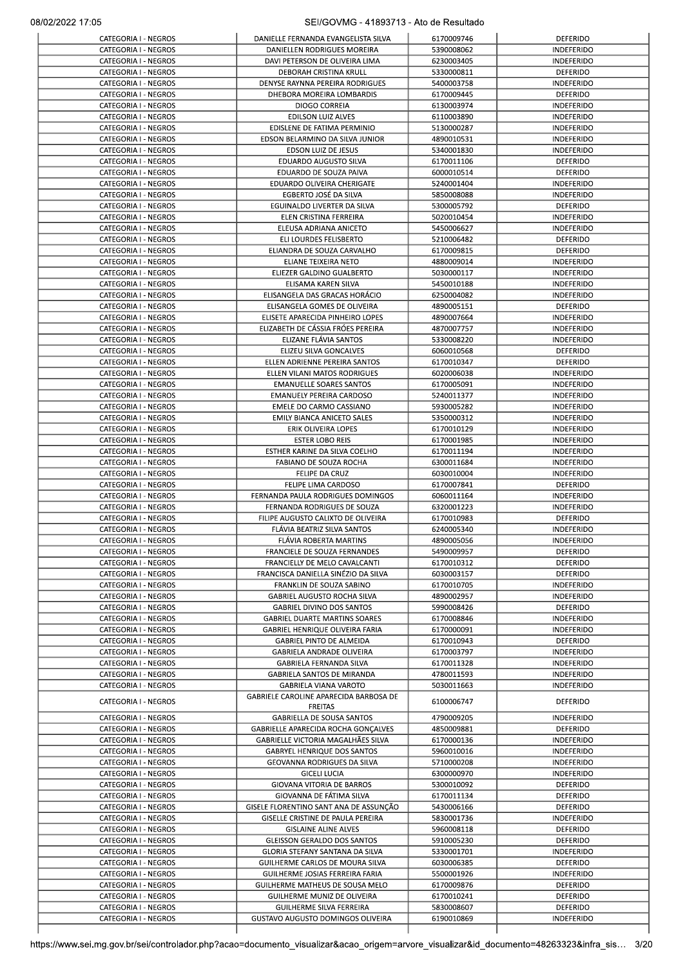| DANIELLE FERNANDA EVANGELISTA SILVA<br>DANIELLEN RODRIGUES MOREIRA<br>DAVI PETERSON DE OLIVEIRA LIMA<br>DEBORAH CRISTINA KRULL<br>DENYSE RAYNNA PEREIRA RODRIGUES<br>DHEBORA MOREIRA LOMBARDIS<br><b>DIOGO CORREIA</b><br><b>EDILSON LUIZ ALVES</b><br>EDISLENE DE FATIMA PERMINIO<br>EDSON BELARMINO DA SILVA JUNIOR<br><b>EDSON LUIZ DE JESUS</b><br>EDUARDO AUGUSTO SILVA<br>EDUARDO DE SOUZA PAIVA<br>EDUARDO OLIVEIRA CHERIGATE<br>EGBERTO JOSÉ DA SILVA<br>EGUINALDO LIVERTER DA SILVA<br>ELEN CRISTINA FERREIRA<br>ELEUSA ADRIANA ANICETO<br>ELI LOURDES FELISBERTO<br>ELIANDRA DE SOUZA CARVALHO<br>ELIANE TEIXEIRA NETO<br>ELIEZER GALDINO GUALBERTO<br>ELISAMA KAREN SILVA<br>ELISANGELA DAS GRACAS HORÁCIO<br>ELISANGELA GOMES DE OLIVEIRA<br>ELISETE APARECIDA PINHEIRO LOPES<br>ELIZABETH DE CÁSSIA FRÓES PEREIRA<br>ELIZANE FLAVIA SANTOS<br>ELIZEU SILVA GONCALVES<br>ELLEN ADRIENNE PEREIRA SANTOS<br>ELLEN VILANI MATOS RODRIGUES<br><b>EMANUELLE SOARES SANTOS</b><br><b>EMANUELY PEREIRA CARDOSO</b><br>EMELE DO CARMO CASSIANO<br><b>EMILY BIANCA ANICETO SALES</b><br>ERIK OLIVEIRA LOPES<br>ESTER LOBO REIS<br>ESTHER KARINE DA SILVA COELHO<br>FABIANO DE SOUZA ROCHA | 6170009746<br>5390008062<br>6230003405<br>5330000811<br>5400003758<br>6170009445<br>6130003974<br>6110003890<br>5130000287<br>4890010531<br>5340001830<br>6170011106<br>6000010514<br>5240001404<br>5850008088<br>5300005792<br>5020010454<br>5450006627<br>5210006482<br>6170009815<br>4880009014<br>5030000117<br>5450010188<br>6250004082<br>4890005151<br>4890007664<br>4870007757<br>5330008220<br>6060010568<br>6170010347<br>6020006038<br>6170005091<br>5240011377<br>5930005282<br>5350000312<br>6170010129                                                                                                                                                                                                                                                                                 | <b>DEFERIDO</b><br><b>INDEFERIDO</b><br><b>INDEFERIDO</b><br><b>DEFERIDO</b><br><b>INDEFERIDO</b><br><b>DEFERIDO</b><br><b>INDEFERIDO</b><br><b>INDEFERIDO</b><br>INDEFERIDO<br><b>INDEFERIDO</b><br><b>INDEFERIDO</b><br><b>DEFERIDO</b><br><b>DEFERIDO</b><br><b>INDEFERIDO</b><br>INDEFERIDO<br>DEFERIDO<br><b>INDEFERIDO</b><br>INDEFERIDO<br><b>DEFERIDO</b><br>DEFERIDO<br><b>INDEFERIDO</b><br><b>INDEFERIDO</b><br><b>INDEFERIDO</b><br><b>INDEFERIDO</b><br><b>DEFERIDO</b><br>INDEFERIDO<br><b>INDEFERIDO</b><br><b>INDEFERIDO</b><br><b>DEFERIDO</b><br><b>DEFERIDO</b><br><b>INDEFERIDO</b><br><b>INDEFERIDO</b><br><b>INDEFERIDO</b><br><b>INDEFERIDO</b> |
|----------------------------------------------------------------------------------------------------------------------------------------------------------------------------------------------------------------------------------------------------------------------------------------------------------------------------------------------------------------------------------------------------------------------------------------------------------------------------------------------------------------------------------------------------------------------------------------------------------------------------------------------------------------------------------------------------------------------------------------------------------------------------------------------------------------------------------------------------------------------------------------------------------------------------------------------------------------------------------------------------------------------------------------------------------------------------------------------------------------------------------------------------------------------------------------------|------------------------------------------------------------------------------------------------------------------------------------------------------------------------------------------------------------------------------------------------------------------------------------------------------------------------------------------------------------------------------------------------------------------------------------------------------------------------------------------------------------------------------------------------------------------------------------------------------------------------------------------------------------------------------------------------------------------------------------------------------------------------------------------------------|------------------------------------------------------------------------------------------------------------------------------------------------------------------------------------------------------------------------------------------------------------------------------------------------------------------------------------------------------------------------------------------------------------------------------------------------------------------------------------------------------------------------------------------------------------------------------------------------------------------------------------------------------------------------|
|                                                                                                                                                                                                                                                                                                                                                                                                                                                                                                                                                                                                                                                                                                                                                                                                                                                                                                                                                                                                                                                                                                                                                                                              |                                                                                                                                                                                                                                                                                                                                                                                                                                                                                                                                                                                                                                                                                                                                                                                                      |                                                                                                                                                                                                                                                                                                                                                                                                                                                                                                                                                                                                                                                                        |
|                                                                                                                                                                                                                                                                                                                                                                                                                                                                                                                                                                                                                                                                                                                                                                                                                                                                                                                                                                                                                                                                                                                                                                                              |                                                                                                                                                                                                                                                                                                                                                                                                                                                                                                                                                                                                                                                                                                                                                                                                      |                                                                                                                                                                                                                                                                                                                                                                                                                                                                                                                                                                                                                                                                        |
|                                                                                                                                                                                                                                                                                                                                                                                                                                                                                                                                                                                                                                                                                                                                                                                                                                                                                                                                                                                                                                                                                                                                                                                              |                                                                                                                                                                                                                                                                                                                                                                                                                                                                                                                                                                                                                                                                                                                                                                                                      |                                                                                                                                                                                                                                                                                                                                                                                                                                                                                                                                                                                                                                                                        |
|                                                                                                                                                                                                                                                                                                                                                                                                                                                                                                                                                                                                                                                                                                                                                                                                                                                                                                                                                                                                                                                                                                                                                                                              |                                                                                                                                                                                                                                                                                                                                                                                                                                                                                                                                                                                                                                                                                                                                                                                                      |                                                                                                                                                                                                                                                                                                                                                                                                                                                                                                                                                                                                                                                                        |
|                                                                                                                                                                                                                                                                                                                                                                                                                                                                                                                                                                                                                                                                                                                                                                                                                                                                                                                                                                                                                                                                                                                                                                                              |                                                                                                                                                                                                                                                                                                                                                                                                                                                                                                                                                                                                                                                                                                                                                                                                      |                                                                                                                                                                                                                                                                                                                                                                                                                                                                                                                                                                                                                                                                        |
|                                                                                                                                                                                                                                                                                                                                                                                                                                                                                                                                                                                                                                                                                                                                                                                                                                                                                                                                                                                                                                                                                                                                                                                              |                                                                                                                                                                                                                                                                                                                                                                                                                                                                                                                                                                                                                                                                                                                                                                                                      |                                                                                                                                                                                                                                                                                                                                                                                                                                                                                                                                                                                                                                                                        |
|                                                                                                                                                                                                                                                                                                                                                                                                                                                                                                                                                                                                                                                                                                                                                                                                                                                                                                                                                                                                                                                                                                                                                                                              |                                                                                                                                                                                                                                                                                                                                                                                                                                                                                                                                                                                                                                                                                                                                                                                                      |                                                                                                                                                                                                                                                                                                                                                                                                                                                                                                                                                                                                                                                                        |
|                                                                                                                                                                                                                                                                                                                                                                                                                                                                                                                                                                                                                                                                                                                                                                                                                                                                                                                                                                                                                                                                                                                                                                                              |                                                                                                                                                                                                                                                                                                                                                                                                                                                                                                                                                                                                                                                                                                                                                                                                      |                                                                                                                                                                                                                                                                                                                                                                                                                                                                                                                                                                                                                                                                        |
|                                                                                                                                                                                                                                                                                                                                                                                                                                                                                                                                                                                                                                                                                                                                                                                                                                                                                                                                                                                                                                                                                                                                                                                              |                                                                                                                                                                                                                                                                                                                                                                                                                                                                                                                                                                                                                                                                                                                                                                                                      |                                                                                                                                                                                                                                                                                                                                                                                                                                                                                                                                                                                                                                                                        |
|                                                                                                                                                                                                                                                                                                                                                                                                                                                                                                                                                                                                                                                                                                                                                                                                                                                                                                                                                                                                                                                                                                                                                                                              |                                                                                                                                                                                                                                                                                                                                                                                                                                                                                                                                                                                                                                                                                                                                                                                                      |                                                                                                                                                                                                                                                                                                                                                                                                                                                                                                                                                                                                                                                                        |
|                                                                                                                                                                                                                                                                                                                                                                                                                                                                                                                                                                                                                                                                                                                                                                                                                                                                                                                                                                                                                                                                                                                                                                                              |                                                                                                                                                                                                                                                                                                                                                                                                                                                                                                                                                                                                                                                                                                                                                                                                      |                                                                                                                                                                                                                                                                                                                                                                                                                                                                                                                                                                                                                                                                        |
|                                                                                                                                                                                                                                                                                                                                                                                                                                                                                                                                                                                                                                                                                                                                                                                                                                                                                                                                                                                                                                                                                                                                                                                              |                                                                                                                                                                                                                                                                                                                                                                                                                                                                                                                                                                                                                                                                                                                                                                                                      |                                                                                                                                                                                                                                                                                                                                                                                                                                                                                                                                                                                                                                                                        |
|                                                                                                                                                                                                                                                                                                                                                                                                                                                                                                                                                                                                                                                                                                                                                                                                                                                                                                                                                                                                                                                                                                                                                                                              |                                                                                                                                                                                                                                                                                                                                                                                                                                                                                                                                                                                                                                                                                                                                                                                                      |                                                                                                                                                                                                                                                                                                                                                                                                                                                                                                                                                                                                                                                                        |
|                                                                                                                                                                                                                                                                                                                                                                                                                                                                                                                                                                                                                                                                                                                                                                                                                                                                                                                                                                                                                                                                                                                                                                                              |                                                                                                                                                                                                                                                                                                                                                                                                                                                                                                                                                                                                                                                                                                                                                                                                      |                                                                                                                                                                                                                                                                                                                                                                                                                                                                                                                                                                                                                                                                        |
|                                                                                                                                                                                                                                                                                                                                                                                                                                                                                                                                                                                                                                                                                                                                                                                                                                                                                                                                                                                                                                                                                                                                                                                              |                                                                                                                                                                                                                                                                                                                                                                                                                                                                                                                                                                                                                                                                                                                                                                                                      |                                                                                                                                                                                                                                                                                                                                                                                                                                                                                                                                                                                                                                                                        |
|                                                                                                                                                                                                                                                                                                                                                                                                                                                                                                                                                                                                                                                                                                                                                                                                                                                                                                                                                                                                                                                                                                                                                                                              |                                                                                                                                                                                                                                                                                                                                                                                                                                                                                                                                                                                                                                                                                                                                                                                                      |                                                                                                                                                                                                                                                                                                                                                                                                                                                                                                                                                                                                                                                                        |
|                                                                                                                                                                                                                                                                                                                                                                                                                                                                                                                                                                                                                                                                                                                                                                                                                                                                                                                                                                                                                                                                                                                                                                                              |                                                                                                                                                                                                                                                                                                                                                                                                                                                                                                                                                                                                                                                                                                                                                                                                      |                                                                                                                                                                                                                                                                                                                                                                                                                                                                                                                                                                                                                                                                        |
|                                                                                                                                                                                                                                                                                                                                                                                                                                                                                                                                                                                                                                                                                                                                                                                                                                                                                                                                                                                                                                                                                                                                                                                              |                                                                                                                                                                                                                                                                                                                                                                                                                                                                                                                                                                                                                                                                                                                                                                                                      |                                                                                                                                                                                                                                                                                                                                                                                                                                                                                                                                                                                                                                                                        |
|                                                                                                                                                                                                                                                                                                                                                                                                                                                                                                                                                                                                                                                                                                                                                                                                                                                                                                                                                                                                                                                                                                                                                                                              |                                                                                                                                                                                                                                                                                                                                                                                                                                                                                                                                                                                                                                                                                                                                                                                                      |                                                                                                                                                                                                                                                                                                                                                                                                                                                                                                                                                                                                                                                                        |
|                                                                                                                                                                                                                                                                                                                                                                                                                                                                                                                                                                                                                                                                                                                                                                                                                                                                                                                                                                                                                                                                                                                                                                                              |                                                                                                                                                                                                                                                                                                                                                                                                                                                                                                                                                                                                                                                                                                                                                                                                      |                                                                                                                                                                                                                                                                                                                                                                                                                                                                                                                                                                                                                                                                        |
|                                                                                                                                                                                                                                                                                                                                                                                                                                                                                                                                                                                                                                                                                                                                                                                                                                                                                                                                                                                                                                                                                                                                                                                              |                                                                                                                                                                                                                                                                                                                                                                                                                                                                                                                                                                                                                                                                                                                                                                                                      |                                                                                                                                                                                                                                                                                                                                                                                                                                                                                                                                                                                                                                                                        |
|                                                                                                                                                                                                                                                                                                                                                                                                                                                                                                                                                                                                                                                                                                                                                                                                                                                                                                                                                                                                                                                                                                                                                                                              |                                                                                                                                                                                                                                                                                                                                                                                                                                                                                                                                                                                                                                                                                                                                                                                                      |                                                                                                                                                                                                                                                                                                                                                                                                                                                                                                                                                                                                                                                                        |
|                                                                                                                                                                                                                                                                                                                                                                                                                                                                                                                                                                                                                                                                                                                                                                                                                                                                                                                                                                                                                                                                                                                                                                                              |                                                                                                                                                                                                                                                                                                                                                                                                                                                                                                                                                                                                                                                                                                                                                                                                      |                                                                                                                                                                                                                                                                                                                                                                                                                                                                                                                                                                                                                                                                        |
|                                                                                                                                                                                                                                                                                                                                                                                                                                                                                                                                                                                                                                                                                                                                                                                                                                                                                                                                                                                                                                                                                                                                                                                              |                                                                                                                                                                                                                                                                                                                                                                                                                                                                                                                                                                                                                                                                                                                                                                                                      |                                                                                                                                                                                                                                                                                                                                                                                                                                                                                                                                                                                                                                                                        |
|                                                                                                                                                                                                                                                                                                                                                                                                                                                                                                                                                                                                                                                                                                                                                                                                                                                                                                                                                                                                                                                                                                                                                                                              |                                                                                                                                                                                                                                                                                                                                                                                                                                                                                                                                                                                                                                                                                                                                                                                                      |                                                                                                                                                                                                                                                                                                                                                                                                                                                                                                                                                                                                                                                                        |
|                                                                                                                                                                                                                                                                                                                                                                                                                                                                                                                                                                                                                                                                                                                                                                                                                                                                                                                                                                                                                                                                                                                                                                                              |                                                                                                                                                                                                                                                                                                                                                                                                                                                                                                                                                                                                                                                                                                                                                                                                      |                                                                                                                                                                                                                                                                                                                                                                                                                                                                                                                                                                                                                                                                        |
|                                                                                                                                                                                                                                                                                                                                                                                                                                                                                                                                                                                                                                                                                                                                                                                                                                                                                                                                                                                                                                                                                                                                                                                              |                                                                                                                                                                                                                                                                                                                                                                                                                                                                                                                                                                                                                                                                                                                                                                                                      |                                                                                                                                                                                                                                                                                                                                                                                                                                                                                                                                                                                                                                                                        |
|                                                                                                                                                                                                                                                                                                                                                                                                                                                                                                                                                                                                                                                                                                                                                                                                                                                                                                                                                                                                                                                                                                                                                                                              |                                                                                                                                                                                                                                                                                                                                                                                                                                                                                                                                                                                                                                                                                                                                                                                                      |                                                                                                                                                                                                                                                                                                                                                                                                                                                                                                                                                                                                                                                                        |
|                                                                                                                                                                                                                                                                                                                                                                                                                                                                                                                                                                                                                                                                                                                                                                                                                                                                                                                                                                                                                                                                                                                                                                                              |                                                                                                                                                                                                                                                                                                                                                                                                                                                                                                                                                                                                                                                                                                                                                                                                      |                                                                                                                                                                                                                                                                                                                                                                                                                                                                                                                                                                                                                                                                        |
|                                                                                                                                                                                                                                                                                                                                                                                                                                                                                                                                                                                                                                                                                                                                                                                                                                                                                                                                                                                                                                                                                                                                                                                              |                                                                                                                                                                                                                                                                                                                                                                                                                                                                                                                                                                                                                                                                                                                                                                                                      |                                                                                                                                                                                                                                                                                                                                                                                                                                                                                                                                                                                                                                                                        |
|                                                                                                                                                                                                                                                                                                                                                                                                                                                                                                                                                                                                                                                                                                                                                                                                                                                                                                                                                                                                                                                                                                                                                                                              |                                                                                                                                                                                                                                                                                                                                                                                                                                                                                                                                                                                                                                                                                                                                                                                                      |                                                                                                                                                                                                                                                                                                                                                                                                                                                                                                                                                                                                                                                                        |
|                                                                                                                                                                                                                                                                                                                                                                                                                                                                                                                                                                                                                                                                                                                                                                                                                                                                                                                                                                                                                                                                                                                                                                                              |                                                                                                                                                                                                                                                                                                                                                                                                                                                                                                                                                                                                                                                                                                                                                                                                      |                                                                                                                                                                                                                                                                                                                                                                                                                                                                                                                                                                                                                                                                        |
|                                                                                                                                                                                                                                                                                                                                                                                                                                                                                                                                                                                                                                                                                                                                                                                                                                                                                                                                                                                                                                                                                                                                                                                              |                                                                                                                                                                                                                                                                                                                                                                                                                                                                                                                                                                                                                                                                                                                                                                                                      |                                                                                                                                                                                                                                                                                                                                                                                                                                                                                                                                                                                                                                                                        |
|                                                                                                                                                                                                                                                                                                                                                                                                                                                                                                                                                                                                                                                                                                                                                                                                                                                                                                                                                                                                                                                                                                                                                                                              |                                                                                                                                                                                                                                                                                                                                                                                                                                                                                                                                                                                                                                                                                                                                                                                                      |                                                                                                                                                                                                                                                                                                                                                                                                                                                                                                                                                                                                                                                                        |
|                                                                                                                                                                                                                                                                                                                                                                                                                                                                                                                                                                                                                                                                                                                                                                                                                                                                                                                                                                                                                                                                                                                                                                                              |                                                                                                                                                                                                                                                                                                                                                                                                                                                                                                                                                                                                                                                                                                                                                                                                      |                                                                                                                                                                                                                                                                                                                                                                                                                                                                                                                                                                                                                                                                        |
|                                                                                                                                                                                                                                                                                                                                                                                                                                                                                                                                                                                                                                                                                                                                                                                                                                                                                                                                                                                                                                                                                                                                                                                              |                                                                                                                                                                                                                                                                                                                                                                                                                                                                                                                                                                                                                                                                                                                                                                                                      | <b>INDEFERIDO</b>                                                                                                                                                                                                                                                                                                                                                                                                                                                                                                                                                                                                                                                      |
|                                                                                                                                                                                                                                                                                                                                                                                                                                                                                                                                                                                                                                                                                                                                                                                                                                                                                                                                                                                                                                                                                                                                                                                              |                                                                                                                                                                                                                                                                                                                                                                                                                                                                                                                                                                                                                                                                                                                                                                                                      | <b>INDEFERIDO</b>                                                                                                                                                                                                                                                                                                                                                                                                                                                                                                                                                                                                                                                      |
|                                                                                                                                                                                                                                                                                                                                                                                                                                                                                                                                                                                                                                                                                                                                                                                                                                                                                                                                                                                                                                                                                                                                                                                              | 6170001985                                                                                                                                                                                                                                                                                                                                                                                                                                                                                                                                                                                                                                                                                                                                                                                           | <b>INDEFERIDO</b>                                                                                                                                                                                                                                                                                                                                                                                                                                                                                                                                                                                                                                                      |
|                                                                                                                                                                                                                                                                                                                                                                                                                                                                                                                                                                                                                                                                                                                                                                                                                                                                                                                                                                                                                                                                                                                                                                                              | 6170011194                                                                                                                                                                                                                                                                                                                                                                                                                                                                                                                                                                                                                                                                                                                                                                                           | <b>INDEFERIDO</b>                                                                                                                                                                                                                                                                                                                                                                                                                                                                                                                                                                                                                                                      |
|                                                                                                                                                                                                                                                                                                                                                                                                                                                                                                                                                                                                                                                                                                                                                                                                                                                                                                                                                                                                                                                                                                                                                                                              | 6300011684                                                                                                                                                                                                                                                                                                                                                                                                                                                                                                                                                                                                                                                                                                                                                                                           | <b>INDEFERIDO</b>                                                                                                                                                                                                                                                                                                                                                                                                                                                                                                                                                                                                                                                      |
| FELIPE DA CRUZ                                                                                                                                                                                                                                                                                                                                                                                                                                                                                                                                                                                                                                                                                                                                                                                                                                                                                                                                                                                                                                                                                                                                                                               | 6030010004                                                                                                                                                                                                                                                                                                                                                                                                                                                                                                                                                                                                                                                                                                                                                                                           | <b>INDEFERIDO</b>                                                                                                                                                                                                                                                                                                                                                                                                                                                                                                                                                                                                                                                      |
| FELIPE LIMA CARDOSO                                                                                                                                                                                                                                                                                                                                                                                                                                                                                                                                                                                                                                                                                                                                                                                                                                                                                                                                                                                                                                                                                                                                                                          | 6170007841                                                                                                                                                                                                                                                                                                                                                                                                                                                                                                                                                                                                                                                                                                                                                                                           | DEFERIDO                                                                                                                                                                                                                                                                                                                                                                                                                                                                                                                                                                                                                                                               |
| FERNANDA PAULA RODRIGUES DOMINGOS                                                                                                                                                                                                                                                                                                                                                                                                                                                                                                                                                                                                                                                                                                                                                                                                                                                                                                                                                                                                                                                                                                                                                            | 6060011164                                                                                                                                                                                                                                                                                                                                                                                                                                                                                                                                                                                                                                                                                                                                                                                           | <b>INDEFERIDO</b>                                                                                                                                                                                                                                                                                                                                                                                                                                                                                                                                                                                                                                                      |
| FERNANDA RODRIGUES DE SOUZA                                                                                                                                                                                                                                                                                                                                                                                                                                                                                                                                                                                                                                                                                                                                                                                                                                                                                                                                                                                                                                                                                                                                                                  | 6320001223                                                                                                                                                                                                                                                                                                                                                                                                                                                                                                                                                                                                                                                                                                                                                                                           | <b>INDEFERIDO</b>                                                                                                                                                                                                                                                                                                                                                                                                                                                                                                                                                                                                                                                      |
| FILIPE AUGUSTO CALIXTO DE OLIVEIRA                                                                                                                                                                                                                                                                                                                                                                                                                                                                                                                                                                                                                                                                                                                                                                                                                                                                                                                                                                                                                                                                                                                                                           | 6170010983                                                                                                                                                                                                                                                                                                                                                                                                                                                                                                                                                                                                                                                                                                                                                                                           | DEFERIDO                                                                                                                                                                                                                                                                                                                                                                                                                                                                                                                                                                                                                                                               |
|                                                                                                                                                                                                                                                                                                                                                                                                                                                                                                                                                                                                                                                                                                                                                                                                                                                                                                                                                                                                                                                                                                                                                                                              |                                                                                                                                                                                                                                                                                                                                                                                                                                                                                                                                                                                                                                                                                                                                                                                                      | <b>INDEFERIDO</b>                                                                                                                                                                                                                                                                                                                                                                                                                                                                                                                                                                                                                                                      |
|                                                                                                                                                                                                                                                                                                                                                                                                                                                                                                                                                                                                                                                                                                                                                                                                                                                                                                                                                                                                                                                                                                                                                                                              |                                                                                                                                                                                                                                                                                                                                                                                                                                                                                                                                                                                                                                                                                                                                                                                                      | <b>INDEFERIDO</b>                                                                                                                                                                                                                                                                                                                                                                                                                                                                                                                                                                                                                                                      |
|                                                                                                                                                                                                                                                                                                                                                                                                                                                                                                                                                                                                                                                                                                                                                                                                                                                                                                                                                                                                                                                                                                                                                                                              |                                                                                                                                                                                                                                                                                                                                                                                                                                                                                                                                                                                                                                                                                                                                                                                                      | <b>DEFERIDO</b>                                                                                                                                                                                                                                                                                                                                                                                                                                                                                                                                                                                                                                                        |
|                                                                                                                                                                                                                                                                                                                                                                                                                                                                                                                                                                                                                                                                                                                                                                                                                                                                                                                                                                                                                                                                                                                                                                                              |                                                                                                                                                                                                                                                                                                                                                                                                                                                                                                                                                                                                                                                                                                                                                                                                      |                                                                                                                                                                                                                                                                                                                                                                                                                                                                                                                                                                                                                                                                        |
|                                                                                                                                                                                                                                                                                                                                                                                                                                                                                                                                                                                                                                                                                                                                                                                                                                                                                                                                                                                                                                                                                                                                                                                              |                                                                                                                                                                                                                                                                                                                                                                                                                                                                                                                                                                                                                                                                                                                                                                                                      | <b>DEFERIDO</b>                                                                                                                                                                                                                                                                                                                                                                                                                                                                                                                                                                                                                                                        |
|                                                                                                                                                                                                                                                                                                                                                                                                                                                                                                                                                                                                                                                                                                                                                                                                                                                                                                                                                                                                                                                                                                                                                                                              |                                                                                                                                                                                                                                                                                                                                                                                                                                                                                                                                                                                                                                                                                                                                                                                                      | DEFERIDO                                                                                                                                                                                                                                                                                                                                                                                                                                                                                                                                                                                                                                                               |
|                                                                                                                                                                                                                                                                                                                                                                                                                                                                                                                                                                                                                                                                                                                                                                                                                                                                                                                                                                                                                                                                                                                                                                                              |                                                                                                                                                                                                                                                                                                                                                                                                                                                                                                                                                                                                                                                                                                                                                                                                      | <b>INDEFERIDO</b>                                                                                                                                                                                                                                                                                                                                                                                                                                                                                                                                                                                                                                                      |
|                                                                                                                                                                                                                                                                                                                                                                                                                                                                                                                                                                                                                                                                                                                                                                                                                                                                                                                                                                                                                                                                                                                                                                                              |                                                                                                                                                                                                                                                                                                                                                                                                                                                                                                                                                                                                                                                                                                                                                                                                      | <b>INDEFERIDO</b>                                                                                                                                                                                                                                                                                                                                                                                                                                                                                                                                                                                                                                                      |
|                                                                                                                                                                                                                                                                                                                                                                                                                                                                                                                                                                                                                                                                                                                                                                                                                                                                                                                                                                                                                                                                                                                                                                                              |                                                                                                                                                                                                                                                                                                                                                                                                                                                                                                                                                                                                                                                                                                                                                                                                      | <b>DEFERIDO</b>                                                                                                                                                                                                                                                                                                                                                                                                                                                                                                                                                                                                                                                        |
|                                                                                                                                                                                                                                                                                                                                                                                                                                                                                                                                                                                                                                                                                                                                                                                                                                                                                                                                                                                                                                                                                                                                                                                              |                                                                                                                                                                                                                                                                                                                                                                                                                                                                                                                                                                                                                                                                                                                                                                                                      | <b>INDEFERIDO</b>                                                                                                                                                                                                                                                                                                                                                                                                                                                                                                                                                                                                                                                      |
|                                                                                                                                                                                                                                                                                                                                                                                                                                                                                                                                                                                                                                                                                                                                                                                                                                                                                                                                                                                                                                                                                                                                                                                              |                                                                                                                                                                                                                                                                                                                                                                                                                                                                                                                                                                                                                                                                                                                                                                                                      | <b>INDEFERIDO</b>                                                                                                                                                                                                                                                                                                                                                                                                                                                                                                                                                                                                                                                      |
|                                                                                                                                                                                                                                                                                                                                                                                                                                                                                                                                                                                                                                                                                                                                                                                                                                                                                                                                                                                                                                                                                                                                                                                              |                                                                                                                                                                                                                                                                                                                                                                                                                                                                                                                                                                                                                                                                                                                                                                                                      | DEFERIDO                                                                                                                                                                                                                                                                                                                                                                                                                                                                                                                                                                                                                                                               |
|                                                                                                                                                                                                                                                                                                                                                                                                                                                                                                                                                                                                                                                                                                                                                                                                                                                                                                                                                                                                                                                                                                                                                                                              |                                                                                                                                                                                                                                                                                                                                                                                                                                                                                                                                                                                                                                                                                                                                                                                                      | <b>INDEFERIDO</b>                                                                                                                                                                                                                                                                                                                                                                                                                                                                                                                                                                                                                                                      |
| GABRIELA FERNANDA SILVA                                                                                                                                                                                                                                                                                                                                                                                                                                                                                                                                                                                                                                                                                                                                                                                                                                                                                                                                                                                                                                                                                                                                                                      | 6170011328                                                                                                                                                                                                                                                                                                                                                                                                                                                                                                                                                                                                                                                                                                                                                                                           | <b>INDEFERIDO</b>                                                                                                                                                                                                                                                                                                                                                                                                                                                                                                                                                                                                                                                      |
| GABRIELA SANTOS DE MIRANDA                                                                                                                                                                                                                                                                                                                                                                                                                                                                                                                                                                                                                                                                                                                                                                                                                                                                                                                                                                                                                                                                                                                                                                   | 4780011593                                                                                                                                                                                                                                                                                                                                                                                                                                                                                                                                                                                                                                                                                                                                                                                           | <b>INDEFERIDO</b>                                                                                                                                                                                                                                                                                                                                                                                                                                                                                                                                                                                                                                                      |
| <b>GABRIELA VIANA VAROTO</b>                                                                                                                                                                                                                                                                                                                                                                                                                                                                                                                                                                                                                                                                                                                                                                                                                                                                                                                                                                                                                                                                                                                                                                 | 5030011663                                                                                                                                                                                                                                                                                                                                                                                                                                                                                                                                                                                                                                                                                                                                                                                           | <b>INDEFERIDO</b>                                                                                                                                                                                                                                                                                                                                                                                                                                                                                                                                                                                                                                                      |
| GABRIELE CAROLINE APARECIDA BARBOSA DE                                                                                                                                                                                                                                                                                                                                                                                                                                                                                                                                                                                                                                                                                                                                                                                                                                                                                                                                                                                                                                                                                                                                                       |                                                                                                                                                                                                                                                                                                                                                                                                                                                                                                                                                                                                                                                                                                                                                                                                      |                                                                                                                                                                                                                                                                                                                                                                                                                                                                                                                                                                                                                                                                        |
| <b>FREITAS</b>                                                                                                                                                                                                                                                                                                                                                                                                                                                                                                                                                                                                                                                                                                                                                                                                                                                                                                                                                                                                                                                                                                                                                                               |                                                                                                                                                                                                                                                                                                                                                                                                                                                                                                                                                                                                                                                                                                                                                                                                      | DEFERIDO                                                                                                                                                                                                                                                                                                                                                                                                                                                                                                                                                                                                                                                               |
| <b>GABRIELLA DE SOUSA SANTOS</b>                                                                                                                                                                                                                                                                                                                                                                                                                                                                                                                                                                                                                                                                                                                                                                                                                                                                                                                                                                                                                                                                                                                                                             | 4790009205                                                                                                                                                                                                                                                                                                                                                                                                                                                                                                                                                                                                                                                                                                                                                                                           | <b>INDEFERIDO</b>                                                                                                                                                                                                                                                                                                                                                                                                                                                                                                                                                                                                                                                      |
| GABRIELLE APARECIDA ROCHA GONÇALVES                                                                                                                                                                                                                                                                                                                                                                                                                                                                                                                                                                                                                                                                                                                                                                                                                                                                                                                                                                                                                                                                                                                                                          | 4850009881                                                                                                                                                                                                                                                                                                                                                                                                                                                                                                                                                                                                                                                                                                                                                                                           | DEFERIDO                                                                                                                                                                                                                                                                                                                                                                                                                                                                                                                                                                                                                                                               |
| GABRIELLE VICTORIA MAGALHÃES SILVA                                                                                                                                                                                                                                                                                                                                                                                                                                                                                                                                                                                                                                                                                                                                                                                                                                                                                                                                                                                                                                                                                                                                                           | 6170000136                                                                                                                                                                                                                                                                                                                                                                                                                                                                                                                                                                                                                                                                                                                                                                                           | <b>INDEFERIDO</b>                                                                                                                                                                                                                                                                                                                                                                                                                                                                                                                                                                                                                                                      |
|                                                                                                                                                                                                                                                                                                                                                                                                                                                                                                                                                                                                                                                                                                                                                                                                                                                                                                                                                                                                                                                                                                                                                                                              |                                                                                                                                                                                                                                                                                                                                                                                                                                                                                                                                                                                                                                                                                                                                                                                                      | <b>INDEFERIDO</b>                                                                                                                                                                                                                                                                                                                                                                                                                                                                                                                                                                                                                                                      |
|                                                                                                                                                                                                                                                                                                                                                                                                                                                                                                                                                                                                                                                                                                                                                                                                                                                                                                                                                                                                                                                                                                                                                                                              |                                                                                                                                                                                                                                                                                                                                                                                                                                                                                                                                                                                                                                                                                                                                                                                                      | <b>INDEFERIDO</b>                                                                                                                                                                                                                                                                                                                                                                                                                                                                                                                                                                                                                                                      |
|                                                                                                                                                                                                                                                                                                                                                                                                                                                                                                                                                                                                                                                                                                                                                                                                                                                                                                                                                                                                                                                                                                                                                                                              |                                                                                                                                                                                                                                                                                                                                                                                                                                                                                                                                                                                                                                                                                                                                                                                                      | <b>INDEFERIDO</b>                                                                                                                                                                                                                                                                                                                                                                                                                                                                                                                                                                                                                                                      |
|                                                                                                                                                                                                                                                                                                                                                                                                                                                                                                                                                                                                                                                                                                                                                                                                                                                                                                                                                                                                                                                                                                                                                                                              |                                                                                                                                                                                                                                                                                                                                                                                                                                                                                                                                                                                                                                                                                                                                                                                                      | <b>DEFERIDO</b>                                                                                                                                                                                                                                                                                                                                                                                                                                                                                                                                                                                                                                                        |
|                                                                                                                                                                                                                                                                                                                                                                                                                                                                                                                                                                                                                                                                                                                                                                                                                                                                                                                                                                                                                                                                                                                                                                                              |                                                                                                                                                                                                                                                                                                                                                                                                                                                                                                                                                                                                                                                                                                                                                                                                      | DEFERIDO                                                                                                                                                                                                                                                                                                                                                                                                                                                                                                                                                                                                                                                               |
|                                                                                                                                                                                                                                                                                                                                                                                                                                                                                                                                                                                                                                                                                                                                                                                                                                                                                                                                                                                                                                                                                                                                                                                              |                                                                                                                                                                                                                                                                                                                                                                                                                                                                                                                                                                                                                                                                                                                                                                                                      | DEFERIDO                                                                                                                                                                                                                                                                                                                                                                                                                                                                                                                                                                                                                                                               |
|                                                                                                                                                                                                                                                                                                                                                                                                                                                                                                                                                                                                                                                                                                                                                                                                                                                                                                                                                                                                                                                                                                                                                                                              |                                                                                                                                                                                                                                                                                                                                                                                                                                                                                                                                                                                                                                                                                                                                                                                                      | <b>INDEFERIDO</b>                                                                                                                                                                                                                                                                                                                                                                                                                                                                                                                                                                                                                                                      |
|                                                                                                                                                                                                                                                                                                                                                                                                                                                                                                                                                                                                                                                                                                                                                                                                                                                                                                                                                                                                                                                                                                                                                                                              |                                                                                                                                                                                                                                                                                                                                                                                                                                                                                                                                                                                                                                                                                                                                                                                                      |                                                                                                                                                                                                                                                                                                                                                                                                                                                                                                                                                                                                                                                                        |
|                                                                                                                                                                                                                                                                                                                                                                                                                                                                                                                                                                                                                                                                                                                                                                                                                                                                                                                                                                                                                                                                                                                                                                                              |                                                                                                                                                                                                                                                                                                                                                                                                                                                                                                                                                                                                                                                                                                                                                                                                      | DEFERIDO                                                                                                                                                                                                                                                                                                                                                                                                                                                                                                                                                                                                                                                               |
|                                                                                                                                                                                                                                                                                                                                                                                                                                                                                                                                                                                                                                                                                                                                                                                                                                                                                                                                                                                                                                                                                                                                                                                              |                                                                                                                                                                                                                                                                                                                                                                                                                                                                                                                                                                                                                                                                                                                                                                                                      | <b>DEFERIDO</b>                                                                                                                                                                                                                                                                                                                                                                                                                                                                                                                                                                                                                                                        |
|                                                                                                                                                                                                                                                                                                                                                                                                                                                                                                                                                                                                                                                                                                                                                                                                                                                                                                                                                                                                                                                                                                                                                                                              |                                                                                                                                                                                                                                                                                                                                                                                                                                                                                                                                                                                                                                                                                                                                                                                                      | INDEFERIDO                                                                                                                                                                                                                                                                                                                                                                                                                                                                                                                                                                                                                                                             |
|                                                                                                                                                                                                                                                                                                                                                                                                                                                                                                                                                                                                                                                                                                                                                                                                                                                                                                                                                                                                                                                                                                                                                                                              |                                                                                                                                                                                                                                                                                                                                                                                                                                                                                                                                                                                                                                                                                                                                                                                                      | <b>DEFERIDO</b>                                                                                                                                                                                                                                                                                                                                                                                                                                                                                                                                                                                                                                                        |
| GUILHERME JOSIAS FERREIRA FARIA                                                                                                                                                                                                                                                                                                                                                                                                                                                                                                                                                                                                                                                                                                                                                                                                                                                                                                                                                                                                                                                                                                                                                              | 5500001926                                                                                                                                                                                                                                                                                                                                                                                                                                                                                                                                                                                                                                                                                                                                                                                           | <b>INDEFERIDO</b>                                                                                                                                                                                                                                                                                                                                                                                                                                                                                                                                                                                                                                                      |
| GUILHERME MATHEUS DE SOUSA MELO                                                                                                                                                                                                                                                                                                                                                                                                                                                                                                                                                                                                                                                                                                                                                                                                                                                                                                                                                                                                                                                                                                                                                              | 6170009876                                                                                                                                                                                                                                                                                                                                                                                                                                                                                                                                                                                                                                                                                                                                                                                           | <b>DEFERIDO</b>                                                                                                                                                                                                                                                                                                                                                                                                                                                                                                                                                                                                                                                        |
| GUILHERME MUNIZ DE OLIVEIRA                                                                                                                                                                                                                                                                                                                                                                                                                                                                                                                                                                                                                                                                                                                                                                                                                                                                                                                                                                                                                                                                                                                                                                  | 6170010241                                                                                                                                                                                                                                                                                                                                                                                                                                                                                                                                                                                                                                                                                                                                                                                           | <b>DEFERIDO</b>                                                                                                                                                                                                                                                                                                                                                                                                                                                                                                                                                                                                                                                        |
| GUILHERME SILVA FERREIRA                                                                                                                                                                                                                                                                                                                                                                                                                                                                                                                                                                                                                                                                                                                                                                                                                                                                                                                                                                                                                                                                                                                                                                     | 5830008607                                                                                                                                                                                                                                                                                                                                                                                                                                                                                                                                                                                                                                                                                                                                                                                           | <b>DEFERIDO</b>                                                                                                                                                                                                                                                                                                                                                                                                                                                                                                                                                                                                                                                        |
| <b>GUSTAVO AUGUSTO DOMINGOS OLIVEIRA</b>                                                                                                                                                                                                                                                                                                                                                                                                                                                                                                                                                                                                                                                                                                                                                                                                                                                                                                                                                                                                                                                                                                                                                     | 6190010869                                                                                                                                                                                                                                                                                                                                                                                                                                                                                                                                                                                                                                                                                                                                                                                           | <b>INDEFERIDO</b>                                                                                                                                                                                                                                                                                                                                                                                                                                                                                                                                                                                                                                                      |
|                                                                                                                                                                                                                                                                                                                                                                                                                                                                                                                                                                                                                                                                                                                                                                                                                                                                                                                                                                                                                                                                                                                                                                                              | FLÁVIA BEATRIZ SILVA SANTOS<br>FLÁVIA ROBERTA MARTINS<br>FRANCIELE DE SOUZA FERNANDES<br>FRANCIELLY DE MELO CAVALCANTI<br>FRANCISCA DANIELLA SINÉZIO DA SILVA<br>FRANKLIN DE SOUZA SABINO<br><b>GABRIEL AUGUSTO ROCHA SILVA</b><br><b>GABRIEL DIVINO DOS SANTOS</b><br><b>GABRIEL DUARTE MARTINS SOARES</b><br><b>GABRIEL HENRIQUE OLIVEIRA FARIA</b><br><b>GABRIEL PINTO DE ALMEIDA</b><br>GABRIELA ANDRADE OLIVEIRA<br><b>GABRYEL HENRIQUE DOS SANTOS</b><br>GEOVANNA RODRIGUES DA SILVA<br><b>GICELI LUCIA</b><br>GIOVANA VITORIA DE BARROS<br>GIOVANNA DE FÁTIMA SILVA<br>GISELE FLORENTINO SANT ANA DE ASSUNÇÃO<br>GISELLE CRISTINE DE PAULA PEREIRA<br><b>GISLAINE ALINE ALVES</b><br><b>GLEISSON GERALDO DOS SANTOS</b><br>GLORIA STEFANY SANTANA DA SILVA<br>GUILHERME CARLOS DE MOURA SILVA | 6240005340<br>4890005056<br>5490009957<br>6170010312<br>6030003157<br>6170010705<br>4890002957<br>5990008426<br>6170008846<br>6170000091<br>6170010943<br>6170003797<br>6100006747<br>5960010016<br>5710000208<br>6300000970<br>5300010092<br>6170011134<br>5430006166<br>5830001736<br>5960008118<br>5910005230<br>5330001701<br>6030006385                                                                                                                                                                                                                                                                                                                           |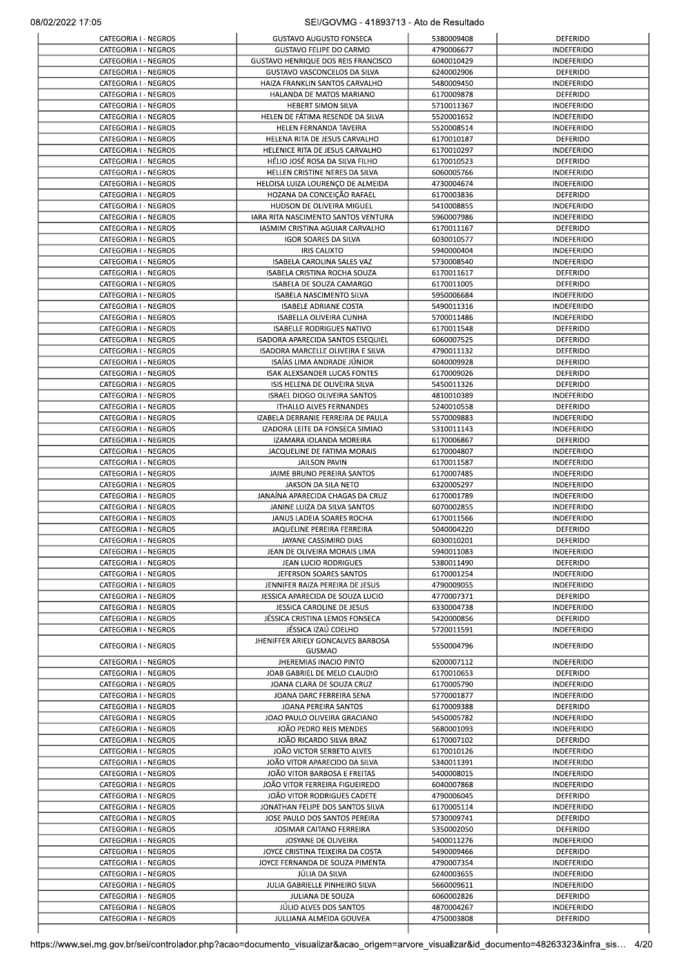| CATEGORIA I - NEGROS                         | <b>GUSTAVO AUGUSTO FONSECA</b>                          | 5380009408               | <b>DEFERIDO</b>                        |
|----------------------------------------------|---------------------------------------------------------|--------------------------|----------------------------------------|
|                                              | <b>GUSTAVO FELIPE DO CARMO</b>                          | 4790006677               | <b>INDEFERIDO</b>                      |
| CATEGORIA I - NEGROS                         | <b>GUSTAVO HENRIQUE DOS REIS FRANCISCO</b>              | 6040010429               | <b>INDEFERIDO</b>                      |
| CATEGORIA I - NEGROS                         | GUSTAVO VASCONCELOS DA SILVA                            | 6240002906               | <b>DEFERIDO</b>                        |
| CATEGORIA I - NEGROS                         | HAIZA FRANKLIN SANTOS CARVALHO                          | 5480009450               | <b>INDEFERIDO</b>                      |
| CATEGORIA I - NEGROS<br>CATEGORIA I - NEGROS | HALANDA DE MATOS MARIANO<br><b>HEBERT SIMON SILVA</b>   | 6170009878<br>5710011367 | DEFERIDO<br><b>INDEFERIDO</b>          |
| CATEGORIA I - NEGROS                         | HELEN DE FÁTIMA RESENDE DA SILVA                        | 5520001652               | <b>INDEFERIDO</b>                      |
| CATEGORIA I - NEGROS                         | HELEN FERNANDA TAVEIRA                                  | 5520008514               | <b>INDEFERIDO</b>                      |
| CATEGORIA I - NEGROS                         | HELENA RITA DE JESUS CARVALHO                           | 6170010187               | <b>DEFERIDO</b>                        |
| CATEGORIA I - NEGROS                         | HELENICE RITA DE JESUS CARVALHO                         | 6170010297               | <b>INDEFERIDO</b>                      |
| CATEGORIA I - NEGROS                         | HÉLIO JOSÉ ROSA DA SILVA FILHO                          | 6170010523               | <b>DEFERIDO</b>                        |
| CATEGORIA I - NEGROS                         | HELLEN CRISTINE NERES DA SILVA                          | 6060005766               | <b>INDEFERIDO</b>                      |
| CATEGORIA I - NEGROS                         | HELOISA LUIZA LOURENCO DE ALMEIDA                       | 4730004674               | <b>INDEFERIDO</b>                      |
| CATEGORIA I - NEGROS                         | HOZANA DA CONCEIÇÃO RAFAEL                              | 6170003836               | <b>DEFERIDO</b>                        |
| CATEGORIA I - NEGROS                         | HUDSON DE OLIVEIRA MIGUEL                               | 5410008855               | <b>INDEFERIDO</b>                      |
| CATEGORIA I - NEGROS                         | IARA RITA NASCIMENTO SANTOS VENTURA                     | 5960007986               | INDEFERIDO                             |
| CATEGORIA I - NEGROS                         | IASMIM CRISTINA AGUIAR CARVALHO                         | 6170011167               | DEFERIDO                               |
| CATEGORIA I - NEGROS                         | <b>IGOR SOARES DA SILVA</b>                             | 6030010577               | <b>INDEFERIDO</b>                      |
| CATEGORIA I - NEGROS                         | <b>IRIS CALIXTO</b>                                     | 5940000404               | <b>INDEFERIDO</b>                      |
| CATEGORIA I - NEGROS                         | <b>ISABELA CAROLINA SALES VAZ</b>                       | 5730008540               | <b>INDEFERIDO</b>                      |
| CATEGORIA I - NEGROS                         | ISABELA CRISTINA ROCHA SOUZA                            | 6170011617               | <b>DEFERIDO</b>                        |
| CATEGORIA I - NEGROS<br>CATEGORIA I - NEGROS | ISABELA DE SOUZA CAMARGO<br>ISABELA NASCIMENTO SILVA    | 6170011005<br>5950006684 | <b>DEFERIDO</b><br><b>INDEFERIDO</b>   |
| CATEGORIA I - NEGROS                         | <b>ISABELE ADRIANE COSTA</b>                            | 5490011316               | <b>INDEFERIDO</b>                      |
| CATEGORIA I - NEGROS                         | <b>ISABELLA OLIVEIRA CUNHA</b>                          | 5700011486               | INDEFERIDO                             |
| CATEGORIA I - NEGROS                         | <b>ISABELLE RODRIGUES NATIVO</b>                        | 6170011548               | DEFERIDO                               |
| CATEGORIA I - NEGROS                         | ISADORA APARECIDA SANTOS ESEQUIEL                       | 6060007525               | DEFERIDO                               |
| CATEGORIA I - NEGROS                         | ISADORA MARCELLE OLIVEIRA E SILVA                       | 4790011132               | <b>DEFERIDO</b>                        |
| CATEGORIA I - NEGROS                         | ISAÍAS LIMA ANDRADE JÚNIOR                              | 6040009928               | DEFERIDO                               |
| CATEGORIA I - NEGROS                         | <b>ISAK ALEXSANDER LUCAS FONTES</b>                     | 6170009026               | DEFERIDO                               |
| CATEGORIA I - NEGROS                         | ISIS HELENA DE OLIVEIRA SILVA                           | 5450011326               | <b>DEFERIDO</b>                        |
| CATEGORIA I - NEGROS                         | <b>ISRAEL DIOGO OLIVEIRA SANTOS</b>                     | 4810010389               | <b>INDEFERIDO</b>                      |
| CATEGORIA I - NEGROS                         | <b>ITHALLO ALVES FERNANDES</b>                          | 5240010558               | DEFERIDO                               |
| CATEGORIA I - NEGROS                         | IZABELA DERRANIE FERREIRA DE PAULA                      | 5570009883               | INDEFERIDO                             |
| CATEGORIA I - NEGROS                         | IZADORA LEITE DA FONSECA SIMIAO                         | 5310011143               | <b>INDEFERIDO</b>                      |
| CATEGORIA I - NEGROS                         | IZAMARA IOLANDA MOREIRA                                 | 6170006867               | DEFERIDO                               |
| CATEGORIA I - NEGROS                         | JACQUELINE DE FATIMA MORAIS                             | 6170004807               | <b>INDEFERIDO</b>                      |
| CATEGORIA I - NEGROS                         | <b>JAILSON PAVIN</b>                                    | 6170011587               | <b>INDEFERIDO</b>                      |
| CATEGORIA I - NEGROS                         | JAIME BRUNO PEREIRA SANTOS                              | 6170007485               | <b>INDEFERIDO</b><br><b>INDEFERIDO</b> |
| CATEGORIA I - NEGROS<br>CATEGORIA I - NEGROS | JAKSON DA SILA NETO<br>JANAÍNA APARECIDA CHAGAS DA CRUZ | 6320005297<br>6170001789 | <b>INDEFERIDO</b>                      |
| CATEGORIA I - NEGROS                         | JANINE LUIZA DA SILVA SANTOS                            | 6070002855               | <b>INDEFERIDO</b>                      |
| CATEGORIA I - NEGROS                         | JANUS LADEIA SOARES ROCHA                               | 6170011566               | <b>INDEFERIDO</b>                      |
| CATEGORIA I - NEGROS                         | JAQUELINE PEREIRA FERREIRA                              | 5040004220               | <b>DEFERIDO</b>                        |
| CATEGORIA I - NEGROS                         | JAYANE CASSIMIRO DIAS                                   | 6030010201               | <b>DEFERIDO</b>                        |
| CATEGORIA I - NEGROS                         | JEAN DE OLIVEIRA MORAIS LIMA                            | 5940011083               | <b>INDEFERIDO</b>                      |
| CATEGORIA I - NEGROS                         | JEAN LUCIO RODRIGUES                                    | 5380011490               | DEFERIDO                               |
| CATEGORIA I - NEGROS                         | JEFERSON SOARES SANTOS                                  | 6170001254               | <b>INDEFERIDO</b>                      |
| CATEGORIA I - NEGROS                         | JENNIFER RAIZA PEREIRA DE JESUS                         | 4790009055               | <b>INDEFERIDO</b>                      |
| CATEGORIA I - NEGROS                         | JESSICA APARECIDA DE SOUZA LUCIO                        | 4770007371               | DEFERIDO                               |
| CATEGORIA I - NEGROS                         | JESSICA CAROLINE DE JESUS                               | 6330004738               | <b>INDEFERIDO</b>                      |
| CATEGORIA I - NEGROS                         | JÉSSICA CRISTINA LEMOS FONSECA                          | 5420000856               | DEFERIDO                               |
| CATEGORIA I - NEGROS                         | JÉSSICA IZAÚ COELHO                                     | 5720011591               | <b>INDEFERIDO</b>                      |
| CATEGORIA I - NEGROS                         | JHENIFFER ARIELY GONCALVES BARBOSA                      | 5550004796               | <b>INDEFERIDO</b>                      |
| CATEGORIA I - NEGROS                         | <b>GUSMAO</b><br><b>JHEREMIAS INACIO PINTO</b>          | 6200007112               | <b>INDEFERIDO</b>                      |
| CATEGORIA I - NEGROS                         | JOAB GABRIEL DE MELO CLAUDIO                            | 6170010653               | DEFERIDO                               |
| CATEGORIA I - NEGROS                         | JOANA CLARA DE SOUZA CRUZ                               | 6170005790               | <b>INDEFERIDO</b>                      |
| CATEGORIA I - NEGROS                         | JOANA DARC FERREIRA SENA                                | 5770001877               | <b>INDEFERIDO</b>                      |
| CATEGORIA I - NEGROS                         | JOANA PEREIRA SANTOS                                    | 6170009388               | DEFERIDO                               |
| CATEGORIA I - NEGROS                         | JOAO PAULO OLIVEIRA GRACIANO                            | 5450005782               | <b>INDEFERIDO</b>                      |
| CATEGORIA I - NEGROS                         | JOÃO PEDRO REIS MENDES                                  | 5680001093               | <b>INDEFERIDO</b>                      |
| CATEGORIA I - NEGROS                         | JOÃO RICARDO SILVA BRAZ                                 | 6170007102               | DEFERIDO                               |
| CATEGORIA I - NEGROS                         | JOÃO VICTOR SERBETO ALVES                               | 6170010126               | <b>INDEFERIDO</b>                      |
| CATEGORIA I - NEGROS                         | JOÃO VITOR APARECIDO DA SILVA                           | 5340011391               | <b>INDEFERIDO</b>                      |
| CATEGORIA I - NEGROS                         | JOÃO VITOR BARBOSA E FREITAS                            | 5400008015               | <b>INDEFERIDO</b>                      |
| CATEGORIA I - NEGROS                         | JOÃO VITOR FERREIRA FIGUEIREDO                          | 6040007868               | <b>INDEFERIDO</b>                      |
| CATEGORIA I - NEGROS                         | JOÃO VITOR RODRIGUES CADETE                             | 4790006045               | DEFERIDO                               |
| CATEGORIA I - NEGROS                         | JONATHAN FELIPE DOS SANTOS SILVA                        | 6170005114               | <b>INDEFERIDO</b>                      |
| CATEGORIA I - NEGROS                         | JOSE PAULO DOS SANTOS PEREIRA                           | 5730009741               | DEFERIDO                               |
| CATEGORIA I - NEGROS                         | JOSIMAR CAITANO FERREIRA                                | 5350002050               | <b>DEFERIDO</b>                        |
| CATEGORIA I - NEGROS<br>CATEGORIA I - NEGROS | JOSYANE DE OLIVEIRA<br>JOYCE CRISTINA TEIXEIRA DA COSTA | 5400011276<br>5490009466 | <b>INDEFERIDO</b><br>DEFERIDO          |
| CATEGORIA I - NEGROS                         | JOYCE FERNANDA DE SOUZA PIMENTA                         | 4790007354               | <b>INDEFERIDO</b>                      |
| CATEGORIA I - NEGROS                         | JÚLIA DA SILVA                                          | 6240003655               | <b>INDEFERIDO</b>                      |
| CATEGORIA I - NEGROS                         | JULIA GABRIELLE PINHEIRO SILVA                          | 5660009611               | <b>INDEFERIDO</b>                      |
| CATEGORIA I - NEGROS                         | JULIANA DE SOUZA                                        | 6060002826               | <b>DEFERIDO</b>                        |
|                                              | JÚLIO ALVES DOS SANTOS                                  | 4870004267               | <b>INDEFERIDO</b>                      |
| CATEGORIA I - NEGROS                         |                                                         |                          | DEFERIDO                               |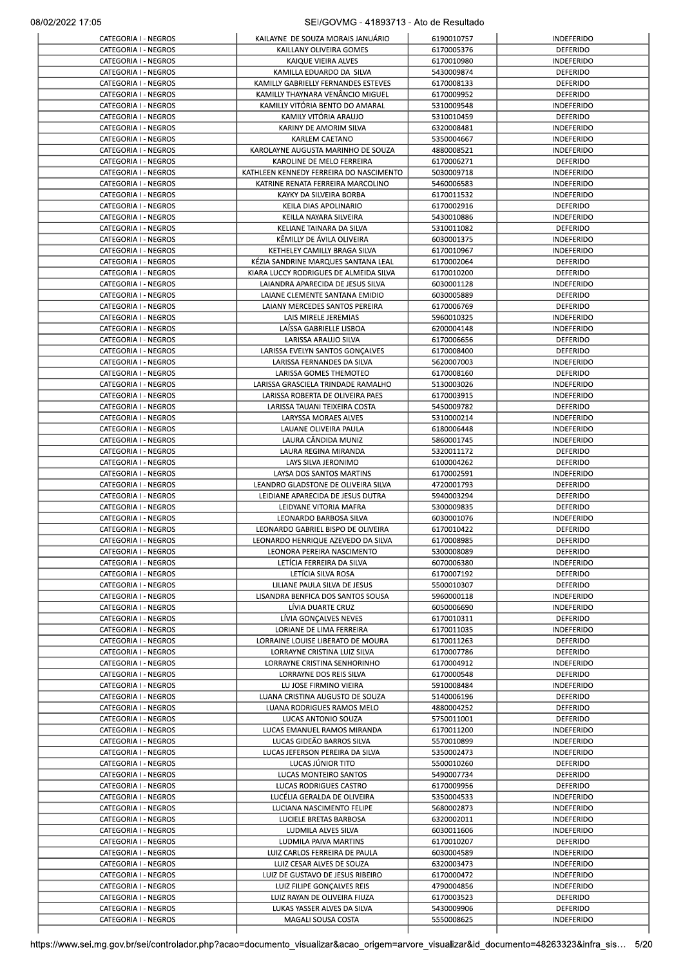|                                              | KAILAYNE DE SOUZA MORAIS JANUARIO                                 | 6190010757               | <b>INDEFERIDO</b>                      |
|----------------------------------------------|-------------------------------------------------------------------|--------------------------|----------------------------------------|
| CATEGORIA I - NEGROS                         | KAILLANY OLIVEIRA GOMES                                           | 6170005376               | DEFERIDO                               |
| CATEGORIA I - NEGROS<br>CATEGORIA I - NEGROS | KAIQUE VIEIRA ALVES<br>KAMILLA EDUARDO DA SILVA                   | 6170010980<br>5430009874 | <b>INDEFERIDO</b><br><b>DEFERIDO</b>   |
| CATEGORIA I - NEGROS                         | KAMILLY GABRIELLY FERNANDES ESTEVES                               | 6170008133               | DEFERIDO                               |
| CATEGORIA I - NEGROS                         | KAMILLY THAYNARA VENÂNCIO MIGUEL                                  | 6170009952               | <b>DEFERIDO</b>                        |
| CATEGORIA I - NEGROS                         | KAMILLY VITÓRIA BENTO DO AMARAL                                   | 5310009548               | <b>INDEFERIDO</b>                      |
| CATEGORIA I - NEGROS                         | KAMILY VITÓRIA ARAUJO                                             | 5310010459               | DEFERIDO                               |
| CATEGORIA I - NEGROS                         | KARINY DE AMORIM SILVA                                            | 6320008481               | INDEFERIDO                             |
| CATEGORIA I - NEGROS<br>CATEGORIA I - NEGROS | KARLEM CAETANO<br>KAROLAYNE AUGUSTA MARINHO DE SOUZA              | 5350004667<br>4880008521 | <b>INDEFERIDO</b><br><b>INDEFERIDO</b> |
| CATEGORIA I - NEGROS                         | KAROLINE DE MELO FERREIRA                                         | 6170006271               | <b>DEFERIDO</b>                        |
| CATEGORIA I - NEGROS                         | KATHLEEN KENNEDY FERREIRA DO NASCIMENTO                           | 5030009718               | <b>INDEFERIDO</b>                      |
| CATEGORIA I - NEGROS                         | KATRINE RENATA FERREIRA MARCOLINO                                 | 5460006583               | <b>INDEFERIDO</b>                      |
| CATEGORIA I - NEGROS                         | KAYKY DA SILVEIRA BORBA                                           | 6170011532               | INDEFERIDO                             |
| CATEGORIA I - NEGROS                         | KEILA DIAS APOLINARIO                                             | 6170002916               | DEFERIDO                               |
| CATEGORIA I - NEGROS<br>CATEGORIA I - NEGROS | KEILLA NAYARA SILVEIRA<br>KELIANE TAINARA DA SILVA                | 5430010886<br>5310011082 | <b>INDEFERIDO</b><br><b>DEFERIDO</b>   |
| CATEGORIA I - NEGROS                         | KËMILLY DE AVILA OLIVEIRA                                         | 6030001375               | <b>INDEFERIDO</b>                      |
| CATEGORIA I - NEGROS                         | KETHELEY CAMILLY BRAGA SILVA                                      | 6170010967               | <b>INDEFERIDO</b>                      |
| CATEGORIA I - NEGROS                         | KÉZIA SANDRINE MARQUES SANTANA LEAL                               | 6170002064               | <b>DEFERIDO</b>                        |
| CATEGORIA I - NEGROS                         | KIARA LUCCY RODRIGUES DE ALMEIDA SILVA                            | 6170010200               | DEFERIDO                               |
| CATEGORIA I - NEGROS                         | LAIANDRA APARECIDA DE JESUS SILVA                                 | 6030001128               | <b>INDEFERIDO</b>                      |
| CATEGORIA I - NEGROS                         | LAIANE CLEMENTE SANTANA EMIDIO                                    | 6030005889               | <b>DEFERIDO</b>                        |
| CATEGORIA I - NEGROS                         | LAIANY MERCEDES SANTOS PEREIRA                                    | 6170006769               | DEFERIDO                               |
| CATEGORIA I - NEGROS<br>CATEGORIA I - NEGROS | LAIS MIRELE JEREMIAS<br>LAÍSSA GABRIELLE LISBOA                   | 5960010325<br>6200004148 | INDEFERIDO<br>INDEFERIDO               |
| CATEGORIA I - NEGROS                         | LARISSA ARAUJO SILVA                                              | 6170006656               | DEFERIDO                               |
| CATEGORIA I - NEGROS                         | LARISSA EVELYN SANTOS GONÇALVES                                   | 6170008400               | <b>DEFERIDO</b>                        |
| CATEGORIA I - NEGROS                         | LARISSA FERNANDES DA SILVA                                        | 5620007003               | <b>INDEFERIDO</b>                      |
| CATEGORIA I - NEGROS                         | LARISSA GOMES THEMOTEO                                            | 6170008160               | DEFERIDO                               |
| CATEGORIA I - NEGROS                         | LARISSA GRASCIELA TRINDADE RAMALHO                                | 5130003026               | <b>INDEFERIDO</b>                      |
| CATEGORIA I - NEGROS<br>CATEGORIA I - NEGROS | LARISSA ROBERTA DE OLIVEIRA PAES<br>LARISSA TAUANI TEIXEIRA COSTA | 6170003915<br>5450009782 | <b>INDEFERIDO</b><br>DEFERIDO          |
| CATEGORIA I - NEGROS                         | LARYSSA MORAES ALVES                                              | 5310000214               | INDEFERIDO                             |
| CATEGORIA I - NEGROS                         | LAUANE OLIVEIRA PAULA                                             | 6180006448               | INDEFERIDO                             |
| CATEGORIA I - NEGROS                         | LAURA CÂNDIDA MUNIZ                                               | 5860001745               | INDEFERIDO                             |
| CATEGORIA I - NEGROS                         | LAURA REGINA MIRANDA                                              | 5320011172               | DEFERIDO                               |
| CATEGORIA I - NEGROS                         | LAYS SILVA JERONIMO                                               | 6100004262               | DEFERIDO                               |
| CATEGORIA I - NEGROS<br>CATEGORIA I - NEGROS | LAYSA DOS SANTOS MARTINS<br>LEANDRO GLADSTONE DE OLIVEIRA SILVA   | 6170002591               | <b>INDEFERIDO</b>                      |
| CATEGORIA I - NEGROS                         | LEIDIANE APARECIDA DE JESUS DUTRA                                 | 4720001793<br>5940003294 | DEFERIDO<br><b>DEFERIDO</b>            |
| CATEGORIA I - NEGROS                         | LEIDYANE VITORIA MAFRA                                            | 5300009835               | <b>DEFERIDO</b>                        |
| CATEGORIA I - NEGROS                         | LEONARDO BARBOSA SILVA                                            | 6030001076               | <b>INDEFERIDO</b>                      |
| CATEGORIA I - NEGROS                         | LEONARDO GABRIEL BISPO DE OLIVEIRA                                | 6170010422               | DEFERIDO                               |
| CATEGORIA I - NEGROS                         | LEONARDO HENRIQUE AZEVEDO DA SILVA                                | 6170008985               | <b>DEFERIDO</b>                        |
| CATEGORIA I - NEGROS                         | LEONORA PEREIRA NASCIMENTO                                        | 5300008089               | DEFERIDO                               |
| CATEGORIA I - NEGROS<br>CATEGORIA I - NEGROS | LETÍCIA FERREIRA DA SILVA                                         | 6070006380               | <b>INDEFERIDO</b>                      |
| CATEGORIA I - NEGROS                         | LETÍCIA SILVA ROSA<br>LILIANE PAULA SILVA DE JESUS                | 6170007192<br>5500010307 | DEFERIDO<br><b>DEFERIDO</b>            |
| CATEGORIA I - NEGROS                         | LISANDRA BENFICA DOS SANTOS SOUSA                                 | 5960000118               | <b>INDEFERIDO</b>                      |
| CATEGORIA I - NEGROS                         | LÍVIA DUARTE CRUZ                                                 | 6050006690               | <b>INDEFERIDO</b>                      |
| CATEGORIA I - NEGROS                         | LÍVIA GONÇALVES NEVES                                             | 6170010311               | <b>DEFERIDO</b>                        |
| CATEGORIA I - NEGROS                         | LORIANE DE LIMA FERREIRA                                          | 6170011035               | <b>INDEFERIDO</b>                      |
| CATEGORIA I - NEGROS                         | LORRAINE LOUISE LIBERATO DE MOURA                                 | 6170011263               | DEFERIDO                               |
| CATEGORIA I - NEGROS                         | LORRAYNE CRISTINA LUIZ SILVA                                      | 6170007786               | <b>DEFERIDO</b>                        |
| CATEGORIA I - NEGROS<br>CATEGORIA I - NEGROS | LORRAYNE CRISTINA SENHORINHO<br>LORRAYNE DOS REIS SILVA           | 6170004912<br>6170000548 | <b>INDEFERIDO</b><br>DEFERIDO          |
| CATEGORIA I - NEGROS                         | LU JOSE FIRMINO VIEIRA                                            | 5910008484               | <b>INDEFERIDO</b>                      |
| CATEGORIA I - NEGROS                         | LUANA CRISTINA AUGUSTO DE SOUZA                                   | 5140006196               | DEFERIDO                               |
| CATEGORIA I - NEGROS                         | LUANA RODRIGUES RAMOS MELO                                        | 4880004252               | DEFERIDO                               |
| CATEGORIA I - NEGROS                         | LUCAS ANTONIO SOUZA                                               | 5750011001               | <b>DEFERIDO</b>                        |
| CATEGORIA I - NEGROS                         | LUCAS EMANUEL RAMOS MIRANDA                                       | 6170011200               | <b>INDEFERIDO</b>                      |
| CATEGORIA I - NEGROS<br>CATEGORIA I - NEGROS | LUCAS GIDEÃO BARROS SILVA<br>LUCAS JEFERSON PEREIRA DA SILVA      | 5570010899<br>5350002473 | <b>INDEFERIDO</b><br><b>INDEFERIDO</b> |
| CATEGORIA I - NEGROS                         | LUCAS JÚNIOR TITO                                                 | 5500010260               | DEFERIDO                               |
| CATEGORIA I - NEGROS                         | LUCAS MONTEIRO SANTOS                                             | 5490007734               | <b>DEFERIDO</b>                        |
| CATEGORIA I - NEGROS                         | LUCAS RODRIGUES CASTRO                                            | 6170009956               | DEFERIDO                               |
| CATEGORIA I - NEGROS                         | LUCÉLIA GERALDA DE OLIVEIRA                                       | 5350004533               | <b>INDEFERIDO</b>                      |
| CATEGORIA I - NEGROS                         | LUCIANA NASCIMENTO FELIPE                                         | 5680002873               | <b>INDEFERIDO</b>                      |
| CATEGORIA I - NEGROS                         | LUCIELE BRETAS BARBOSA                                            | 6320002011               | <b>INDEFERIDO</b>                      |
| CATEGORIA I - NEGROS<br>CATEGORIA I - NEGROS | LUDMILA ALVES SILVA<br>LUDMILA PAIVA MARTINS                      | 6030011606<br>6170010207 | <b>INDEFERIDO</b><br><b>DEFERIDO</b>   |
| CATEGORIA I - NEGROS                         | LUIZ CARLOS FERREIRA DE PAULA                                     | 6030004589               | <b>INDEFERIDO</b>                      |
| CATEGORIA I - NEGROS                         | LUIZ CESAR ALVES DE SOUZA                                         | 6320003473               | <b>INDEFERIDO</b>                      |
| CATEGORIA I - NEGROS                         | LUIZ DE GUSTAVO DE JESUS RIBEIRO                                  | 6170000472               | <b>INDEFERIDO</b>                      |
| CATEGORIA I - NEGROS                         | LUIZ FILIPE GONÇALVES REIS                                        | 4790004856               | INDEFERIDO                             |
| CATEGORIA I - NEGROS                         | LUIZ RAYAN DE OLIVEIRA FIUZA                                      | 6170003523               | <b>DEFERIDO</b>                        |
| CATEGORIA I - NEGROS                         | LUKAS YASSER ALVES DA SILVA                                       | 5430009906               | DEFERIDO                               |
| CATEGORIA I - NEGROS                         | MAGALI SOUSA COSTA                                                | 5550008625               | <b>INDEFERIDO</b>                      |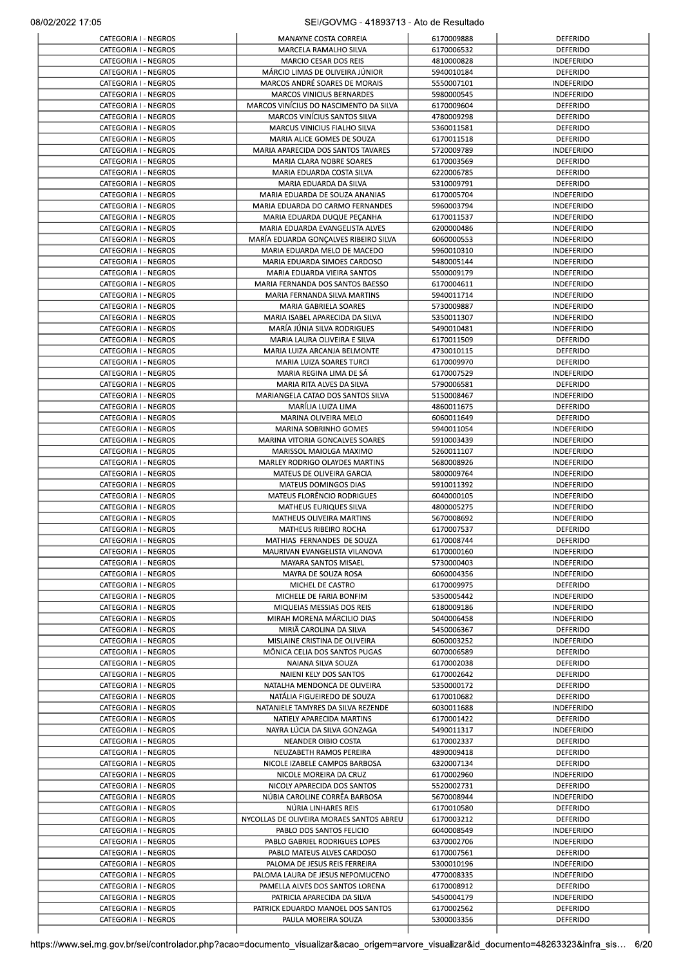|                                              | MANAYNE COSTA CORREIA                                                    | 6170009888               | <b>DEFERIDO</b>                        |
|----------------------------------------------|--------------------------------------------------------------------------|--------------------------|----------------------------------------|
| CATEGORIA I - NEGROS                         | MARCELA RAMALHO SILVA                                                    | 6170006532               | <b>DEFERIDO</b>                        |
| CATEGORIA I - NEGROS<br>CATEGORIA I - NEGROS | MARCIO CESAR DOS REIS<br>MÁRCIO LIMAS DE OLIVEIRA JÚNIOR                 | 4810000828<br>5940010184 | <b>INDEFERIDO</b><br><b>DEFERIDO</b>   |
| CATEGORIA I - NEGROS                         | MARCOS ANDRÉ SOARES DE MORAIS                                            | 5550007101               | <b>INDEFERIDO</b>                      |
| CATEGORIA I - NEGROS                         | <b>MARCOS VINICIUS BERNARDES</b>                                         | 5980000545               | INDEFERIDO                             |
| CATEGORIA I - NEGROS                         | MARCOS VINÍCIUS DO NASCIMENTO DA SILVA                                   | 6170009604               | DEFERIDO                               |
| CATEGORIA I - NEGROS                         | MARCOS VINÍCIUS SANTOS SILVA                                             | 4780009298               | <b>DEFERIDO</b>                        |
| CATEGORIA I - NEGROS                         | MARCUS VINICIUS FIALHO SILVA                                             | 5360011581               | <b>DEFERIDO</b>                        |
| CATEGORIA I - NEGROS<br>CATEGORIA I - NEGROS | MARIA ALICE GOMES DE SOUZA<br>MARIA APARECIDA DOS SANTOS TAVARES         | 6170011518<br>5720009789 | DEFERIDO<br><b>INDEFERIDO</b>          |
| CATEGORIA I - NEGROS                         | MARIA CLARA NOBRE SOARES                                                 | 6170003569               | <b>DEFERIDO</b>                        |
| CATEGORIA I - NEGROS                         | MARIA EDUARDA COSTA SILVA                                                | 6220006785               | <b>DEFERIDO</b>                        |
| CATEGORIA I - NEGROS                         | MARIA EDUARDA DA SILVA                                                   | 5310009791               | <b>DEFERIDO</b>                        |
| CATEGORIA I - NEGROS                         | MARIA EDUARDA DE SOUZA ANANIAS                                           | 6170005704               | <b>INDEFERIDO</b>                      |
| CATEGORIA I - NEGROS                         | MARIA EDUARDA DO CARMO FERNANDES                                         | 5960003794               | <b>INDEFERIDO</b>                      |
| CATEGORIA I - NEGROS                         | MARIA EDUARDA DUQUE PEÇANHA                                              | 6170011537               | <b>INDEFERIDO</b>                      |
| CATEGORIA I - NEGROS<br>CATEGORIA I - NEGROS | MARIA EDUARDA EVANGELISTA ALVES<br>MARÍA EDUARDA GONÇALVES RIBEIRO SILVA | 6200000486<br>6060000553 | <b>INDEFERIDO</b><br><b>INDEFERIDO</b> |
| CATEGORIA I - NEGROS                         | MARIA EDUARDA MELO DE MACEDO                                             | 5960010310               | <b>INDEFERIDO</b>                      |
| CATEGORIA I - NEGROS                         | MARIA EDUARDA SIMOES CARDOSO                                             | 5480005144               | <b>INDEFERIDO</b>                      |
| CATEGORIA I - NEGROS                         | MARIA EDUARDA VIEIRA SANTOS                                              | 5500009179               | <b>INDEFERIDO</b>                      |
| CATEGORIA I - NEGROS                         | MARIA FERNANDA DOS SANTOS BAESSO                                         | 6170004611               | <b>INDEFERIDO</b>                      |
| CATEGORIA I - NEGROS                         | MARIA FERNANDA SILVA MARTINS                                             | 5940011714               | INDEFERIDO                             |
| CATEGORIA I - NEGROS                         | MARIA GABRIELA SOARES                                                    | 5730009887               | <b>INDEFERIDO</b>                      |
| CATEGORIA I - NEGROS<br>CATEGORIA I - NEGROS | MARIA ISABEL APARECIDA DA SILVA<br>MARÍA JÚNIA SILVA RODRIGUES           | 5350011307<br>5490010481 | INDEFERIDO<br>INDEFERIDO               |
| CATEGORIA I - NEGROS                         | MARIA LAURA OLIVEIRA E SILVA                                             | 6170011509               | DEFERIDO                               |
| CATEGORIA I - NEGROS                         | MARIA LUIZA ARCANJA BELMONTE                                             | 4730010115               | DEFERIDO                               |
| CATEGORIA I - NEGROS                         | <b>MARIA LUIZA SOARES TURCI</b>                                          | 6170009970               | DEFERIDO                               |
| CATEGORIA I - NEGROS                         | MARIA REGINA LIMA DE SÁ                                                  | 6170007529               | <b>INDEFERIDO</b>                      |
| CATEGORIA I - NEGROS                         | MARIA RITA ALVES DA SILVA                                                | 5790006581               | <b>DEFERIDO</b>                        |
| CATEGORIA I - NEGROS                         | MARIANGELA CATAO DOS SANTOS SILVA                                        | 5150008467               | <b>INDEFERIDO</b>                      |
| CATEGORIA I - NEGROS<br>CATEGORIA I - NEGROS | MARÍLIA LUIZA LIMA<br>MARINA OLIVEIRA MELO                               | 4860011675<br>6060011649 | <b>DEFERIDO</b><br><b>DEFERIDO</b>     |
| CATEGORIA I - NEGROS                         | MARINA SOBRINHO GOMES                                                    | 5940011054               | <b>INDEFERIDO</b>                      |
| CATEGORIA I - NEGROS                         | MARINA VITORIA GONCALVES SOARES                                          | 5910003439               | <b>INDEFERIDO</b>                      |
| CATEGORIA I - NEGROS                         | MARISSOL MAIOLGA MAXIMO                                                  | 5260011107               | <b>INDEFERIDO</b>                      |
| CATEGORIA I - NEGROS                         | MARLEY RODRIGO OLAYDES MARTINS                                           | 5680008926               | <b>INDEFERIDO</b>                      |
| CATEGORIA I - NEGROS                         | MATEUS DE OLIVEIRA GARCIA                                                | 5800009764               | <b>INDEFERIDO</b>                      |
| CATEGORIA I - NEGROS<br>CATEGORIA I - NEGROS | MATEUS DOMINGOS DIAS<br>MATEUS FLORÊNCIO RODRIGUES                       | 5910011392<br>6040000105 | <b>INDEFERIDO</b><br><b>INDEFERIDO</b> |
| CATEGORIA I - NEGROS                         | <b>MATHEUS EURIQUES SILVA</b>                                            | 4800005275               | <b>INDEFERIDO</b>                      |
| CATEGORIA I - NEGROS                         | MATHEUS OLIVEIRA MARTINS                                                 | 5670008692               | <b>INDEFERIDO</b>                      |
| CATEGORIA I - NEGROS                         | MATHEUS RIBEIRO ROCHA                                                    | 6170007537               | <b>DEFERIDO</b>                        |
| CATEGORIA I - NEGROS                         | MATHIAS FERNANDES DE SOUZA                                               | 6170008744               | DEFERIDO                               |
| CATEGORIA I - NEGROS                         | MAURIVAN EVANGELISTA VILANOVA                                            | 6170000160               | <b>INDEFERIDO</b>                      |
| CATEGORIA I - NEGROS<br>CATEGORIA I - NEGROS | MAYARA SANTOS MISAEL<br>MAYRA DE SOUZA ROSA                              | 5730000403<br>6060004356 | <b>INDEFERIDO</b><br><b>INDEFERIDO</b> |
| CATEGORIA I - NEGROS                         | MICHEL DE CASTRO                                                         | 6170009975               | DEFERIDO                               |
| CATEGORIA I - NEGROS                         | MICHELE DE FARIA BONFIM                                                  | 5350005442               | <b>INDEFERIDO</b>                      |
| CATEGORIA I - NEGROS                         | MIQUEIAS MESSIAS DOS REIS                                                | 6180009186               | <b>INDEFERIDO</b>                      |
| CATEGORIA I - NEGROS                         | MIRAH MORENA MÁRCILIO DIAS                                               | 5040006458               | <b>INDEFERIDO</b>                      |
| CATEGORIA I - NEGROS                         | MIRIÃ CAROLINA DA SILVA                                                  | 5450006367               | <b>DEFERIDO</b>                        |
| CATEGORIA I - NEGROS                         | MISLAINE CRISTINA DE OLIVEIRA                                            | 6060003252               | <b>INDEFERIDO</b>                      |
| CATEGORIA I - NEGROS<br>CATEGORIA I - NEGROS | MÔNICA CELIA DOS SANTOS PUGAS<br>NAIANA SILVA SOUZA                      | 6070006589<br>6170002038 | <b>DEFERIDO</b><br>DEFERIDO            |
| CATEGORIA I - NEGROS                         | NAIENI KELY DOS SANTOS                                                   | 6170002642               | DEFERIDO                               |
| CATEGORIA I - NEGROS                         | NATALHA MENDONCA DE OLIVEIRA                                             | 5350000172               | <b>DEFERIDO</b>                        |
| CATEGORIA I - NEGROS                         | NATÁLIA FIGUEIREDO DE SOUZA                                              | 6170010682               | DEFERIDO                               |
| CATEGORIA I - NEGROS                         | NATANIELE TAMYRES DA SILVA REZENDE                                       | 6030011688               | <b>INDEFERIDO</b>                      |
| CATEGORIA I - NEGROS                         | NATIELY APARECIDA MARTINS                                                | 6170001422               | <b>DEFERIDO</b>                        |
| CATEGORIA I - NEGROS                         | NAYRA LÚCIA DA SILVA GONZAGA                                             | 5490011317               | <b>INDEFERIDO</b>                      |
| CATEGORIA I - NEGROS<br>CATEGORIA I - NEGROS | NEANDER OIBIO COSTA<br>NEUZABETH RAMOS PEREIRA                           | 6170002337<br>4890009418 | <b>DEFERIDO</b><br>DEFERIDO            |
| CATEGORIA I - NEGROS                         | NICOLE IZABELE CAMPOS BARBOSA                                            | 6320007134               | DEFERIDO                               |
| CATEGORIA I - NEGROS                         | NICOLE MOREIRA DA CRUZ                                                   | 6170002960               | <b>INDEFERIDO</b>                      |
| CATEGORIA I - NEGROS                         | NICOLY APARECIDA DOS SANTOS                                              | 5520002731               | DEFERIDO                               |
| CATEGORIA I - NEGROS                         | NÚBIA CAROLINE CORRÊA BARBOSA                                            | 5670008944               | INDEFERIDO                             |
| CATEGORIA I - NEGROS                         | NÚRIA LINHARES REIS                                                      | 6170010580               | DEFERIDO                               |
| CATEGORIA I - NEGROS                         | NYCOLLAS DE OLIVEIRA MORAES SANTOS ABREU                                 | 6170003212               | DEFERIDO                               |
| CATEGORIA I - NEGROS<br>CATEGORIA I - NEGROS | PABLO DOS SANTOS FELICIO<br>PABLO GABRIEL RODRIGUES LOPES                | 6040008549<br>6370002706 | <b>INDEFERIDO</b><br><b>INDEFERIDO</b> |
| CATEGORIA I - NEGROS                         | PABLO MATEUS ALVES CARDOSO                                               | 6170007561               | <b>DEFERIDO</b>                        |
| CATEGORIA I - NEGROS                         | PALOMA DE JESUS REIS FERREIRA                                            | 5300010196               | <b>INDEFERIDO</b>                      |
| CATEGORIA I - NEGROS                         | PALOMA LAURA DE JESUS NEPOMUCENO                                         | 4770008335               | <b>INDEFERIDO</b>                      |
| CATEGORIA I - NEGROS                         | PAMELLA ALVES DOS SANTOS LORENA                                          | 6170008912               | DEFERIDO                               |
| CATEGORIA I - NEGROS                         | PATRICIA APARECIDA DA SILVA                                              | 5450004179               | <b>INDEFERIDO</b>                      |
| CATEGORIA I - NEGROS                         | PATRICK EDUARDO MANOEL DOS SANTOS                                        | 6170002562<br>5300003356 | DEFERIDO                               |
| CATEGORIA I - NEGROS                         | PAULA MOREIRA SOUZA                                                      |                          | <b>DEFERIDO</b>                        |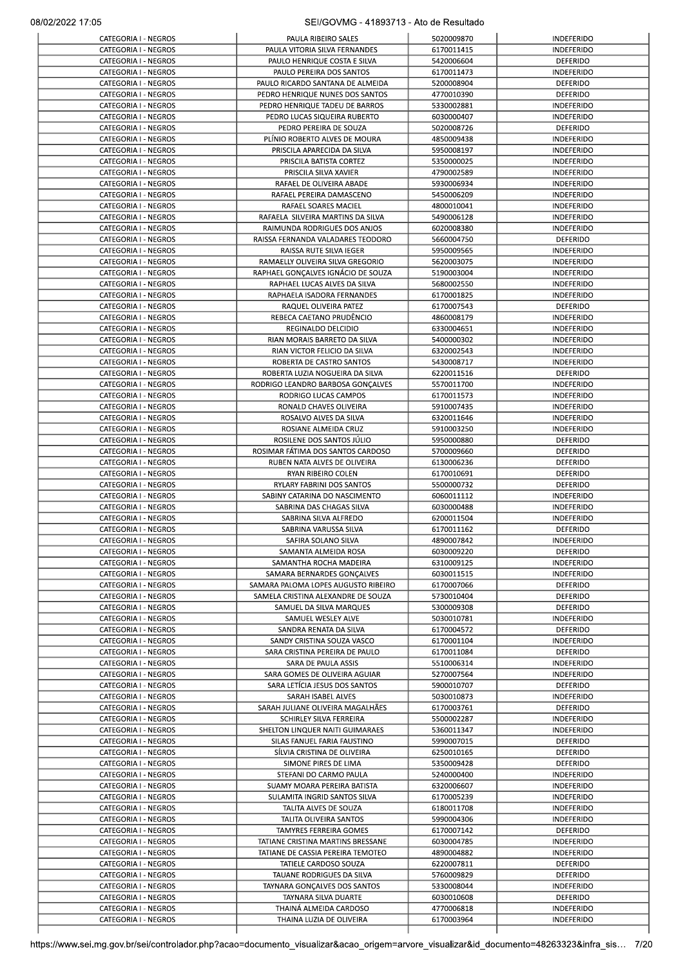| CATEGORIA I - NEGROS        | PAULA RIBEIRO SALES                 | 5020009870 | INDEFERIDO        |
|-----------------------------|-------------------------------------|------------|-------------------|
|                             | PAULA VITORIA SILVA FERNANDES       | 6170011415 | <b>INDEFERIDO</b> |
| CATEGORIA I - NEGROS        | PAULO HENRIQUE COSTA E SILVA        | 5420006604 | <b>DEFERIDO</b>   |
| CATEGORIA I - NEGROS        | PAULO PEREIRA DOS SANTOS            | 6170011473 | <b>INDEFERIDO</b> |
| CATEGORIA I - NEGROS        | PAULO RICARDO SANTANA DE ALMEIDA    | 5200008904 | DEFERIDO          |
| CATEGORIA I - NEGROS        | PEDRO HENRIQUE NUNES DOS SANTOS     | 4770010390 | DEFERIDO          |
| CATEGORIA I - NEGROS        | PEDRO HENRIQUE TADEU DE BARROS      | 5330002881 | <b>INDEFERIDO</b> |
| CATEGORIA I - NEGROS        | PEDRO LUCAS SIQUEIRA RUBERTO        | 6030000407 | <b>INDEFERIDO</b> |
| CATEGORIA I - NEGROS        | PEDRO PEREIRA DE SOUZA              | 5020008726 | DEFERIDO          |
| CATEGORIA I - NEGROS        | PLÍNIO ROBERTO ALVES DE MOURA       | 4850009438 | <b>INDEFERIDO</b> |
| CATEGORIA I - NEGROS        | PRISCILA APARECIDA DA SILVA         | 5950008197 | <b>INDEFERIDO</b> |
| CATEGORIA I - NEGROS        | PRISCILA BATISTA CORTEZ             | 5350000025 | <b>INDEFERIDO</b> |
| CATEGORIA I - NEGROS        | PRISCILA SILVA XAVIER               | 4790002589 | INDEFERIDO        |
| CATEGORIA I - NEGROS        | RAFAEL DE OLIVEIRA ABADE            | 5930006934 | <b>INDEFERIDO</b> |
| CATEGORIA I - NEGROS        | RAFAEL PEREIRA DAMASCENO            | 5450006209 | <b>INDEFERIDO</b> |
| CATEGORIA I - NEGROS        | RAFAEL SOARES MACIEL                | 4800010041 | <b>INDEFERIDO</b> |
| CATEGORIA I - NEGROS        | RAFAELA SILVEIRA MARTINS DA SILVA   | 5490006128 | <b>INDEFERIDO</b> |
| CATEGORIA I - NEGROS        | RAIMUNDA RODRIGUES DOS ANJOS        | 6020008380 | <b>INDEFERIDO</b> |
| CATEGORIA I - NEGROS        | RAISSA FERNANDA VALADARES TEODORO   | 5660004750 | DEFERIDO          |
| CATEGORIA I - NEGROS        | RAISSA RUTE SILVA IEGER             | 5950009565 | <b>INDEFERIDO</b> |
| CATEGORIA I - NEGROS        | RAMAELLY OLIVEIRA SILVA GREGORIO    | 5620003075 | <b>INDEFERIDO</b> |
| CATEGORIA I - NEGROS        | RAPHAEL GONÇALVES IGNÁCIO DE SOUZA  | 5190003004 | <b>INDEFERIDO</b> |
| CATEGORIA I - NEGROS        | RAPHAEL LUCAS ALVES DA SILVA        | 5680002550 | INDEFERIDO        |
| CATEGORIA I - NEGROS        | RAPHAELA ISADORA FERNANDES          | 6170001825 | <b>INDEFERIDO</b> |
| CATEGORIA I - NEGROS        | RAQUEL OLIVEIRA PATEZ               | 6170007543 | DEFERIDO          |
| CATEGORIA I - NEGROS        | REBECA CAETANO PRUDÊNCIO            | 4860008179 | INDEFERIDO        |
| CATEGORIA I - NEGROS        | REGINALDO DELCIDIO                  | 6330004651 | INDEFERIDO        |
| CATEGORIA I - NEGROS        | RIAN MORAIS BARRETO DA SILVA        | 5400000302 | <b>INDEFERIDO</b> |
| CATEGORIA I - NEGROS        | RIAN VICTOR FELICIO DA SILVA        | 6320002543 | <b>INDEFERIDO</b> |
| CATEGORIA I - NEGROS        | ROBERTA DE CASTRO SANTOS            | 5430008717 | <b>INDEFERIDO</b> |
| CATEGORIA I - NEGROS        | ROBERTA LUZIA NOGUEIRA DA SILVA     | 6220011516 | DEFERIDO          |
| CATEGORIA I - NEGROS        | RODRIGO LEANDRO BARBOSA GONÇALVES   | 5570011700 | <b>INDEFERIDO</b> |
| CATEGORIA I - NEGROS        | RODRIGO LUCAS CAMPOS                | 6170011573 | <b>INDEFERIDO</b> |
| CATEGORIA I - NEGROS        | RONALD CHAVES OLIVEIRA              | 5910007435 | <b>INDEFERIDO</b> |
| CATEGORIA I - NEGROS        | ROSALVO ALVES DA SILVA              | 6320011646 | INDEFERIDO        |
| CATEGORIA I - NEGROS        | ROSIANE ALMEIDA CRUZ                | 5910003250 | <b>INDEFERIDO</b> |
| CATEGORIA I - NEGROS        | ROSILENE DOS SANTOS JÚLIO           | 5950000880 | <b>DEFERIDO</b>   |
| CATEGORIA I - NEGROS        | ROSIMAR FÁTIMA DOS SANTOS CARDOSO   | 5700009660 | DEFERIDO          |
| CATEGORIA I - NEGROS        | RUBEN NATA ALVES DE OLIVEIRA        | 6130006236 | DEFERIDO          |
| CATEGORIA I - NEGROS        | RYAN RIBEIRO COLEN                  | 6170010691 | DEFERIDO          |
| CATEGORIA I - NEGROS        | RYLARY FABRINI DOS SANTOS           | 5500000732 | <b>DEFERIDO</b>   |
| CATEGORIA I - NEGROS        | SABINY CATARINA DO NASCIMENTO       | 6060011112 | <b>INDEFERIDO</b> |
| CATEGORIA I - NEGROS        | SABRINA DAS CHAGAS SILVA            | 6030000488 | <b>INDEFERIDO</b> |
| CATEGORIA I - NEGROS        | SABRINA SILVA ALFREDO               | 6200011504 | <b>INDEFERIDO</b> |
| CATEGORIA I - NEGROS        | SABRINA VARUSSA SILVA               | 6170011162 | DEFERIDO          |
| CATEGORIA I - NEGROS        | SAFIRA SOLANO SILVA                 | 4890007842 | <b>INDEFERIDO</b> |
| CATEGORIA I - NEGROS        | SAMANTA ALMEIDA ROSA                | 6030009220 | <b>DEFERIDO</b>   |
| CATEGORIA I - NEGROS        | SAMANTHA ROCHA MADEIRA              | 6310009125 | <b>INDEFERIDO</b> |
| CATEGORIA I - NEGROS        | SAMARA BERNARDES GONÇALVES          | 6030011515 | <b>INDEFERIDO</b> |
| CATEGORIA I - NEGROS        | SAMARA PALOMA LOPES AUGUSTO RIBEIRO | 6170007066 | DEFERIDO          |
| CATEGORIA I - NEGROS        | SAMELA CRISTINA ALEXANDRE DE SOUZA  | 5730010404 | DEFERIDO          |
| CATEGORIA I - NEGROS        | SAMUEL DA SILVA MARQUES             | 5300009308 | <b>DEFERIDO</b>   |
| CATEGORIA I - NEGROS        | SAMUEL WESLEY ALVE                  | 5030010781 | <b>INDEFERIDO</b> |
| <b>CATEGORIA I - NEGROS</b> | SANDRA RENATA DA SILVA              | 6170004572 | <b>DEFERIDO</b>   |
| CATEGORIA I - NEGROS        | SANDY CRISTINA SOUZA VASCO          | 6170001104 | <b>INDEFERIDO</b> |
| CATEGORIA I - NEGROS        | SARA CRISTINA PEREIRA DE PAULO      | 6170011084 | DEFERIDO          |
| CATEGORIA I - NEGROS        | SARA DE PAULA ASSIS                 | 5510006314 | <b>INDEFERIDO</b> |
| CATEGORIA I - NEGROS        | SARA GOMES DE OLIVEIRA AGUIAR       | 5270007564 | <b>INDEFERIDO</b> |
| CATEGORIA I - NEGROS        | SARA LETÍCIA JESUS DOS SANTOS       | 5900010707 | DEFERIDO          |
| CATEGORIA I - NEGROS        | SARAH ISABEL ALVES                  | 5030010873 | <b>INDEFERIDO</b> |
| CATEGORIA I - NEGROS        | SARAH JULIANE OLIVEIRA MAGALHÃES    | 6170003761 | DEFERIDO          |
| CATEGORIA I - NEGROS        | SCHIRLEY SILVA FERREIRA             | 5500002287 | <b>INDEFERIDO</b> |
| CATEGORIA I - NEGROS        | SHELTON LINQUER NAITI GUIMARAES     | 5360011347 | <b>INDEFERIDO</b> |
| CATEGORIA I - NEGROS        | SILAS FANUEL FARIA FAUSTINO         | 5990007015 | <b>DEFERIDO</b>   |
| CATEGORIA I - NEGROS        | SÍLVIA CRISTINA DE OLIVEIRA         | 6250010165 | <b>DEFERIDO</b>   |
| CATEGORIA I - NEGROS        | SIMONE PIRES DE LIMA                | 5350009428 | <b>DEFERIDO</b>   |
| CATEGORIA I - NEGROS        | STEFANI DO CARMO PAULA              | 5240000400 | <b>INDEFERIDO</b> |
| CATEGORIA I - NEGROS        | SUAMY MOARA PEREIRA BATISTA         | 6320006607 | <b>INDEFERIDO</b> |
| CATEGORIA I - NEGROS        | SULAMITA INGRID SANTOS SILVA        | 6170005239 | <b>INDEFERIDO</b> |
| CATEGORIA I - NEGROS        | TALITA ALVES DE SOUZA               | 6180011708 | <b>INDEFERIDO</b> |
| CATEGORIA I - NEGROS        | TALITA OLIVEIRA SANTOS              | 5990004306 | <b>INDEFERIDO</b> |
| CATEGORIA I - NEGROS        | TAMYRES FERREIRA GOMES              | 6170007142 | DEFERIDO          |
| CATEGORIA I - NEGROS        | TATIANE CRISTINA MARTINS BRESSANE   | 6030004785 | <b>INDEFERIDO</b> |
| CATEGORIA I - NEGROS        | TATIANE DE CASSIA PEREIRA TEMOTEO   | 4890004882 | <b>INDEFERIDO</b> |
| CATEGORIA I - NEGROS        | TATIELE CARDOSO SOUZA               | 6220007811 | DEFERIDO          |
| CATEGORIA I - NEGROS        | TAUANE RODRIGUES DA SILVA           | 5760009829 | DEFERIDO          |
| CATEGORIA I - NEGROS        | TAYNARA GONÇALVES DOS SANTOS        | 5330008044 | <b>INDEFERIDO</b> |
| CATEGORIA I - NEGROS        | TAYNARA SILVA DUARTE                | 6030010608 | <b>DEFERIDO</b>   |
|                             | THAINÁ ALMEIDA CARDOSO              | 4770006818 | <b>INDEFERIDO</b> |
| CATEGORIA I - NEGROS        | THAINA LUZIA DE OLIVEIRA            | 6170003964 | <b>INDEFERIDO</b> |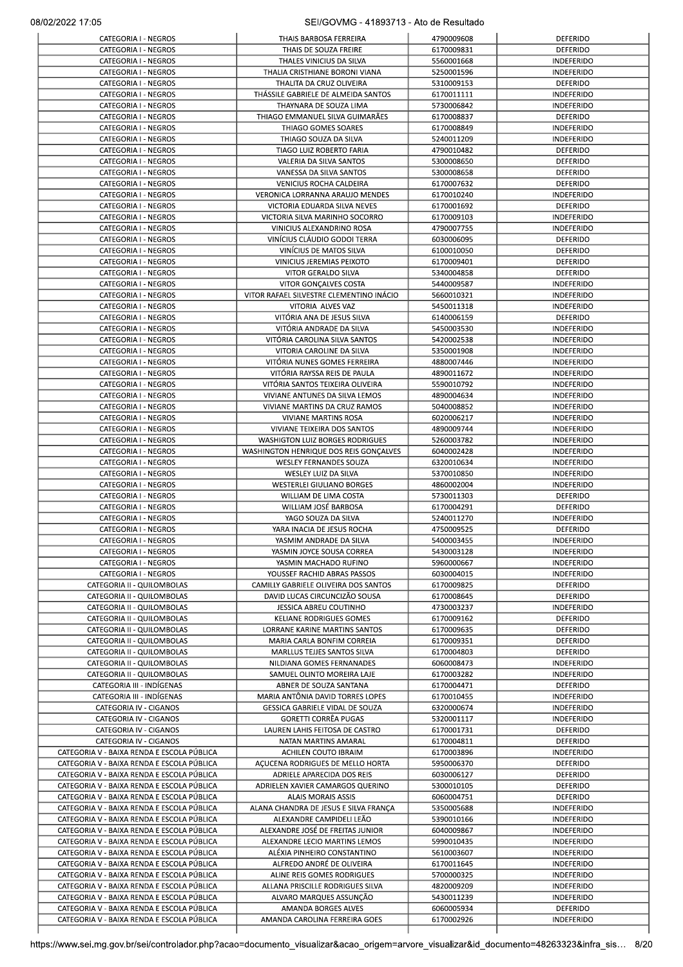|                                                                                          | THAIS BARBOSA FERREIRA                                                    | 4790009608               | DEFERIDO                               |
|------------------------------------------------------------------------------------------|---------------------------------------------------------------------------|--------------------------|----------------------------------------|
| CATEGORIA I - NEGROS                                                                     | THAIS DE SOUZA FREIRE                                                     | 6170009831               | DEFERIDO                               |
| CATEGORIA I - NEGROS<br>CATEGORIA I - NEGROS                                             | THALES VINICIUS DA SILVA<br>THALIA CRISTHIANE BORONI VIANA                | 5560001668<br>5250001596 | <b>INDEFERIDO</b><br><b>INDEFERIDO</b> |
| CATEGORIA I - NEGROS                                                                     | THALITA DA CRUZ OLIVEIRA                                                  | 5310009153               | DEFERIDO                               |
| CATEGORIA I - NEGROS                                                                     | THÁSSILE GABRIELE DE ALMEIDA SANTOS                                       | 6170011111               | <b>INDEFERIDO</b>                      |
| CATEGORIA I - NEGROS                                                                     | THAYNARA DE SOUZA LIMA                                                    | 5730006842               | INDEFERIDO                             |
| CATEGORIA I - NEGROS                                                                     | THIAGO EMMANUEL SILVA GUIMARÃES                                           | 6170008837               | DEFERIDO                               |
| CATEGORIA I - NEGROS                                                                     | THIAGO GOMES SOARES                                                       | 6170008849               | <b>INDEFERIDO</b>                      |
| CATEGORIA I - NEGROS                                                                     | THIAGO SOUZA DA SILVA                                                     | 5240011209               | <b>INDEFERIDO</b>                      |
| CATEGORIA I - NEGROS<br>CATEGORIA I - NEGROS                                             | TIAGO LUIZ ROBERTO FARIA<br>VALERIA DA SILVA SANTOS                       | 4790010482<br>5300008650 | <b>DEFERIDO</b><br><b>DEFERIDO</b>     |
| CATEGORIA I - NEGROS                                                                     | VANESSA DA SILVA SANTOS                                                   | 5300008658               | DEFERIDO                               |
| CATEGORIA I - NEGROS                                                                     | <b>VENICIUS ROCHA CALDEIRA</b>                                            | 6170007632               | <b>DEFERIDO</b>                        |
| CATEGORIA I - NEGROS                                                                     | VERONICA LORRANNA ARAUJO MENDES                                           | 6170010240               | <b>INDEFERIDO</b>                      |
| CATEGORIA I - NEGROS                                                                     | VICTORIA EDUARDA SILVA NEVES                                              | 6170001692               | DEFERIDO                               |
| CATEGORIA I - NEGROS                                                                     | VICTORIA SILVA MARINHO SOCORRO                                            | 6170009103               | <b>INDEFERIDO</b>                      |
| CATEGORIA I - NEGROS                                                                     | VINICIUS ALEXANDRINO ROSA                                                 | 4790007755               | <b>INDEFERIDO</b>                      |
| CATEGORIA I - NEGROS<br>CATEGORIA I - NEGROS                                             | VINÍCIUS CLÁUDIO GODOI TERRA<br>VINÍCIUS DE MATOS SILVA                   | 6030006095<br>6100010050 | DEFERIDO<br>DEFERIDO                   |
| CATEGORIA I - NEGROS                                                                     | VINICIUS JEREMIAS PEIXOTO                                                 | 6170009401               | <b>DEFERIDO</b>                        |
| CATEGORIA I - NEGROS                                                                     | VITOR GERALDO SILVA                                                       | 5340004858               | <b>DEFERIDO</b>                        |
| CATEGORIA I - NEGROS                                                                     | VITOR GONCALVES COSTA                                                     | 5440009587               | <b>INDEFERIDO</b>                      |
| CATEGORIA I - NEGROS                                                                     | VITOR RAFAEL SILVESTRE CLEMENTINO INÁCIO                                  | 5660010321               | <b>INDEFERIDO</b>                      |
| CATEGORIA I - NEGROS                                                                     | VITORIA ALVES VAZ                                                         | 5450011318               | <b>INDEFERIDO</b>                      |
| CATEGORIA I - NEGROS                                                                     | VITÓRIA ANA DE JESUS SILVA                                                | 6140006159               | DEFERIDO                               |
| CATEGORIA I - NEGROS                                                                     | VITÓRIA ANDRADE DA SILVA                                                  | 5450003530               | <b>INDEFERIDO</b>                      |
| CATEGORIA I - NEGROS<br>CATEGORIA I - NEGROS                                             | VITÓRIA CAROLINA SILVA SANTOS<br>VITORIA CAROLINE DA SILVA                | 5420002538<br>5350001908 | INDEFERIDO<br>INDEFERIDO               |
| CATEGORIA I - NEGROS                                                                     | VITÓRIA NUNES GOMES FERREIRA                                              | 4880007446               | <b>INDEFERIDO</b>                      |
| CATEGORIA I - NEGROS                                                                     | VITÓRIA RAYSSA REIS DE PAULA                                              | 4890011672               | <b>INDEFERIDO</b>                      |
| CATEGORIA I - NEGROS                                                                     | VITÓRIA SANTOS TEIXEIRA OLIVEIRA                                          | 5590010792               | <b>INDEFERIDO</b>                      |
| CATEGORIA I - NEGROS                                                                     | VIVIANE ANTUNES DA SILVA LEMOS                                            | 4890004634               | <b>INDEFERIDO</b>                      |
| CATEGORIA I - NEGROS                                                                     | VIVIANE MARTINS DA CRUZ RAMOS                                             | 5040008852               | <b>INDEFERIDO</b>                      |
| CATEGORIA I - NEGROS                                                                     | <b>VIVIANE MARTINS ROSA</b>                                               | 6020006217               | <b>INDEFERIDO</b>                      |
| CATEGORIA I - NEGROS                                                                     | VIVIANE TEIXEIRA DOS SANTOS                                               | 4890009744               | INDEFERIDO                             |
| CATEGORIA I - NEGROS<br>CATEGORIA I - NEGROS                                             | WASHIGTON LUIZ BORGES RODRIGUES<br>WASHINGTON HENRIQUE DOS REIS GONÇALVES | 5260003782<br>6040002428 | <b>INDEFERIDO</b><br><b>INDEFERIDO</b> |
| CATEGORIA I - NEGROS                                                                     | WESLEY FERNANDES SOUZA                                                    | 6320010634               | <b>INDEFERIDO</b>                      |
| CATEGORIA I - NEGROS                                                                     | WESLEY LUIZ DA SILVA                                                      | 5370010850               | <b>INDEFERIDO</b>                      |
| CATEGORIA I - NEGROS                                                                     | <b>WESTERLEI GIULIANO BORGES</b>                                          | 4860002004               | <b>INDEFERIDO</b>                      |
| CATEGORIA I - NEGROS                                                                     | WILLIAM DE LIMA COSTA                                                     | 5730011303               | <b>DEFERIDO</b>                        |
| CATEGORIA I - NEGROS                                                                     | WILLIAM JOSÉ BARBOSA                                                      | 6170004291               | DEFERIDO                               |
| CATEGORIA I - NEGROS                                                                     | YAGO SOUZA DA SILVA                                                       | 5240011270               | <b>INDEFERIDO</b>                      |
| CATEGORIA I - NEGROS                                                                     | YARA INACIA DE JESUS ROCHA                                                | 4750009525               | <b>DEFERIDO</b>                        |
| CATEGORIA I - NEGROS<br>CATEGORIA I - NEGROS                                             | YASMIM ANDRADE DA SILVA<br>YASMIN JOYCE SOUSA CORREA                      | 5400003455<br>5430003128 | <b>INDEFERIDO</b><br><b>INDEFERIDO</b> |
| CATEGORIA I - NEGROS                                                                     | YASMIN MACHADO RUFINO                                                     | 5960000667               | <b>INDEFERIDO</b>                      |
| CATEGORIA I - NEGROS                                                                     | YOUSSEF RACHID ABRAS PASSOS                                               | 6030004015               | <b>INDEFERIDO</b>                      |
| CATEGORIA II - QUILOMBOLAS                                                               | CAMILLY GABRIELE OLIVEIRA DOS SANTOS                                      | 6170009825               | DEFERIDO                               |
| CATEGORIA II - QUILOMBOLAS                                                               | DAVID LUCAS CIRCUNCIZÃO SOUSA                                             | 6170008645               | <b>DEFERIDO</b>                        |
| CATEGORIA II - QUILOMBOLAS                                                               | <b>JESSICA ABREU COUTINHO</b>                                             | 4730003237               | <b>INDEFERIDO</b>                      |
| CATEGORIA II - QUILOMBOLAS                                                               | <b>KELIANE RODRIGUES GOMES</b>                                            | 6170009162               | DEFERIDO                               |
| CATEGORIA II - QUILOMBOLAS                                                               | LORRANE KARINE MARTINS SANTOS<br>MARIA CARLA BONFIM CORREIA               | 6170009635               | <b>DEFERIDO</b>                        |
| CATEGORIA II - QUILOMBOLAS<br>CATEGORIA II - QUILOMBOLAS                                 | MARLLUS TEJJES SANTOS SILVA                                               | 6170009351<br>6170004803 | DEFERIDO<br><b>DEFERIDO</b>            |
| CATEGORIA II - QUILOMBOLAS                                                               | NILDIANA GOMES FERNANADES                                                 | 6060008473               | <b>INDEFERIDO</b>                      |
| CATEGORIA II - QUILOMBOLAS                                                               | SAMUEL OLINTO MOREIRA LAJE                                                | 6170003282               | INDEFERIDO                             |
| CATEGORIA III - INDÍGENAS                                                                | ABNER DE SOUZA SANTANA                                                    | 6170004471               | DEFERIDO                               |
| CATEGORIA III - INDÍGENAS                                                                | MARIA ANTÔNIA DAVID TORRES LOPES                                          | 6170010455               | <b>INDEFERIDO</b>                      |
| CATEGORIA IV - CIGANOS                                                                   | GESSICA GABRIELE VIDAL DE SOUZA                                           | 6320000674               | <b>INDEFERIDO</b>                      |
| CATEGORIA IV - CIGANOS                                                                   | <b>GORETTI CORRÊA PUGAS</b>                                               | 5320001117               | <b>INDEFERIDO</b>                      |
| CATEGORIA IV - CIGANOS                                                                   | LAUREN LAHIS FEITOSA DE CASTRO                                            | 6170001731               | <b>DEFERIDO</b>                        |
| CATEGORIA IV - CIGANOS<br>CATEGORIA V - BAIXA RENDA E ESCOLA PÚBLICA                     | NATAN MARTINS AMARAL<br>ACHILEN COUTO IBRAIM                              | 6170004811<br>6170003896 | <b>DEFERIDO</b><br><b>INDEFERIDO</b>   |
| CATEGORIA V - BAIXA RENDA E ESCOLA PÚBLICA                                               | AÇUCENA RODRIGUES DE MELLO HORTA                                          | 5950006370               | DEFERIDO                               |
| CATEGORIA V - BAIXA RENDA E ESCOLA PÚBLICA                                               | ADRIELE APARECIDA DOS REIS                                                | 6030006127               | <b>DEFERIDO</b>                        |
| CATEGORIA V - BAIXA RENDA E ESCOLA PÚBLICA                                               | ADRIELEN XAVIER CAMARGOS QUERINO                                          | 5300010105               | <b>DEFERIDO</b>                        |
| CATEGORIA V - BAIXA RENDA E ESCOLA PÚBLICA                                               | <b>ALAIS MORAIS ASSIS</b>                                                 | 6060004751               | <b>DEFERIDO</b>                        |
| CATEGORIA V - BAIXA RENDA E ESCOLA PÚBLICA                                               | ALANA CHANDRA DE JESUS E SILVA FRANÇA                                     | 5350005688               | <b>INDEFERIDO</b>                      |
| CATEGORIA V - BAIXA RENDA E ESCOLA PÚBLICA                                               | ALEXANDRE CAMPIDELI LEÃO                                                  | 5390010166               | <b>INDEFERIDO</b>                      |
| CATEGORIA V - BAIXA RENDA E ESCOLA PÚBLICA                                               | ALEXANDRE JOSÉ DE FREITAS JUNIOR<br>ALEXANDRE LECIO MARTINS LEMOS         | 6040009867               | <b>INDEFERIDO</b>                      |
| CATEGORIA V - BAIXA RENDA E ESCOLA PÚBLICA<br>CATEGORIA V - BAIXA RENDA E ESCOLA PÚBLICA | ALÉXIA PINHEIRO CONSTANTINO                                               | 5990010435<br>5610003607 | <b>INDEFERIDO</b><br><b>INDEFERIDO</b> |
| CATEGORIA V - BAIXA RENDA E ESCOLA PÚBLICA                                               | ALFREDO ANDRÉ DE OLIVEIRA                                                 | 6170011645               | INDEFERIDO                             |
| CATEGORIA V - BAIXA RENDA E ESCOLA PÚBLICA                                               | ALINE REIS GOMES RODRIGUES                                                | 5700000325               | INDEFERIDO                             |
| CATEGORIA V - BAIXA RENDA E ESCOLA PÚBLICA                                               | ALLANA PRISCILLE RODRIGUES SILVA                                          | 4820009209               | <b>INDEFERIDO</b>                      |
| CATEGORIA V - BAIXA RENDA E ESCOLA PÚBLICA                                               | ALVARO MARQUES ASSUNÇÃO                                                   | 5430011239               | <b>INDEFERIDO</b>                      |
| CATEGORIA V - BAIXA RENDA E ESCOLA PÚBLICA                                               | AMANDA BORGES ALVES                                                       | 6060005934               | DEFERIDO                               |
| CATEGORIA V - BAIXA RENDA E ESCOLA PÚBLICA                                               | AMANDA CAROLINA FERREIRA GOES                                             | 6170002926               | <b>INDEFERIDO</b>                      |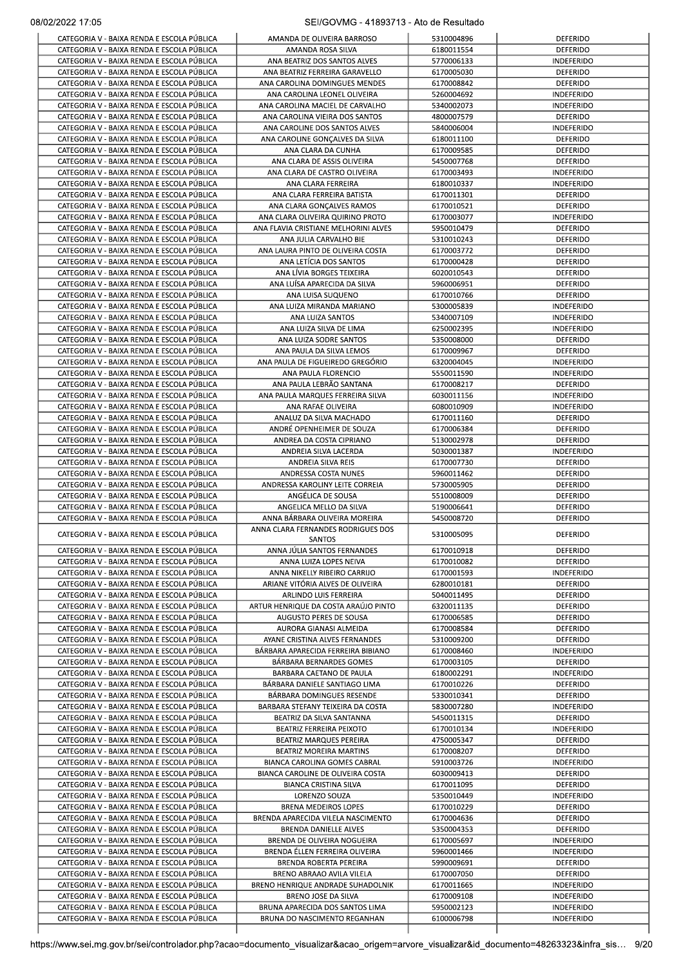| CATEGORIA V - BAIXA RENDA E ESCOLA PÚBLICA                                               | AMANDA DE OLIVEIRA BARROSO                                     | 5310004896               | <b>DEFERIDO</b>                      |
|------------------------------------------------------------------------------------------|----------------------------------------------------------------|--------------------------|--------------------------------------|
|                                                                                          | AMANDA ROSA SILVA                                              | 6180011554               | DEFERIDO                             |
| CATEGORIA V - BAIXA RENDA E ESCOLA PÚBLICA<br>CATEGORIA V - BAIXA RENDA E ESCOLA PÚBLICA | ANA BEATRIZ DOS SANTOS ALVES<br>ANA BEATRIZ FERREIRA GARAVELLO | 5770006133<br>6170005030 | <b>INDEFERIDO</b><br><b>DEFERIDO</b> |
| CATEGORIA V - BAIXA RENDA E ESCOLA PÚBLICA                                               | ANA CAROLINA DOMINGUES MENDES                                  | 6170008842               | DEFERIDO                             |
| CATEGORIA V - BAIXA RENDA E ESCOLA PÚBLICA                                               | ANA CAROLINA LEONEL OLIVEIRA                                   | 5260004692               | INDEFERIDO                           |
| CATEGORIA V - BAIXA RENDA E ESCOLA PÚBLICA                                               | ANA CAROLINA MACIEL DE CARVALHO                                | 5340002073               | INDEFERIDO                           |
| CATEGORIA V - BAIXA RENDA E ESCOLA PÚBLICA                                               | ANA CAROLINA VIEIRA DOS SANTOS                                 | 4800007579               | <b>DEFERIDO</b>                      |
| CATEGORIA V - BAIXA RENDA E ESCOLA PÚBLICA                                               | ANA CAROLINE DOS SANTOS ALVES                                  | 5840006004               | <b>INDEFERIDO</b>                    |
| CATEGORIA V - BAIXA RENDA E ESCOLA PÚBLICA                                               | ANA CAROLINE GONÇALVES DA SILVA                                | 6180011100               | DEFERIDO                             |
| CATEGORIA V - BAIXA RENDA E ESCOLA PÚBLICA                                               | ANA CLARA DA CUNHA<br>ANA CLARA DE ASSIS OLIVEIRA              | 6170009585<br>5450007768 | <b>DEFERIDO</b>                      |
| CATEGORIA V - BAIXA RENDA E ESCOLA PÚBLICA<br>CATEGORIA V - BAIXA RENDA E ESCOLA PÚBLICA | ANA CLARA DE CASTRO OLIVEIRA                                   | 6170003493               | DEFERIDO<br><b>INDEFERIDO</b>        |
| CATEGORIA V - BAIXA RENDA E ESCOLA PÚBLICA                                               | ANA CLARA FERREIRA                                             | 6180010337               | INDEFERIDO                           |
| CATEGORIA V - BAIXA RENDA E ESCOLA PÚBLICA                                               | ANA CLARA FERREIRA BATISTA                                     | 6170011301               | DEFERIDO                             |
| CATEGORIA V - BAIXA RENDA E ESCOLA PÚBLICA                                               | ANA CLARA GONÇALVES RAMOS                                      | 6170010521               | <b>DEFERIDO</b>                      |
| CATEGORIA V - BAIXA RENDA E ESCOLA PÚBLICA                                               | ANA CLARA OLIVEIRA QUIRINO PROTO                               | 6170003077               | <b>INDEFERIDO</b>                    |
| CATEGORIA V - BAIXA RENDA E ESCOLA PÚBLICA                                               | ANA FLAVIA CRISTIANE MELHORINI ALVES                           | 5950010479               | DEFERIDO                             |
| CATEGORIA V - BAIXA RENDA E ESCOLA PÚBLICA                                               | ANA JULIA CARVALHO BIE                                         | 5310010243               | DEFERIDO                             |
| CATEGORIA V - BAIXA RENDA E ESCOLA PÚBLICA                                               | ANA LAURA PINTO DE OLIVEIRA COSTA                              | 6170003772               | <b>DEFERIDO</b>                      |
| CATEGORIA V - BAIXA RENDA E ESCOLA PÚBLICA                                               | ANA LETICIA DOS SANTOS                                         | 6170000428               | <b>DEFERIDO</b>                      |
| CATEGORIA V - BAIXA RENDA E ESCOLA PÚBLICA                                               | ANA LÍVIA BORGES TEIXEIRA                                      | 6020010543               | <b>DEFERIDO</b>                      |
| CATEGORIA V - BAIXA RENDA E ESCOLA PÚBLICA<br>CATEGORIA V - BAIXA RENDA E ESCOLA PÚBLICA | ANA LUISA APARECIDA DA SILVA<br>ANA LUISA SUQUENO              | 5960006951<br>6170010766 | <b>DEFERIDO</b><br>DEFERIDO          |
| CATEGORIA V - BAIXA RENDA E ESCOLA PÚBLICA                                               | ANA LUIZA MIRANDA MARIANO                                      | 5300005839               | <b>INDEFERIDO</b>                    |
| CATEGORIA V - BAIXA RENDA E ESCOLA PÚBLICA                                               | ANA LUIZA SANTOS                                               | 5340007109               | <b>INDEFERIDO</b>                    |
| CATEGORIA V - BAIXA RENDA E ESCOLA PÚBLICA                                               | ANA LUIZA SILVA DE LIMA                                        | 6250002395               | <b>INDEFERIDO</b>                    |
| CATEGORIA V - BAIXA RENDA E ESCOLA PÚBLICA                                               | ANA LUIZA SODRE SANTOS                                         | 5350008000               | <b>DEFERIDO</b>                      |
| CATEGORIA V - BAIXA RENDA E ESCOLA PÚBLICA                                               | ANA PAULA DA SILVA LEMOS                                       | 6170009967               | DEFERIDO                             |
| CATEGORIA V - BAIXA RENDA E ESCOLA PÚBLICA                                               | ANA PAULA DE FIGUEIREDO GREGÓRIO                               | 6320004045               | <b>INDEFERIDO</b>                    |
| CATEGORIA V - BAIXA RENDA E ESCOLA PÚBLICA                                               | ANA PAULA FLORENCIO                                            | 5550011590               | <b>INDEFERIDO</b>                    |
| CATEGORIA V - BAIXA RENDA E ESCOLA PÚBLICA                                               | ANA PAULA LEBRÃO SANTANA                                       | 6170008217               | <b>DEFERIDO</b>                      |
| CATEGORIA V - BAIXA RENDA E ESCOLA PÚBLICA                                               | ANA PAULA MARQUES FERREIRA SILVA                               | 6030011156               | <b>INDEFERIDO</b>                    |
| CATEGORIA V - BAIXA RENDA E ESCOLA PÚBLICA                                               | ANA RAFAE OLIVEIRA                                             | 6080010909               | INDEFERIDO                           |
| CATEGORIA V - BAIXA RENDA E ESCOLA PÚBLICA<br>CATEGORIA V - BAIXA RENDA E ESCOLA PÚBLICA | ANALUZ DA SILVA MACHADO<br>ANDRÉ OPENHEIMER DE SOUZA           | 6170011160<br>6170006384 | DEFERIDO<br>DEFERIDO                 |
| CATEGORIA V - BAIXA RENDA E ESCOLA PÚBLICA                                               | ANDREA DA COSTA CIPRIANO                                       | 5130002978               | <b>DEFERIDO</b>                      |
| CATEGORIA V - BAIXA RENDA E ESCOLA PÚBLICA                                               | ANDREIA SILVA LACERDA                                          | 5030001387               | <b>INDEFERIDO</b>                    |
| CATEGORIA V - BAIXA RENDA E ESCOLA PÚBLICA                                               | ANDREIA SILVA REIS                                             | 6170007730               | DEFERIDO                             |
| CATEGORIA V - BAIXA RENDA E ESCOLA PÚBLICA                                               | ANDRESSA COSTA NUNES                                           | 5960011462               | <b>DEFERIDO</b>                      |
| CATEGORIA V - BAIXA RENDA E ESCOLA PÚBLICA                                               | ANDRESSA KAROLINY LEITE CORREIA                                | 5730005905               | <b>DEFERIDO</b>                      |
| CATEGORIA V - BAIXA RENDA E ESCOLA PÚBLICA                                               | ANGÉLICA DE SOUSA                                              | 5510008009               | <b>DEFERIDO</b>                      |
| CATEGORIA V - BAIXA RENDA E ESCOLA PÚBLICA                                               | ANGELICA MELLO DA SILVA                                        | 5190006641               | <b>DEFERIDO</b>                      |
| CATEGORIA V - BAIXA RENDA E ESCOLA PÚBLICA                                               | ANNA BARBARA OLIVEIRA MOREIRA                                  | 5450008720               | <b>DEFERIDO</b>                      |
| CATEGORIA V - BAIXA RENDA E ESCOLA PÚBLICA                                               | ANNA CLARA FERNANDES RODRIGUES DOS<br>SANTOS                   | 5310005095               | <b>DEFERIDO</b>                      |
| CATEGORIA V - BAIXA RENDA E ESCOLA PÚBLICA                                               | ANNA JULIA SANTOS FERNANDES                                    | 6170010918               | <b>DEFERIDO</b>                      |
| CATEGORIA V - BAIXA RENDA E ESCOLA PÚBLICA                                               | ANNA LUIZA LOPES NEIVA                                         | 6170010082               | DEFERIDO                             |
| CATEGORIA V - BAIXA RENDA E ESCOLA PÚBLICA                                               | ANNA NIKELLY RIBEIRO CARRIJO                                   | 6170001593               | <b>INDEFERIDO</b>                    |
| CATEGORIA V - BAIXA RENDA E ESCOLA PÚBLICA                                               | ARIANE VITÓRIA ALVES DE OLIVEIRA                               | 6280010181               | DEFERIDO                             |
| CATEGORIA V - BAIXA RENDA E ESCOLA PÚBLICA                                               | ARLINDO LUIS FERREIRA                                          | 5040011495               | <b>DEFERIDO</b>                      |
| CATEGORIA V - BAIXA RENDA E ESCOLA PÚBLICA                                               | ARTUR HENRIQUE DA COSTA ARAÚJO PINTO                           | 6320011135               | DEFERIDO                             |
| CATEGORIA V - BAIXA RENDA E ESCOLA PÚBLICA                                               | AUGUSTO PERES DE SOUSA                                         | 6170006585               | <b>DEFERIDO</b>                      |
| CATEGORIA V - BAIXA RENDA E ESCOLA PÚBLICA<br>CATEGORIA V - BAIXA RENDA E ESCOLA PÚBLICA | AURORA GIANASI ALMEIDA<br>AYANE CRISTINA ALVES FERNANDES       | 6170008584<br>5310009200 | DEFERIDO<br><b>DEFERIDO</b>          |
| CATEGORIA V - BAIXA RENDA E ESCOLA PÚBLICA                                               | BÁRBARA APARECIDA FERREIRA BIBIANO                             | 6170008460               | <b>INDEFERIDO</b>                    |
| CATEGORIA V - BAIXA RENDA E ESCOLA PÚBLICA                                               | BÁRBARA BERNARDES GOMES                                        | 6170003105               | <b>DEFERIDO</b>                      |
| CATEGORIA V - BAIXA RENDA E ESCOLA PÚBLICA                                               | BARBARA CAETANO DE PAULA                                       | 6180002291               | <b>INDEFERIDO</b>                    |
| CATEGORIA V - BAIXA RENDA E ESCOLA PÚBLICA                                               | BÁRBARA DANIELE SANTIAGO LIMA                                  | 6170010226               | <b>DEFERIDO</b>                      |
| CATEGORIA V - BAIXA RENDA E ESCOLA PÚBLICA                                               | BÁRBARA DOMINGUES RESENDE                                      | 5330010341               | DEFERIDO                             |
| CATEGORIA V - BAIXA RENDA E ESCOLA PÚBLICA                                               | BARBARA STEFANY TEIXEIRA DA COSTA                              | 5830007280               | INDEFERIDO                           |
| CATEGORIA V - BAIXA RENDA E ESCOLA PÚBLICA                                               | BEATRIZ DA SILVA SANTANNA                                      | 5450011315               | DEFERIDO                             |
| CATEGORIA V - BAIXA RENDA E ESCOLA PÚBLICA                                               | BEATRIZ FERREIRA PEIXOTO                                       | 6170010134               | <b>INDEFERIDO</b>                    |
| CATEGORIA V - BAIXA RENDA E ESCOLA PÚBLICA                                               | BEATRIZ MARQUES PEREIRA                                        | 4750005347               | DEFERIDO                             |
| CATEGORIA V - BAIXA RENDA E ESCOLA PÚBLICA<br>CATEGORIA V - BAIXA RENDA E ESCOLA PÚBLICA | BEATRIZ MOREIRA MARTINS<br>BIANCA CAROLINA GOMES CABRAL        | 6170008207<br>5910003726 | DEFERIDO<br><b>INDEFERIDO</b>        |
| CATEGORIA V - BAIXA RENDA E ESCOLA PÚBLICA                                               | BIANCA CAROLINE DE OLIVEIRA COSTA                              | 6030009413               | <b>DEFERIDO</b>                      |
| CATEGORIA V - BAIXA RENDA E ESCOLA PÚBLICA                                               | <b>BIANCA CRISTINA SILVA</b>                                   | 6170011095               | <b>DEFERIDO</b>                      |
| CATEGORIA V - BAIXA RENDA E ESCOLA PÚBLICA                                               | LORENZO SOUZA                                                  | 5350010449               | <b>INDEFERIDO</b>                    |
| CATEGORIA V - BAIXA RENDA E ESCOLA PÚBLICA                                               | <b>BRENA MEDEIROS LOPES</b>                                    | 6170010229               | DEFERIDO                             |
| CATEGORIA V - BAIXA RENDA E ESCOLA PÚBLICA                                               | BRENDA APARECIDA VILELA NASCIMENTO                             | 6170004636               | DEFERIDO                             |
| CATEGORIA V - BAIXA RENDA E ESCOLA PÚBLICA                                               | BRENDA DANIELLE ALVES                                          | 5350004353               | DEFERIDO                             |
| CATEGORIA V - BAIXA RENDA E ESCOLA PÚBLICA                                               | BRENDA DE OLIVEIRA NOGUEIRA                                    | 6170005697               | <b>INDEFERIDO</b>                    |
| CATEGORIA V - BAIXA RENDA E ESCOLA PÚBLICA                                               | BRENDA ÉLLEN FERREIRA OLIVEIRA                                 | 5960001466               | INDEFERIDO                           |
| CATEGORIA V - BAIXA RENDA E ESCOLA PÚBLICA                                               | BRENDA ROBERTA PEREIRA                                         | 5990009691               | <b>DEFERIDO</b>                      |
| CATEGORIA V - BAIXA RENDA E ESCOLA PÚBLICA<br>CATEGORIA V - BAIXA RENDA E ESCOLA PÚBLICA | BRENO ABRAAO AVILA VILELA<br>BRENO HENRIQUE ANDRADE SUHADOLNIK | 6170007050<br>6170011665 | <b>DEFERIDO</b><br><b>INDEFERIDO</b> |
| CATEGORIA V - BAIXA RENDA E ESCOLA PÚBLICA                                               | BRENO JOSE DA SILVA                                            | 6170009108               | INDEFERIDO                           |
|                                                                                          | BRUNA APARECIDA DOS SANTOS LIMA                                | 5950002123               | INDEFERIDO                           |
| CATEGORIA V - BAIXA RENDA E ESCOLA PÚBLICA                                               |                                                                | 6100006798               | <b>INDEFERIDO</b>                    |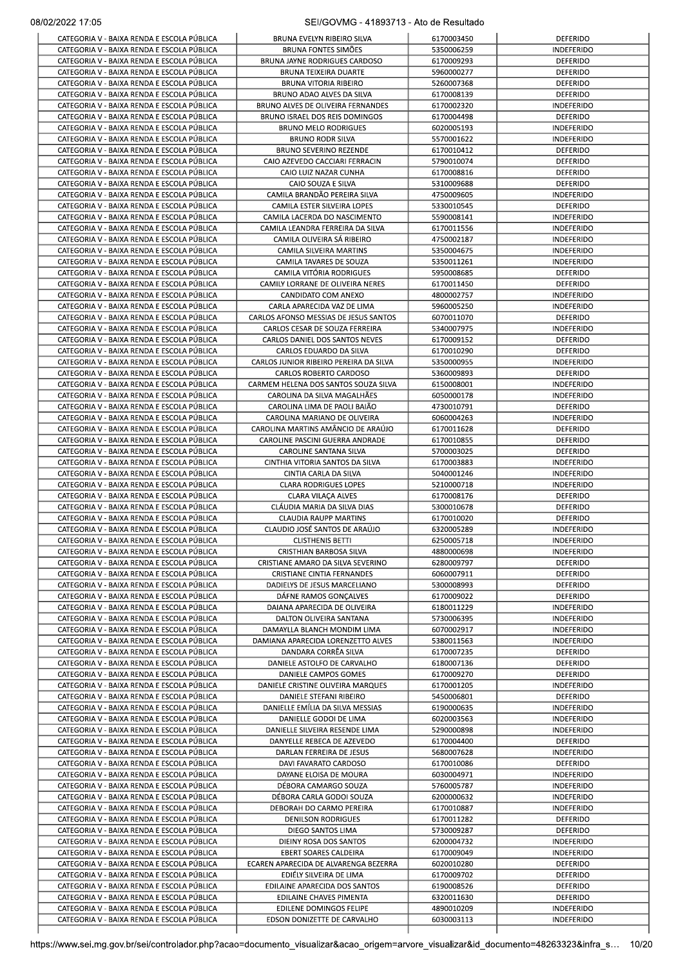|                                                                                          | BRUNA EVELYN RIBEIRO SILVA                                             | 6170003450               | <b>DEFERIDO</b>                        |
|------------------------------------------------------------------------------------------|------------------------------------------------------------------------|--------------------------|----------------------------------------|
| CATEGORIA V - BAIXA RENDA E ESCOLA PÚBLICA<br>CATEGORIA V - BAIXA RENDA E ESCOLA PÚBLICA | BRUNA FONTES SIMÕES<br>BRUNA JAYNE RODRIGUES CARDOSO                   | 5350006259<br>6170009293 | <b>INDEFERIDO</b><br><b>DEFERIDO</b>   |
| CATEGORIA V - BAIXA RENDA E ESCOLA PÚBLICA                                               | <b>BRUNA TEIXEIRA DUARTE</b>                                           | 5960000277               | DEFERIDO                               |
| CATEGORIA V - BAIXA RENDA E ESCOLA PÚBLICA                                               | <b>BRUNA VITORIA RIBEIRO</b>                                           | 5260007368               | DEFERIDO                               |
| CATEGORIA V - BAIXA RENDA E ESCOLA PÚBLICA                                               | BRUNO ADAO ALVES DA SILVA                                              | 6170008139<br>6170002320 | DEFERIDO                               |
| CATEGORIA V - BAIXA RENDA E ESCOLA PÚBLICA<br>CATEGORIA V - BAIXA RENDA E ESCOLA PÚBLICA | BRUNO ALVES DE OLIVEIRA FERNANDES<br>BRUNO ISRAEL DOS REIS DOMINGOS    | 6170004498               | <b>INDEFERIDO</b><br><b>DEFERIDO</b>   |
| CATEGORIA V - BAIXA RENDA E ESCOLA PÚBLICA                                               | <b>BRUNO MELO RODRIGUES</b>                                            | 6020005193               | <b>INDEFERIDO</b>                      |
| CATEGORIA V - BAIXA RENDA E ESCOLA PÚBLICA                                               | <b>BRUNO RODR SILVA</b>                                                | 5570001622               | <b>INDEFERIDO</b>                      |
| CATEGORIA V - BAIXA RENDA E ESCOLA PÚBLICA                                               | <b>BRUNO SEVERINO REZENDE</b>                                          | 6170010412               | <b>DEFERIDO</b>                        |
| CATEGORIA V - BAIXA RENDA E ESCOLA PÚBLICA                                               | CAIO AZEVEDO CACCIARI FERRACIN                                         | 5790010074<br>6170008816 | <b>DEFERIDO</b>                        |
| CATEGORIA V - BAIXA RENDA E ESCOLA PÚBLICA<br>CATEGORIA V - BAIXA RENDA E ESCOLA PÚBLICA | CAIO LUIZ NAZAR CUNHA<br>CAIO SOUZA E SILVA                            | 5310009688               | <b>DEFERIDO</b><br>DEFERIDO            |
| CATEGORIA V - BAIXA RENDA E ESCOLA PÚBLICA                                               | CAMILA BRANDÃO PEREIRA SILVA                                           | 4750009605               | INDEFERIDO                             |
| CATEGORIA V - BAIXA RENDA E ESCOLA PÚBLICA                                               | CAMILA ESTER SILVEIRA LOPES                                            | 5330010545               | DEFERIDO                               |
| CATEGORIA V - BAIXA RENDA E ESCOLA PÚBLICA                                               | CAMILA LACERDA DO NASCIMENTO                                           | 5590008141               | INDEFERIDO                             |
| CATEGORIA V - BAIXA RENDA E ESCOLA PÚBLICA<br>CATEGORIA V - BAIXA RENDA E ESCOLA PÚBLICA | CAMILA LEANDRA FERREIRA DA SILVA<br>CAMILA OLIVEIRA SÁ RIBEIRO         | 6170011556<br>4750002187 | <b>INDEFERIDO</b><br><b>INDEFERIDO</b> |
| CATEGORIA V - BAIXA RENDA E ESCOLA PÚBLICA                                               | CAMILA SILVEIRA MARTINS                                                | 5350004675               | <b>INDEFERIDO</b>                      |
| CATEGORIA V - BAIXA RENDA E ESCOLA PÚBLICA                                               | CAMILA TAVARES DE SOUZA                                                | 5350011261               | <b>INDEFERIDO</b>                      |
| CATEGORIA V - BAIXA RENDA E ESCOLA PÚBLICA                                               | CAMILA VITÓRIA RODRIGUES                                               | 5950008685               | <b>DEFERIDO</b>                        |
| CATEGORIA V - BAIXA RENDA E ESCOLA PÚBLICA                                               | CAMILY LORRANE DE OLIVEIRA NERES                                       | 6170011450               | <b>DEFERIDO</b>                        |
| CATEGORIA V - BAIXA RENDA E ESCOLA PÚBLICA<br>CATEGORIA V - BAIXA RENDA E ESCOLA PÚBLICA | CANDIDATO COM ANEXO                                                    | 4800002757               | <b>INDEFERIDO</b>                      |
| CATEGORIA V - BAIXA RENDA E ESCOLA PÚBLICA                                               | CARLA APARECIDA VAZ DE LIMA<br>CARLOS AFONSO MESSIAS DE JESUS SANTOS   | 5960005250<br>6070011070 | INDEFERIDO<br>DEFERIDO                 |
| CATEGORIA V - BAIXA RENDA E ESCOLA PÚBLICA                                               | CARLOS CESAR DE SOUZA FERREIRA                                         | 5340007975               | <b>INDEFERIDO</b>                      |
| CATEGORIA V - BAIXA RENDA E ESCOLA PÚBLICA                                               | CARLOS DANIEL DOS SANTOS NEVES                                         | 6170009152               | DEFERIDO                               |
| CATEGORIA V - BAIXA RENDA E ESCOLA PÚBLICA                                               | CARLOS EDUARDO DA SILVA                                                | 6170010290               | <b>DEFERIDO</b>                        |
| CATEGORIA V - BAIXA RENDA E ESCOLA PÚBLICA                                               | CARLOS JUNIOR RIBEIRO PEREIRA DA SILVA                                 | 5350000955               | <b>INDEFERIDO</b>                      |
| CATEGORIA V - BAIXA RENDA E ESCOLA PÚBLICA<br>CATEGORIA V - BAIXA RENDA E ESCOLA PÚBLICA | CARLOS ROBERTO CARDOSO<br>CARMEM HELENA DOS SANTOS SOUZA SILVA         | 5360009893<br>6150008001 | DEFERIDO<br><b>INDEFERIDO</b>          |
| CATEGORIA V - BAIXA RENDA E ESCOLA PÚBLICA                                               | CAROLINA DA SILVA MAGALHÃES                                            | 6050000178               | <b>INDEFERIDO</b>                      |
| CATEGORIA V - BAIXA RENDA E ESCOLA PÚBLICA                                               | CAROLINA LIMA DE PAOLI BAIÃO                                           | 4730010791               | DEFERIDO                               |
| CATEGORIA V - BAIXA RENDA E ESCOLA PÚBLICA                                               | CAROLINA MARIANO DE OLIVEIRA                                           | 6060004263               | <b>INDEFERIDO</b>                      |
| CATEGORIA V - BAIXA RENDA E ESCOLA PÚBLICA                                               | CAROLINA MARTINS AMÂNCIO DE ARAÚJO                                     | 6170011628               | DEFERIDO                               |
| CATEGORIA V - BAIXA RENDA E ESCOLA PÚBLICA<br>CATEGORIA V - BAIXA RENDA E ESCOLA PÚBLICA | CAROLINE PASCINI GUERRA ANDRADE<br>CAROLINE SANTANA SILVA              | 6170010855<br>5700003025 | DEFERIDO<br><b>DEFERIDO</b>            |
| CATEGORIA V - BAIXA RENDA E ESCOLA PÚBLICA                                               | CINTHIA VITORIA SANTOS DA SILVA                                        | 6170003883               | <b>INDEFERIDO</b>                      |
| CATEGORIA V - BAIXA RENDA E ESCOLA PÚBLICA                                               | CINTIA CARLA DA SILVA                                                  | 5040001246               | <b>INDEFERIDO</b>                      |
| CATEGORIA V - BAIXA RENDA E ESCOLA PÚBLICA                                               | <b>CLARA RODRIGUES LOPES</b>                                           | 5210000718               | <b>INDEFERIDO</b>                      |
| CATEGORIA V - BAIXA RENDA E ESCOLA PÚBLICA<br>CATEGORIA V - BAIXA RENDA E ESCOLA PÚBLICA | CLARA VILAÇA ALVES                                                     | 6170008176<br>5300010678 | <b>DEFERIDO</b>                        |
| CATEGORIA V - BAIXA RENDA E ESCOLA PÚBLICA                                               | CLAUDIA MARIA DA SILVA DIAS<br><b>CLAUDIA RAUPP MARTINS</b>            | 6170010020               | DEFERIDO<br>DEFERIDO                   |
| CATEGORIA V - BAIXA RENDA E ESCOLA PÚBLICA                                               | CLAUDIO JOSÉ SANTOS DE ARAÚJO                                          | 6320005289               | <b>INDEFERIDO</b>                      |
| CATEGORIA V - BAIXA RENDA E ESCOLA PÚBLICA                                               | <b>CLISTHENIS BETTI</b>                                                | 6250005718               | <b>INDEFERIDO</b>                      |
| CATEGORIA V - BAIXA RENDA E ESCOLA PÚBLICA                                               | CRISTHIAN BARBOSA SILVA                                                | 4880000698               | <b>INDEFERIDO</b>                      |
| CATEGORIA V - BAIXA RENDA E ESCOLA PÚBLICA<br>CATEGORIA V - BAIXA RENDA E ESCOLA PÚBLICA | CRISTIANE AMARO DA SILVA SEVERINO<br><b>CRISTIANE CINTIA FERNANDES</b> | 6280009797<br>6060007911 | DEFERIDO<br>DEFERIDO                   |
| CATEGORIA V - BAIXA RENDA E ESCOLA PÚBLICA                                               | DADIELYS DE JESUS MARCELIANO                                           | 5300008993               | <b>DEFERIDO</b>                        |
| CATEGORIA V - BAIXA RENDA E ESCOLA PÚBLICA                                               | DÁFNE RAMOS GONÇALVES                                                  | 6170009022               | <b>DEFERIDO</b>                        |
| CATEGORIA V - BAIXA RENDA E ESCOLA PÚBLICA                                               | DAIANA APARECIDA DE OLIVEIRA                                           | 6180011229               | <b>INDEFERIDO</b>                      |
| CATEGORIA V - BAIXA RENDA E ESCOLA PÚBLICA<br>CATEGORIA V - BAIXA RENDA E ESCOLA PÚBLICA | DALTON OLIVEIRA SANTANA<br>DAMAYLLA BLANCH MONDIM LIMA                 | 5730006395<br>6070002917 | <b>INDEFERIDO</b><br><b>INDEFERIDO</b> |
| CATEGORIA V - BAIXA RENDA E ESCOLA PÚBLICA                                               | DAMIANA APARECIDA LORENZETTO ALVES                                     | 5380011563               | <b>INDEFERIDO</b>                      |
| CATEGORIA V - BAIXA RENDA E ESCOLA PÚBLICA                                               | DANDARA CORRÊA SILVA                                                   | 6170007235               | DEFERIDO                               |
| CATEGORIA V - BAIXA RENDA E ESCOLA PÚBLICA                                               | DANIELE ASTOLFO DE CARVALHO                                            | 6180007136               | DEFERIDO                               |
| CATEGORIA V - BAIXA RENDA E ESCOLA PÚBLICA                                               | DANIELE CAMPOS GOMES                                                   | 6170009270               | DEFERIDO                               |
| CATEGORIA V - BAIXA RENDA E ESCOLA PÚBLICA<br>CATEGORIA V - BAIXA RENDA E ESCOLA PÚBLICA | DANIELE CRISTINE OLIVEIRA MARQUES<br>DANIELE STEFANI RIBEIRO           | 6170001205<br>5450006801 | <b>INDEFERIDO</b><br><b>DEFERIDO</b>   |
| CATEGORIA V - BAIXA RENDA E ESCOLA PÚBLICA                                               | DANIELLE EMILIA DA SILVA MESSIAS                                       | 6190000635               | <b>INDEFERIDO</b>                      |
| CATEGORIA V - BAIXA RENDA E ESCOLA PÚBLICA                                               | DANIELLE GODOI DE LIMA                                                 | 6020003563               | <b>INDEFERIDO</b>                      |
| CATEGORIA V - BAIXA RENDA E ESCOLA PÚBLICA                                               | DANIELLE SILVEIRA RESENDE LIMA                                         | 5290000898               | <b>INDEFERIDO</b>                      |
| CATEGORIA V - BAIXA RENDA E ESCOLA PÚBLICA                                               | DANYELLE REBECA DE AZEVEDO                                             | 6170004400               | DEFERIDO                               |
| CATEGORIA V - BAIXA RENDA E ESCOLA PÚBLICA<br>CATEGORIA V - BAIXA RENDA E ESCOLA PÚBLICA | DARLAN FERREIRA DE JESUS<br>DAVI FAVARATO CARDOSO                      | 5680007628<br>6170010086 | INDEFERIDO<br>DEFERIDO                 |
| CATEGORIA V - BAIXA RENDA E ESCOLA PÚBLICA                                               | DAYANE ELOISA DE MOURA                                                 | 6030004971               | <b>INDEFERIDO</b>                      |
| CATEGORIA V - BAIXA RENDA E ESCOLA PÚBLICA                                               | DÉBORA CAMARGO SOUZA                                                   | 5760005787               | INDEFERIDO                             |
| CATEGORIA V - BAIXA RENDA E ESCOLA PÚBLICA                                               | DÉBORA CARLA GODOI SOUZA                                               | 6200000632               | INDEFERIDO                             |
| CATEGORIA V - BAIXA RENDA E ESCOLA PÚBLICA                                               | DEBORAH DO CARMO PEREIRA                                               | 6170010887               | <b>INDEFERIDO</b>                      |
| CATEGORIA V - BAIXA RENDA E ESCOLA PÚBLICA<br>CATEGORIA V - BAIXA RENDA E ESCOLA PÚBLICA | <b>DENILSON RODRIGUES</b><br>DIEGO SANTOS LIMA                         | 6170011282<br>5730009287 | <b>DEFERIDO</b><br><b>DEFERIDO</b>     |
| CATEGORIA V - BAIXA RENDA E ESCOLA PÚBLICA                                               | DIEINY ROSA DOS SANTOS                                                 | 6200004732               | <b>INDEFERIDO</b>                      |
| CATEGORIA V - BAIXA RENDA E ESCOLA PÚBLICA                                               | <b>EBERT SOARES CALDEIRA</b>                                           | 6170009049               | <b>INDEFERIDO</b>                      |
| CATEGORIA V - BAIXA RENDA E ESCOLA PÚBLICA                                               | ECAREN APARECIDA DE ALVARENGA BEZERRA                                  | 6020010280               | <b>DEFERIDO</b>                        |
| CATEGORIA V - BAIXA RENDA E ESCOLA PÚBLICA                                               | EDIÉLY SILVEIRA DE LIMA                                                | 6170009702               | DEFERIDO                               |
| CATEGORIA V - BAIXA RENDA E ESCOLA PÚBLICA<br>CATEGORIA V - BAIXA RENDA E ESCOLA PÚBLICA | EDILAINE APARECIDA DOS SANTOS<br>EDILAINE CHAVES PIMENTA               | 6190008526<br>6320011630 | DEFERIDO<br><b>DEFERIDO</b>            |
| CATEGORIA V - BAIXA RENDA E ESCOLA PÚBLICA                                               | EDILENE DOMINGOS FELIPE                                                | 4890010209               | <b>INDEFERIDO</b>                      |
| CATEGORIA V - BAIXA RENDA E ESCOLA PÚBLICA                                               | EDSON DONIZETTE DE CARVALHO                                            | 6030003113               | <b>INDEFERIDO</b>                      |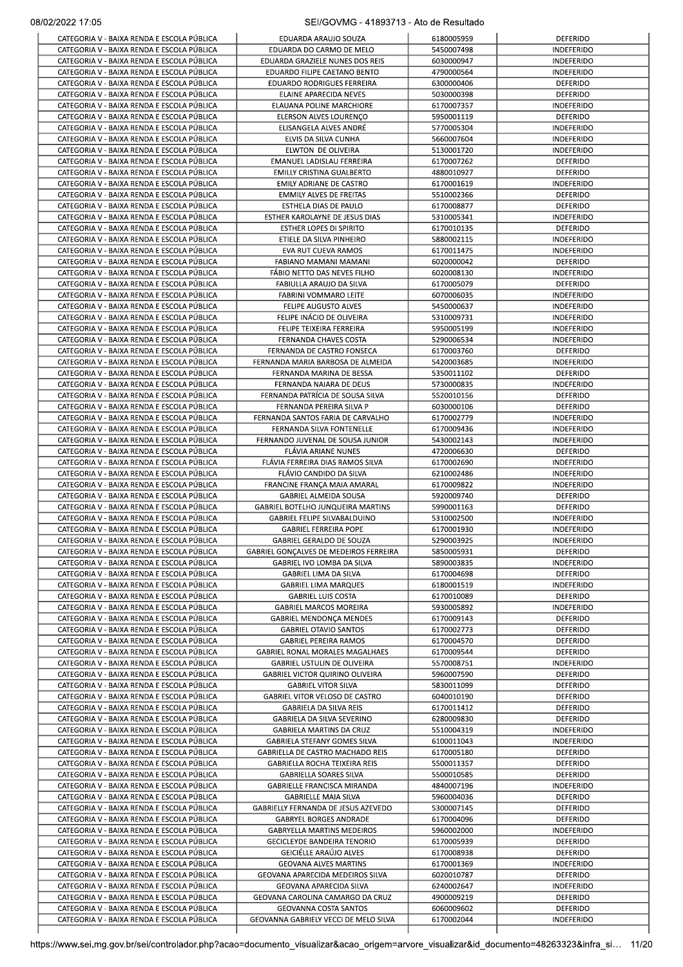|                                                                                          | EDUARDA ARAUJO SOUZA                                                     | 6180005959               | DEFERIDO                             |
|------------------------------------------------------------------------------------------|--------------------------------------------------------------------------|--------------------------|--------------------------------------|
| CATEGORIA V - BAIXA RENDA E ESCOLA PÚBLICA<br>CATEGORIA V - BAIXA RENDA E ESCOLA PÚBLICA | EDUARDA DO CARMO DE MELO<br>EDUARDA GRAZIELE NUNES DOS REIS              | 5450007498<br>6030000947 | <b>INDEFERIDO</b><br>INDEFERIDO      |
| CATEGORIA V - BAIXA RENDA E ESCOLA PÚBLICA                                               | EDUARDO FILIPE CAETANO BENTO                                             | 4790000564               | <b>INDEFERIDO</b>                    |
| CATEGORIA V - BAIXA RENDA E ESCOLA PÚBLICA                                               | EDUARDO RODRIGUES FERREIRA                                               | 6300000406               | DEFERIDO                             |
| CATEGORIA V - BAIXA RENDA E ESCOLA PÚBLICA<br>CATEGORIA V - BAIXA RENDA E ESCOLA PÚBLICA | ELAINE APARECIDA NEVES                                                   | 5030000398               | DEFERIDO                             |
| CATEGORIA V - BAIXA RENDA E ESCOLA PÚBLICA                                               | ELAUANA POLINE MARCHIORE<br>ELERSON ALVES LOURENÇO                       | 6170007357<br>5950001119 | INDEFERIDO<br>DEFERIDO               |
| CATEGORIA V - BAIXA RENDA E ESCOLA PÚBLICA                                               | ELISANGELA ALVES ANDRÉ                                                   | 5770005304               | <b>INDEFERIDO</b>                    |
| CATEGORIA V - BAIXA RENDA E ESCOLA PÚBLICA                                               | ELVIS DA SILVA CUNHA                                                     | 5660007604               | <b>INDEFERIDO</b>                    |
| CATEGORIA V - BAIXA RENDA E ESCOLA PÚBLICA                                               | ELWTON DE OLIVEIRA                                                       | 5130001720               | <b>INDEFERIDO</b>                    |
| CATEGORIA V - BAIXA RENDA E ESCOLA PÚBLICA<br>CATEGORIA V - BAIXA RENDA E ESCOLA PÚBLICA | EMANUEL LADISLAU FERREIRA<br>EMILLY CRISTINA GUALBERTO                   | 6170007262<br>4880010927 | <b>DEFERIDO</b><br><b>DEFERIDO</b>   |
| CATEGORIA V - BAIXA RENDA E ESCOLA PÚBLICA                                               | EMILY ADRIANE DE CASTRO                                                  | 6170001619               | INDEFERIDO                           |
| CATEGORIA V - BAIXA RENDA E ESCOLA PÚBLICA                                               | <b>EMMILY ALVES DE FREITAS</b>                                           | 5510002366               | DEFERIDO                             |
| CATEGORIA V - BAIXA RENDA E ESCOLA PÚBLICA                                               | ESTHELA DIAS DE PAULO                                                    | 6170008877               | DEFERIDO                             |
| CATEGORIA V - BAIXA RENDA E ESCOLA PÚBLICA                                               | ESTHER KAROLAYNE DE JESUS DIAS                                           | 5310005341               | <b>INDEFERIDO</b>                    |
| CATEGORIA V - BAIXA RENDA E ESCOLA PUBLICA<br>CATEGORIA V - BAIXA RENDA E ESCOLA PÚBLICA | ESTHER LOPES DI SPIRITO<br>ETIELE DA SILVA PINHEIRO                      | 6170010135<br>5880002115 | DEFERIDO<br><b>INDEFERIDO</b>        |
| CATEGORIA V - BAIXA RENDA E ESCOLA PÚBLICA                                               | EVA RUT CUEVA RAMOS                                                      | 6170011475               | <b>INDEFERIDO</b>                    |
| CATEGORIA V - BAIXA RENDA E ESCOLA PÚBLICA                                               | <b>FABIANO MAMANI MAMANI</b>                                             | 6020000042               | DEFERIDO                             |
| CATEGORIA V - BAIXA RENDA E ESCOLA PÚBLICA                                               | FABIO NETTO DAS NEVES FILHO                                              | 6020008130               | INDEFERIDO                           |
| CATEGORIA V - BAIXA RENDA E ESCOLA PÚBLICA                                               | FABIULLA ARAUJO DA SILVA                                                 | 6170005079               | <b>DEFERIDO</b>                      |
| CATEGORIA V - BAIXA RENDA E ESCOLA PÚBLICA<br>CATEGORIA V - BAIXA RENDA E ESCOLA PÚBLICA | FABRINI VOMMARO LEITE<br>FELIPE AUGUSTO ALVES                            | 6070006035<br>5450000637 | INDEFERIDO<br>INDEFERIDO             |
| CATEGORIA V - BAIXA RENDA E ESCOLA PÚBLICA                                               | FELIPE INÁCIO DE OLIVEIRA                                                | 5310009731               | <b>INDEFERIDO</b>                    |
| CATEGORIA V - BAIXA RENDA E ESCOLA PÚBLICA                                               | FELIPE TEIXEIRA FERREIRA                                                 | 5950005199               | <b>INDEFERIDO</b>                    |
| CATEGORIA V - BAIXA RENDA E ESCOLA PÚBLICA                                               | FERNANDA CHAVES COSTA                                                    | 5290006534               | <b>INDEFERIDO</b>                    |
| CATEGORIA V - BAIXA RENDA E ESCOLA PÚBLICA                                               | FERNANDA DE CASTRO FONSECA                                               | 6170003760               | DEFERIDO                             |
| CATEGORIA V - BAIXA RENDA E ESCOLA PÚBLICA<br>CATEGORIA V - BAIXA RENDA E ESCOLA PÚBLICA | FERNANDA MARIA BARBOSA DE ALMEIDA<br>FERNANDA MARINA DE BESSA            | 5420003685<br>5350011102 | <b>INDEFERIDO</b><br>DEFERIDO        |
| CATEGORIA V - BAIXA RENDA E ESCOLA PÚBLICA                                               | FERNANDA NAIARA DE DEUS                                                  | 5730000835               | <b>INDEFERIDO</b>                    |
| CATEGORIA V - BAIXA RENDA E ESCOLA PÚBLICA                                               | FERNANDA PATRÍCIA DE SOUSA SILVA                                         | 5520010156               | <b>DEFERIDO</b>                      |
| CATEGORIA V - BAIXA RENDA E ESCOLA PÚBLICA                                               | FERNANDA PEREIRA SILVA P                                                 | 6030000106               | <b>DEFERIDO</b>                      |
| CATEGORIA V - BAIXA RENDA E ESCOLA PÚBLICA                                               | FERNANDA SANTOS FARIA DE CARVALHO                                        | 6170002779               | INDEFERIDO                           |
| CATEGORIA V - BAIXA RENDA E ESCOLA PÚBLICA<br>CATEGORIA V - BAIXA RENDA E ESCOLA PÚBLICA | FERNANDA SILVA FONTENELLE<br>FERNANDO JUVENAL DE SOUSA JUNIOR            | 6170009436<br>5430002143 | <b>INDEFERIDO</b><br>INDEFERIDO      |
| CATEGORIA V - BAIXA RENDA E ESCOLA PÚBLICA                                               | FLÁVIA ARIANE NUNES                                                      | 4720006630               | DEFERIDO                             |
| CATEGORIA V - BAIXA RENDA E ESCOLA PÚBLICA                                               | FLÁVIA FERREIRA DIAS RAMOS SILVA                                         | 6170002690               | <b>INDEFERIDO</b>                    |
| CATEGORIA V - BAIXA RENDA E ESCOLA PÚBLICA                                               | FLÁVIO CANDIDO DA SILVA                                                  | 6210002486               | INDEFERIDO                           |
| CATEGORIA V - BAIXA RENDA E ESCOLA PÚBLICA                                               | FRANCINE FRANÇA MAIA AMARAL                                              | 6170009822               | <b>INDEFERIDO</b>                    |
| CATEGORIA V - BAIXA RENDA E ESCOLA PÚBLICA<br>CATEGORIA V - BAIXA RENDA E ESCOLA PÚBLICA | <b>GABRIEL ALMEIDA SOUSA</b><br><b>GABRIEL BOTELHO JUNQUEIRA MARTINS</b> | 5920009740<br>5990001163 | <b>DEFERIDO</b><br>DEFERIDO          |
| CATEGORIA V - BAIXA RENDA E ESCOLA PÚBLICA                                               | GABRIEL FELIPE SILVABALDUINO                                             | 5310002500               | <b>INDEFERIDO</b>                    |
| CATEGORIA V - BAIXA RENDA E ESCOLA PÚBLICA                                               | <b>GABRIEL FERREIRA POPE</b>                                             | 6170001930               | <b>INDEFERIDO</b>                    |
| CATEGORIA V - BAIXA RENDA E ESCOLA PÚBLICA                                               | <b>GABRIEL GERALDO DE SOUZA</b>                                          | 5290003925               | <b>INDEFERIDO</b>                    |
| CATEGORIA V - BAIXA RENDA E ESCOLA PÚBLICA<br>CATEGORIA V - BAIXA RENDA E ESCOLA PÚBLICA | GABRIEL GONÇALVES DE MEDEIROS FERREIRA<br>GABRIEL IVO LOMBA DA SILVA     | 5850005931<br>5890003835 | <b>DEFERIDO</b><br>INDEFERIDO        |
| CATEGORIA V - BAIXA RENDA E ESCOLA PÚBLICA                                               | GABRIEL LIMA DA SILVA                                                    | 6170004698               | <b>DEFERIDO</b>                      |
| CATEGORIA V - BAIXA RENDA E ESCOLA PÚBLICA                                               | <b>GABRIEL LIMA MARQUES</b>                                              | 6180001519               | <b>INDEFERIDO</b>                    |
| CATEGORIA V - BAIXA RENDA E ESCOLA PÚBLICA                                               | <b>GABRIEL LUIS COSTA</b>                                                | 6170010089               | <b>DEFERIDO</b>                      |
| CATEGORIA V - BAIXA RENDA E ESCOLA PÚBLICA                                               | <b>GABRIEL MARCOS MOREIRA</b>                                            | 5930005892               | <b>INDEFERIDO</b>                    |
| CATEGORIA V - BAIXA RENDA E ESCOLA PÚBLICA<br>CATEGORIA V - BAIXA RENDA E ESCOLA PÚBLICA | <b>GABRIEL MENDONÇA MENDES</b><br><b>GABRIEL OTAVIO SANTOS</b>           | 6170009143<br>6170002773 | <b>DEFERIDO</b><br><b>DEFERIDO</b>   |
| CATEGORIA V - BAIXA RENDA E ESCOLA PÚBLICA                                               | <b>GABRIEL PEREIRA RAMOS</b>                                             | 6170004570               | DEFERIDO                             |
| CATEGORIA V - BAIXA RENDA E ESCOLA PÚBLICA                                               | GABRIEL RONAL MORALES MAGALHAES                                          | 6170009544               | DEFERIDO                             |
| CATEGORIA V - BAIXA RENDA E ESCOLA PÚBLICA                                               | GABRIEL USTULIN DE OLIVEIRA                                              | 5570008751               | <b>INDEFERIDO</b>                    |
| CATEGORIA V - BAIXA RENDA E ESCOLA PÚBLICA<br>CATEGORIA V - BAIXA RENDA E ESCOLA PÚBLICA | <b>GABRIEL VICTOR QUIRINO OLIVEIRA</b><br><b>GABRIEL VITOR SILVA</b>     | 5960007590<br>5830011099 | DEFERIDO<br><b>DEFERIDO</b>          |
| CATEGORIA V - BAIXA RENDA E ESCOLA PÚBLICA                                               | GABRIEL VITOR VELOSO DE CASTRO                                           | 6040010190               | DEFERIDO                             |
| CATEGORIA V - BAIXA RENDA E ESCOLA PÚBLICA                                               | <b>GABRIELA DA SILVA REIS</b>                                            | 6170011412               | <b>DEFERIDO</b>                      |
| CATEGORIA V - BAIXA RENDA E ESCOLA PÚBLICA                                               | GABRIELA DA SILVA SEVERINO                                               | 6280009830               | <b>DEFERIDO</b>                      |
| CATEGORIA V - BAIXA RENDA E ESCOLA PÚBLICA                                               | <b>GABRIELA MARTINS DA CRUZ</b>                                          | 5510004319               | <b>INDEFERIDO</b>                    |
| CATEGORIA V - BAIXA RENDA E ESCOLA PÚBLICA<br>CATEGORIA V - BAIXA RENDA E ESCOLA PÚBLICA | GABRIELA STEFANY GOMES SILVA<br>GABRIELLA DE CASTRO MACHADO REIS         | 6100011043<br>6170005180 | <b>INDEFERIDO</b><br>DEFERIDO        |
| CATEGORIA V - BAIXA RENDA E ESCOLA PÚBLICA                                               | GABRIELLA ROCHA TEIXEIRA REIS                                            | 5500011357               | DEFERIDO                             |
| CATEGORIA V - BAIXA RENDA E ESCOLA PÚBLICA                                               | <b>GABRIELLA SOARES SILVA</b>                                            | 5500010585               | DEFERIDO                             |
| CATEGORIA V - BAIXA RENDA E ESCOLA PÚBLICA                                               | GABRIELLE FRANCISCA MIRANDA                                              | 4840007196               | <b>INDEFERIDO</b>                    |
| CATEGORIA V - BAIXA RENDA E ESCOLA PÚBLICA                                               | <b>GABRIELLE MAIA SILVA</b>                                              | 5960004036<br>5300007145 | DEFERIDO<br>DEFERIDO                 |
| CATEGORIA V - BAIXA RENDA E ESCOLA PÚBLICA<br>CATEGORIA V - BAIXA RENDA E ESCOLA PÚBLICA | GABRIELLY FERNANDA DE JESUS AZEVEDO<br><b>GABRYEL BORGES ANDRADE</b>     | 6170004096               | DEFERIDO                             |
| CATEGORIA V - BAIXA RENDA E ESCOLA PÚBLICA                                               | <b>GABRYELLA MARTINS MEDEIROS</b>                                        | 5960002000               | <b>INDEFERIDO</b>                    |
| CATEGORIA V - BAIXA RENDA E ESCOLA PÚBLICA                                               | <b>GECICLEYDE BANDEIRA TENORIO</b>                                       | 6170005939               | <b>DEFERIDO</b>                      |
| CATEGORIA V - BAIXA RENDA E ESCOLA PÚBLICA                                               | GEICIÉLLE ARAÚJO ALVES                                                   | 6170008938               | <b>DEFERIDO</b>                      |
| CATEGORIA V - BAIXA RENDA E ESCOLA PÚBLICA<br>CATEGORIA V - BAIXA RENDA E ESCOLA PÚBLICA | <b>GEOVANA ALVES MARTINS</b><br>GEOVANA APARECIDA MEDEIROS SILVA         | 6170001369<br>6020010787 | <b>INDEFERIDO</b><br><b>DEFERIDO</b> |
| CATEGORIA V - BAIXA RENDA E ESCOLA PÚBLICA                                               | GEOVANA APARECIDA SILVA                                                  | 6240002647               | INDEFERIDO                           |
| CATEGORIA V - BAIXA RENDA E ESCOLA PÚBLICA                                               | GEOVANA CAROLINA CAMARGO DA CRUZ                                         | 4900009219               | DEFERIDO                             |
| CATEGORIA V - BAIXA RENDA E ESCOLA PÚBLICA                                               | GEOVANNA COSTA SANTOS                                                    | 6060009602               | DEFERIDO                             |
| CATEGORIA V - BAIXA RENDA E ESCOLA PÚBLICA                                               | GEOVANNA GABRIELY VECCI DE MELO SILVA                                    | 6170002044               | <b>INDEFERIDO</b>                    |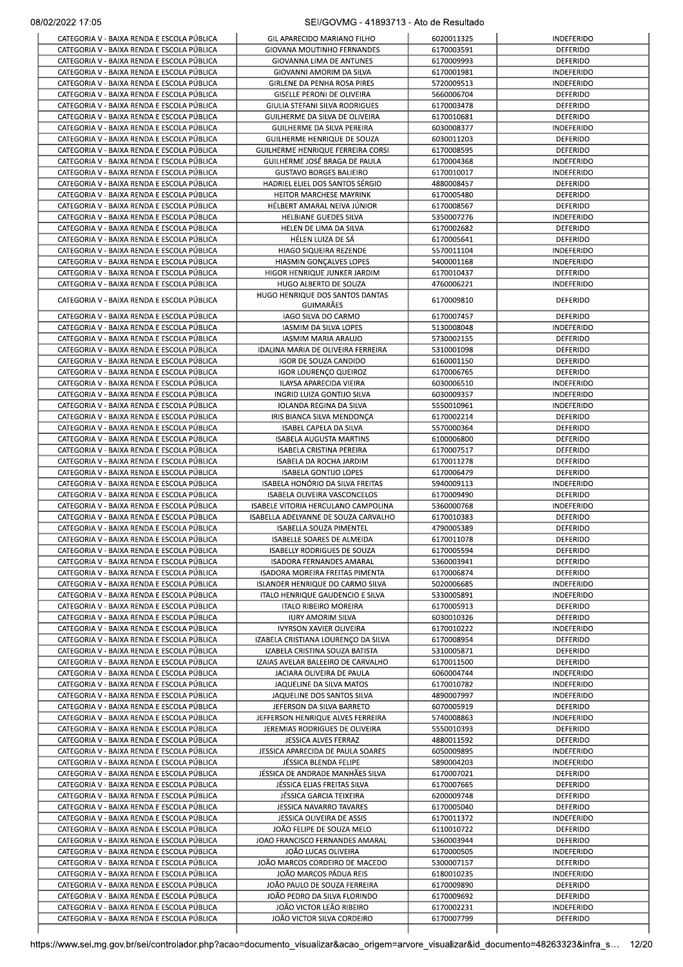| CATEGORIA V - BAIXA RENDA E ESCOLA PÚBLICA                                               | GIL APARECIDO MARIANO FILHO                                       | 6020011325               | <b>INDEFERIDO</b>                      |
|------------------------------------------------------------------------------------------|-------------------------------------------------------------------|--------------------------|----------------------------------------|
| CATEGORIA V - BAIXA RENDA E ESCOLA PÚBLICA                                               | <b>GIOVANA MOUTINHO FERNANDES</b><br>GIOVANNA LIMA DE ANTUNES     | 6170003591<br>6170009993 | DEFERIDO<br><b>DEFERIDO</b>            |
| CATEGORIA V - BAIXA RENDA E ESCOLA PÚBLICA                                               | GIOVANNI AMORIM DA SILVA                                          | 6170001981               | <b>INDEFERIDO</b>                      |
| CATEGORIA V - BAIXA RENDA E ESCOLA PÚBLICA                                               | GIRLENE DA PENHA ROSA PIRES                                       | 5720009513               | <b>INDEFERIDO</b>                      |
| CATEGORIA V - BAIXA RENDA E ESCOLA PÚBLICA                                               | <b>GISELLE PERONI DE OLIVEIRA</b>                                 | 5660006704               | <b>DEFERIDO</b>                        |
| CATEGORIA V - BAIXA RENDA E ESCOLA PÚBLICA<br>CATEGORIA V - BAIXA RENDA E ESCOLA PÚBLICA | GIULIA STEFANI SILVA RODRIGUES<br>GUILHERME DA SILVA DE OLIVEIRA  | 6170003478<br>6170010681 | DEFERIDO<br>DEFERIDO                   |
| CATEGORIA V - BAIXA RENDA E ESCOLA PÚBLICA                                               | GUILHERME DA SILVA PEREIRA                                        | 6030008377               | INDEFERIDO                             |
| CATEGORIA V - BAIXA RENDA E ESCOLA PÚBLICA                                               | GUILHERME HENRIQUE DE SOUZA                                       | 6030011203               | <b>DEFERIDO</b>                        |
| CATEGORIA V - BAIXA RENDA E ESCOLA PÚBLICA                                               | <b>GUILHERME HENRIQUE FERREIRA CORSI</b>                          | 6170008595               | DEFERIDO                               |
| CATEGORIA V - BAIXA RENDA E ESCOLA PÚBLICA                                               | GUILHERME JOSÉ BRAGA DE PAULA                                     | 6170004368               | <b>INDEFERIDO</b>                      |
| CATEGORIA V - BAIXA RENDA E ESCOLA PÚBLICA<br>CATEGORIA V - BAIXA RENDA E ESCOLA PÚBLICA | <b>GUSTAVO BORGES BALIEIRO</b><br>HADRIEL ELIEL DOS SANTOS SÉRGIO | 6170010017<br>4880008457 | <b>INDEFERIDO</b><br><b>DEFERIDO</b>   |
| CATEGORIA V - BAIXA RENDA E ESCOLA PÚBLICA                                               | HEITOR MARCHESE MAYRINK                                           | 6170005480               | DEFERIDO                               |
| CATEGORIA V - BAIXA RENDA E ESCOLA PÚBLICA                                               | HÉLBERT AMARAL NEIVA JÚNIOR                                       | 6170008567               | DEFERIDO                               |
| CATEGORIA V - BAIXA RENDA E ESCOLA PÚBLICA                                               | HELBIANE GUEDES SILVA                                             | 5350007276               | <b>INDEFERIDO</b>                      |
| CATEGORIA V - BAIXA RENDA E ESCOLA PÚBLICA                                               | HELEN DE LIMA DA SILVA                                            | 6170002682               | DEFERIDO                               |
| CATEGORIA V - BAIXA RENDA E ESCOLA PÚBLICA<br>CATEGORIA V - BAIXA RENDA E ESCOLA PÚBLICA | HÉLEN LUIZA DE SÁ                                                 | 6170005641<br>5570011104 | DEFERIDO<br>INDEFERIDO                 |
| CATEGORIA V - BAIXA RENDA E ESCOLA PÚBLICA                                               | HIAGO SIQUEIRA REZENDE<br>HIASMIN GONÇALVES LOPES                 | 5400001168               | <b>INDEFERIDO</b>                      |
| CATEGORIA V - BAIXA RENDA E ESCOLA PÚBLICA                                               | HIGOR HENRIQUE JUNKER JARDIM                                      | 6170010437               | <b>DEFERIDO</b>                        |
| CATEGORIA V - BAIXA RENDA E ESCOLA PÚBLICA                                               | HUGO ALBERTO DE SOUZA                                             | 4760006221               | <b>INDEFERIDO</b>                      |
| CATEGORIA V - BAIXA RENDA E ESCOLA PÚBLICA                                               | HUGO HENRIQUE DOS SANTOS DANTAS                                   | 6170009810               | <b>DEFERIDO</b>                        |
| CATEGORIA V - BAIXA RENDA E ESCOLA PÚBLICA                                               | GUIMARÃES                                                         |                          |                                        |
| CATEGORIA V - BAIXA RENDA E ESCOLA PÚBLICA                                               | IAGO SILVA DO CARMO<br>IASMIM DA SILVA LOPES                      | 6170007457<br>5130008048 | <b>DEFERIDO</b><br>INDEFERIDO          |
| CATEGORIA V - BAIXA RENDA E ESCOLA PÚBLICA                                               | IASMIM MARIA ARAUJO                                               | 5730002155               | <b>DEFERIDO</b>                        |
| CATEGORIA V - BAIXA RENDA E ESCOLA PÚBLICA                                               | IDALINA MARIA DE OLIVEIRA FERREIRA                                | 5310001098               | DEFERIDO                               |
| CATEGORIA V - BAIXA RENDA E ESCOLA PÚBLICA                                               | <b>IGOR DE SOUZA CANDIDO</b>                                      | 6160001150               | DEFERIDO                               |
| CATEGORIA V - BAIXA RENDA E ESCOLA PÚBLICA                                               | <b>IGOR LOURENÇO QUEIROZ</b>                                      | 6170006765               | <b>DEFERIDO</b>                        |
| CATEGORIA V - BAIXA RENDA E ESCOLA PÚBLICA<br>CATEGORIA V - BAIXA RENDA E ESCOLA PÚBLICA | ILAYSA APARECIDA VIEIRA<br>INGRID LUIZA GONTIJO SILVA             | 6030006510<br>6030009357 | <b>INDEFERIDO</b><br><b>INDEFERIDO</b> |
| CATEGORIA V - BAIXA RENDA E ESCOLA PÚBLICA                                               | IOLANDA REGINA DA SILVA                                           | 5550010961               | INDEFERIDO                             |
| CATEGORIA V - BAIXA RENDA E ESCOLA PÚBLICA                                               | IRIS BIANCA SILVA MENDONÇA                                        | 6170002214               | <b>DEFERIDO</b>                        |
| CATEGORIA V - BAIXA RENDA E ESCOLA PÚBLICA                                               | ISABEL CAPELA DA SILVA                                            | 5570000364               | <b>DEFERIDO</b>                        |
| CATEGORIA V - BAIXA RENDA E ESCOLA PÚBLICA                                               | <b>ISABELA AUGUSTA MARTINS</b>                                    | 6100006800               | <b>DEFERIDO</b>                        |
| CATEGORIA V - BAIXA RENDA E ESCOLA PÚBLICA<br>CATEGORIA V - BAIXA RENDA E ESCOLA PÚBLICA | ISABELA CRISTINA PEREIRA<br>ISABELA DA ROCHA JARDIM               | 6170007517<br>6170011278 | DEFERIDO<br><b>DEFERIDO</b>            |
| CATEGORIA V - BAIXA RENDA E ESCOLA PÚBLICA                                               | <b>ISABELA GONTIJO LOPES</b>                                      | 6170006479               | DEFERIDO                               |
| CATEGORIA V - BAIXA RENDA E ESCOLA PÚBLICA                                               | ISABELA HONÓRIO DA SILVA FREITAS                                  | 5940009113               | <b>INDEFERIDO</b>                      |
| CATEGORIA V - BAIXA RENDA E ESCOLA PÚBLICA                                               | ISABELA OLIVEIRA VASCONCELOS                                      | 6170009490               | <b>DEFERIDO</b>                        |
| CATEGORIA V - BAIXA RENDA E ESCOLA PÚBLICA                                               | ISABELE VITORIA HERCULANO CAMPOLINA                               | 5360000768               | <b>INDEFERIDO</b>                      |
| CATEGORIA V - BAIXA RENDA E ESCOLA PÚBLICA                                               | ISABELLA ADELYANNE DE SOUZA CARVALHO                              | 6170010383               | DEFERIDO                               |
| CATEGORIA V - BAIXA RENDA E ESCOLA PÚBLICA<br>CATEGORIA V - BAIXA RENDA E ESCOLA PÚBLICA | <b>ISABELLA SOUZA PIMENTEL</b><br>ISABELLE SOARES DE ALMEIDA      | 4790005389<br>6170011078 | DEFERIDO<br><b>DEFERIDO</b>            |
| CATEGORIA V - BAIXA RENDA E ESCOLA PÚBLICA                                               | <b>ISABELLY RODRIGUES DE SOUZA</b>                                | 6170005594               | <b>DEFERIDO</b>                        |
| CATEGORIA V - BAIXA RENDA E ESCOLA PÚBLICA                                               | <b>ISADORA FERNANDES AMARAL</b>                                   | 5360003941               | <b>DEFERIDO</b>                        |
| CATEGORIA V - BAIXA RENDA E ESCOLA PÚBLICA                                               | <b>ISADORA MOREIRA FREITAS PIMENTA</b>                            | 6170006874               | DEFERIDO                               |
| CATEGORIA V - BAIXA RENDA E ESCOLA PÚBLICA                                               | ISLANDER HENRIQUE DO CARMO SILVA                                  | 5020006685               | <b>INDEFERIDO</b>                      |
| CATEGORIA V - BAIXA RENDA E ESCOLA PÚBLICA<br>CATEGORIA V - BAIXA RENDA E ESCOLA PÚBLICA | ITALO HENRIQUE GAUDENCIO E SILVA<br><b>ITALO RIBEIRO MOREIRA</b>  | 5330005891               | <b>INDEFERIDO</b>                      |
| CATEGORIA V - BAIXA RENDA E ESCOLA PÚBLICA                                               | <b>IURY AMORIM SILVA</b>                                          | 6170005913<br>6030010326 | <b>DEFERIDO</b><br>DEFERIDO            |
| CATEGORIA V - BAIXA RENDA E ESCOLA PÚBLICA                                               | <b>IVYRSON XAVIER OLIVEIRA</b>                                    | 6170010222               | INDEFERIDO                             |
| CATEGORIA V - BAIXA RENDA E ESCOLA PÚBLICA                                               | IZABELA CRISTIANA LOURENÇO DA SILVA                               | 6170008954               | DEFERIDO                               |
| CATEGORIA V - BAIXA RENDA E ESCOLA PÚBLICA                                               | IZABELA CRISTINA SOUZA BATISTA                                    | 5310005871               | <b>DEFERIDO</b>                        |
| CATEGORIA V - BAIXA RENDA E ESCOLA PÚBLICA                                               | IZAIAS AVELAR BALEEIRO DE CARVALHO                                | 6170011500               | DEFERIDO                               |
| CATEGORIA V - BAIXA RENDA E ESCOLA PÚBLICA<br>CATEGORIA V - BAIXA RENDA E ESCOLA PÚBLICA | JACIARA OLIVEIRA DE PAULA<br>JAQUELINE DA SILVA MATOS             | 6060004744<br>6170010782 | <b>INDEFERIDO</b><br>INDEFERIDO        |
| CATEGORIA V - BAIXA RENDA E ESCOLA PÚBLICA                                               | JAQUELINE DOS SANTOS SILVA                                        | 4890007997               | <b>INDEFERIDO</b>                      |
| CATEGORIA V - BAIXA RENDA E ESCOLA PÚBLICA                                               | JEFERSON DA SILVA BARRETO                                         | 6070005919               | DEFERIDO                               |
| CATEGORIA V - BAIXA RENDA E ESCOLA PÚBLICA                                               | JEFFERSON HENRIQUE ALVES FERREIRA                                 | 5740008863               | INDEFERIDO                             |
| CATEGORIA V - BAIXA RENDA E ESCOLA PÚBLICA                                               | JEREMIAS RODRIGUES DE OLIVEIRA                                    | 5550010393               | DEFERIDO                               |
| CATEGORIA V - BAIXA RENDA E ESCOLA PÚBLICA                                               | JESSICA ALVES FERRAZ                                              | 4880011592               | DEFERIDO                               |
| CATEGORIA V - BAIXA RENDA E ESCOLA PÚBLICA<br>CATEGORIA V - BAIXA RENDA E ESCOLA PÚBLICA | JESSICA APARECIDA DE PAULA SOARES<br>JÉSSICA BLENDA FELIPE        | 6050009895<br>5890004203 | INDEFERIDO<br><b>INDEFERIDO</b>        |
| CATEGORIA V - BAIXA RENDA E ESCOLA PÚBLICA                                               | JÉSSICA DE ANDRADE MANHÃES SILVA                                  | 6170007021               | DEFERIDO                               |
| CATEGORIA V - BAIXA RENDA E ESCOLA PÚBLICA                                               | JÉSSICA ELIAS FREITAS SILVA                                       | 6170007665               | DEFERIDO                               |
| CATEGORIA V - BAIXA RENDA E ESCOLA PÚBLICA                                               | JÉSSICA GARCIA TEIXEIRA                                           | 6200009748               | DEFERIDO                               |
| CATEGORIA V - BAIXA RENDA E ESCOLA PÚBLICA                                               | JESSICA NAVARRO TAVARES                                           | 6170005040               | DEFERIDO                               |
| CATEGORIA V - BAIXA RENDA E ESCOLA PÚBLICA                                               | JESSICA OLIVEIRA DE ASSIS                                         | 6170011372               | <b>INDEFERIDO</b>                      |
| CATEGORIA V - BAIXA RENDA E ESCOLA PÚBLICA<br>CATEGORIA V - BAIXA RENDA E ESCOLA PÚBLICA | JOÃO FELIPE DE SOUZA MELO<br>JOAO FRANCISCO FERNANDES AMARAL      | 6110010722<br>5360003944 | DEFERIDO<br>DEFERIDO                   |
| CATEGORIA V - BAIXA RENDA E ESCOLA PÚBLICA                                               | JOÃO LUCAS OLIVEIRA                                               | 6170000505               | <b>INDEFERIDO</b>                      |
| CATEGORIA V - BAIXA RENDA E ESCOLA PÚBLICA                                               | JOÃO MARCOS CORDEIRO DE MACEDO                                    | 5300007157               | DEFERIDO                               |
| CATEGORIA V - BAIXA RENDA E ESCOLA PÚBLICA                                               | JOÃO MARCOS PÁDUA REIS                                            | 6180010235               | <b>INDEFERIDO</b>                      |
| CATEGORIA V - BAIXA RENDA E ESCOLA PÚBLICA                                               | JOÃO PAULO DE SOUZA FERREIRA                                      | 6170009890               | <b>DEFERIDO</b>                        |
| CATEGORIA V - BAIXA RENDA E ESCOLA PÚBLICA                                               | JOÃO PEDRO DA SILVA FLORINDO<br>JOÃO VICTOR LEÃO RIBEIRO          | 6170009692<br>6170002231 | DEFERIDO<br><b>INDEFERIDO</b>          |
| CATEGORIA V - BAIXA RENDA E ESCOLA PÚBLICA                                               |                                                                   |                          |                                        |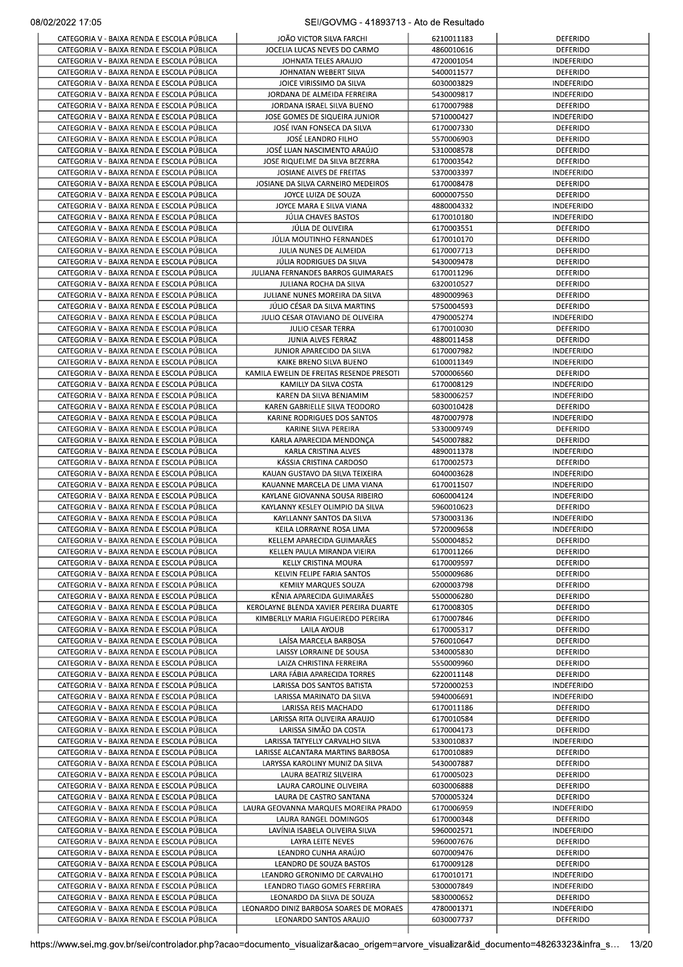|                                                                                          | JOÃO VICTOR SILVA FARCHI                                             | 6210011183               | <b>DEFERIDO</b>                        |
|------------------------------------------------------------------------------------------|----------------------------------------------------------------------|--------------------------|----------------------------------------|
| CATEGORIA V - BAIXA RENDA E ESCOLA PÚBLICA<br>CATEGORIA V - BAIXA RENDA E ESCOLA PÚBLICA | JOCELIA LUCAS NEVES DO CARMO<br>JOHNATA TELES ARAUJO                 | 4860010616<br>4720001054 | DEFERIDO<br>INDEFERIDO                 |
| CATEGORIA V - BAIXA RENDA E ESCOLA PÚBLICA                                               | JOHNATAN WEBERT SILVA                                                | 5400011577               | DEFERIDO                               |
| CATEGORIA V - BAIXA RENDA E ESCOLA PÚBLICA                                               | JOICE VIRISSIMO DA SILVA                                             | 6030003829               | <b>INDEFERIDO</b>                      |
| CATEGORIA V - BAIXA RENDA E ESCOLA PÚBLICA<br>CATEGORIA V - BAIXA RENDA E ESCOLA PÚBLICA | JORDANA DE ALMEIDA FERREIRA<br>JORDANA ISRAEL SILVA BUENO            | 5430009817<br>6170007988 | <b>INDEFERIDO</b><br><b>DEFERIDO</b>   |
| CATEGORIA V - BAIXA RENDA E ESCOLA PÚBLICA                                               | JOSE GOMES DE SIQUEIRA JUNIOR                                        | 5710000427               | <b>INDEFERIDO</b>                      |
| CATEGORIA V - BAIXA RENDA E ESCOLA PÚBLICA                                               | JOSÉ IVAN FONSECA DA SILVA                                           | 6170007330               | <b>DEFERIDO</b>                        |
| CATEGORIA V - BAIXA RENDA E ESCOLA PÚBLICA                                               | JOSÉ LEANDRO FILHO                                                   | 5570006903               | DEFERIDO                               |
| CATEGORIA V - BAIXA RENDA E ESCOLA PÚBLICA                                               | JOSÉ LUAN NASCIMENTO ARAÚJO                                          | 5310008578               | <b>DEFERIDO</b>                        |
| CATEGORIA V - BAIXA RENDA E ESCOLA PÚBLICA<br>CATEGORIA V - BAIXA RENDA E ESCOLA PÚBLICA | JOSE RIQUELME DA SILVA BEZERRA<br>JOSIANE ALVES DE FREITAS           | 6170003542<br>5370003397 | <b>DEFERIDO</b><br><b>INDEFERIDO</b>   |
| CATEGORIA V - BAIXA RENDA E ESCOLA PÚBLICA                                               | JOSIANE DA SILVA CARNEIRO MEDEIROS                                   | 6170008478               | DEFERIDO                               |
| CATEGORIA V - BAIXA RENDA E ESCOLA PÚBLICA                                               | JOYCE LUIZA DE SOUZA                                                 | 6000007550               | DEFERIDO                               |
| CATEGORIA V - BAIXA RENDA E ESCOLA PÚBLICA                                               | JOYCE MARA E SILVA VIANA                                             | 4880004332               | INDEFERIDO                             |
| CATEGORIA V - BAIXA RENDA E ESCOLA PÚBLICA                                               | JÚLIA CHAVES BASTOS                                                  | 6170010180               | <b>INDEFERIDO</b>                      |
| CATEGORIA V - BAIXA RENDA E ESCOLA PÚBLICA<br>CATEGORIA V - BAIXA RENDA E ESCOLA PÚBLICA | JÚLIA DE OLIVEIRA<br>JÚLIA MOUTINHO FERNANDES                        | 6170003551<br>6170010170 | DEFERIDO<br>DEFERIDO                   |
| CATEGORIA V - BAIXA RENDA E ESCOLA PÚBLICA                                               | JULIA NUNES DE ALMEIDA                                               | 6170007713               | DEFERIDO                               |
| CATEGORIA V - BAIXA RENDA E ESCOLA PÚBLICA                                               | JÚLIA RODRIGUES DA SILVA                                             | 5430009478               | <b>DEFERIDO</b>                        |
| CATEGORIA V - BAIXA RENDA E ESCOLA PÚBLICA                                               | JULIANA FERNANDES BARROS GUIMARAES                                   | 6170011296               | <b>DEFERIDO</b>                        |
| CATEGORIA V - BAIXA RENDA E ESCOLA PÚBLICA                                               | JULIANA ROCHA DA SILVA                                               | 6320010527               | <b>DEFERIDO</b>                        |
| CATEGORIA V - BAIXA RENDA E ESCOLA PÚBLICA<br>CATEGORIA V - BAIXA RENDA E ESCOLA PÚBLICA | JULIANE NUNES MOREIRA DA SILVA<br>JÚLIO CÉSAR DA SILVA MARTINS       | 4890009963<br>5750004593 | <b>DEFERIDO</b><br>DEFERIDO            |
| CATEGORIA V - BAIXA RENDA E ESCOLA PÚBLICA                                               | JULIO CESAR OTAVIANO DE OLIVEIRA                                     | 4790005274               | INDEFERIDO                             |
| CATEGORIA V - BAIXA RENDA E ESCOLA PÚBLICA                                               | JULIO CESAR TERRA                                                    | 6170010030               | DEFERIDO                               |
| CATEGORIA V - BAIXA RENDA E ESCOLA PÚBLICA                                               | JUNIA ALVES FERRAZ                                                   | 4880011458               | DEFERIDO                               |
| CATEGORIA V - BAIXA RENDA E ESCOLA PÚBLICA                                               | JUNIOR APARECIDO DA SILVA                                            | 6170007982               | <b>INDEFERIDO</b>                      |
| CATEGORIA V - BAIXA RENDA E ESCOLA PÚBLICA<br>CATEGORIA V - BAIXA RENDA E ESCOLA PÚBLICA | KAIKE BRENO SILVA BUENO<br>KAMILA EWELIN DE FREITAS RESENDE PRESOTI  | 6100011349<br>5700006560 | <b>INDEFERIDO</b><br>DEFERIDO          |
| CATEGORIA V - BAIXA RENDA E ESCOLA PÚBLICA                                               | KAMILLY DA SILVA COSTA                                               | 6170008129               | <b>INDEFERIDO</b>                      |
| CATEGORIA V - BAIXA RENDA E ESCOLA PÚBLICA                                               | KAREN DA SILVA BENJAMIM                                              | 5830006257               | <b>INDEFERIDO</b>                      |
| CATEGORIA V - BAIXA RENDA E ESCOLA PÚBLICA                                               | KAREN GABRIELLE SILVA TEODORO                                        | 6030010428               | <b>DEFERIDO</b>                        |
| CATEGORIA V - BAIXA RENDA E ESCOLA PÚBLICA                                               | KARINE RODRIGUES DOS SANTOS                                          | 4870007978               | INDEFERIDO                             |
| CATEGORIA V - BAIXA RENDA E ESCOLA PÚBLICA<br>CATEGORIA V - BAIXA RENDA E ESCOLA PÚBLICA | KARINE SILVA PEREIRA<br>KARLA APARECIDA MENDONÇA                     | 5330009749<br>5450007882 | DEFERIDO<br>DEFERIDO                   |
| CATEGORIA V - BAIXA RENDA E ESCOLA PÚBLICA                                               | KARLA CRISTINA ALVES                                                 | 4890011378               | <b>INDEFERIDO</b>                      |
| CATEGORIA V - BAIXA RENDA E ESCOLA PÚBLICA                                               | KÁSSIA CRISTINA CARDOSO                                              | 6170002573               | DEFERIDO                               |
| CATEGORIA V - BAIXA RENDA E ESCOLA PÚBLICA                                               | KAUAN GUSTAVO DA SILVA TEIXEIRA                                      | 6040003628               | INDEFERIDO                             |
| CATEGORIA V - BAIXA RENDA E ESCOLA PÚBLICA                                               | KAUANNE MARCELA DE LIMA VIANA                                        | 6170011507               | <b>INDEFERIDO</b>                      |
| CATEGORIA V - BAIXA RENDA E ESCOLA PÚBLICA<br>CATEGORIA V - BAIXA RENDA E ESCOLA PÚBLICA | KAYLANE GIOVANNA SOUSA RIBEIRO<br>KAYLANNY KESLEY OLIMPIO DA SILVA   | 6060004124<br>5960010623 | <b>INDEFERIDO</b><br><b>DEFERIDO</b>   |
| CATEGORIA V - BAIXA RENDA E ESCOLA PÚBLICA                                               | KAYLLANNY SANTOS DA SILVA                                            | 5730003136               | <b>INDEFERIDO</b>                      |
| CATEGORIA V - BAIXA RENDA E ESCOLA PÚBLICA                                               | KEILA LORRAYNE ROSA LIMA                                             | 5720009658               | <b>INDEFERIDO</b>                      |
| CATEGORIA V - BAIXA RENDA E ESCOLA PÚBLICA                                               | KELLEM APARECIDA GUIMARÃES                                           | 5500004852               | <b>DEFERIDO</b>                        |
| CATEGORIA V - BAIXA RENDA E ESCOLA PÚBLICA                                               | KELLEN PAULA MIRANDA VIEIRA                                          | 6170011266               | <b>DEFERIDO</b>                        |
| CATEGORIA V - BAIXA RENDA E ESCOLA PÚBLICA<br>CATEGORIA V - BAIXA RENDA E ESCOLA PÚBLICA | KELLY CRISTINA MOURA<br>KELVIN FELIPE FARIA SANTOS                   | 6170009597<br>5500009686 | DEFERIDO<br>DEFERIDO                   |
| CATEGORIA V - BAIXA RENDA E ESCOLA PÚBLICA                                               | <b>KEMILY MARQUES SOUZA</b>                                          | 6200003798               | DEFERIDO                               |
| CATEGORIA V - BAIXA RENDA E ESCOLA PÚBLICA                                               | KÊNIA APARECIDA GUIMARÃES                                            | 5500006280               | <b>DEFERIDO</b>                        |
| CATEGORIA V - BAIXA RENDA E ESCOLA PÚBLICA                                               | KEROLAYNE BLENDA XAVIER PEREIRA DUARTE                               | 6170008305               | <b>DEFERIDO</b>                        |
| CATEGORIA V - BAIXA RENDA E ESCOLA PÚBLICA<br>CATEGORIA V - BAIXA RENDA E ESCOLA PÚBLICA | KIMBERLLY MARIA FIGUEIREDO PEREIRA<br><b>LAILA AYOUB</b>             | 6170007846<br>6170005317 | <b>DEFERIDO</b><br><b>DEFERIDO</b>     |
| CATEGORIA V - BAIXA RENDA E ESCOLA PÚBLICA                                               | LAÍSA MARCELA BARBOSA                                                | 5760010647               | DEFERIDO                               |
| CATEGORIA V - BAIXA RENDA E ESCOLA PÚBLICA                                               | LAISSY LORRAINE DE SOUSA                                             | 5340005830               | DEFERIDO                               |
| CATEGORIA V - BAIXA RENDA E ESCOLA PÚBLICA                                               | LAIZA CHRISTINA FERREIRA                                             | 5550009960               | DEFERIDO                               |
| CATEGORIA V - BAIXA RENDA E ESCOLA PÚBLICA                                               | LARA FÁBIA APARECIDA TORRES                                          | 6220011148               | DEFERIDO                               |
| CATEGORIA V - BAIXA RENDA E ESCOLA PÚBLICA<br>CATEGORIA V - BAIXA RENDA E ESCOLA PÚBLICA | LARISSA DOS SANTOS BATISTA<br>LARISSA MARINATO DA SILVA              | 5720000253<br>5940006691 | <b>INDEFERIDO</b><br><b>INDEFERIDO</b> |
| CATEGORIA V - BAIXA RENDA E ESCOLA PÚBLICA                                               | LARISSA REIS MACHADO                                                 | 6170011186               | <b>DEFERIDO</b>                        |
| CATEGORIA V - BAIXA RENDA E ESCOLA PÚBLICA                                               | LARISSA RITA OLIVEIRA ARAUJO                                         | 6170010584               | <b>DEFERIDO</b>                        |
| CATEGORIA V - BAIXA RENDA E ESCOLA PÚBLICA                                               | LARISSA SIMÃO DA COSTA                                               | 6170004173               | <b>DEFERIDO</b>                        |
| CATEGORIA V - BAIXA RENDA E ESCOLA PÚBLICA                                               | LARISSA TATYELLY CARVALHO SILVA                                      | 5330010837               | <b>INDEFERIDO</b>                      |
| CATEGORIA V - BAIXA RENDA E ESCOLA PÚBLICA<br>CATEGORIA V - BAIXA RENDA E ESCOLA PÚBLICA | LARISSE ALCANTARA MARTINS BARBOSA<br>LARYSSA KAROLINY MUNIZ DA SILVA | 6170010889<br>5430007887 | DEFERIDO<br>DEFERIDO                   |
| CATEGORIA V - BAIXA RENDA E ESCOLA PÚBLICA                                               | LAURA BEATRIZ SILVEIRA                                               | 6170005023               | DEFERIDO                               |
| CATEGORIA V - BAIXA RENDA E ESCOLA PÚBLICA                                               | LAURA CAROLINE OLIVEIRA                                              | 6030006888               | DEFERIDO                               |
| CATEGORIA V - BAIXA RENDA E ESCOLA PÚBLICA                                               | LAURA DE CASTRO SANTANA                                              | 5700005324               | DEFERIDO                               |
| CATEGORIA V - BAIXA RENDA E ESCOLA PÚBLICA                                               | LAURA GEOVANNA MARQUES MOREIRA PRADO                                 | 6170006959               | <b>INDEFERIDO</b>                      |
| CATEGORIA V - BAIXA RENDA E ESCOLA PÚBLICA<br>CATEGORIA V - BAIXA RENDA E ESCOLA PÚBLICA | LAURA RANGEL DOMINGOS<br>LAVÍNIA ISABELA OLIVEIRA SILVA              | 6170000348<br>5960002571 | DEFERIDO<br><b>INDEFERIDO</b>          |
| CATEGORIA V - BAIXA RENDA E ESCOLA PÚBLICA                                               | LAYRA LEITE NEVES                                                    | 5960007676               | <b>DEFERIDO</b>                        |
| CATEGORIA V - BAIXA RENDA E ESCOLA PÚBLICA                                               | LEANDRO CUNHA ARAÚJO                                                 | 6070009476               | <b>DEFERIDO</b>                        |
| CATEGORIA V - BAIXA RENDA E ESCOLA PÚBLICA                                               | LEANDRO DE SOUZA BASTOS                                              | 6170009128               | DEFERIDO                               |
| CATEGORIA V - BAIXA RENDA E ESCOLA PÚBLICA                                               | LEANDRO GERONIMO DE CARVALHO                                         | 6170010171               | <b>INDEFERIDO</b>                      |
| CATEGORIA V - BAIXA RENDA E ESCOLA PÚBLICA<br>CATEGORIA V - BAIXA RENDA E ESCOLA PÚBLICA | LEANDRO TIAGO GOMES FERREIRA<br>LEONARDO DA SILVA DE SOUZA           | 5300007849<br>5830000652 | INDEFERIDO<br><b>DEFERIDO</b>          |
| CATEGORIA V - BAIXA RENDA E ESCOLA PÚBLICA                                               | LEONARDO DINIZ BARBOSA SOARES DE MORAES                              | 4780001371               | INDEFERIDO                             |
| CATEGORIA V - BAIXA RENDA E ESCOLA PÚBLICA                                               | LEONARDO SANTOS ARAUJO                                               | 6030007737               | <b>DEFERIDO</b>                        |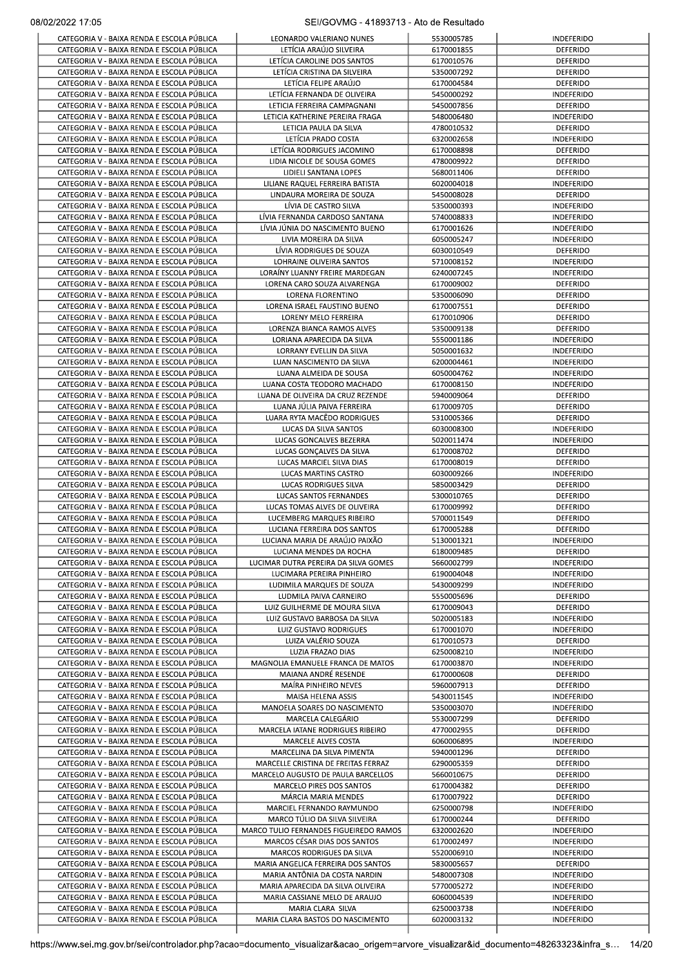|                                                                                          | LEONARDO VALERIANO NUNES                                         | 5530005785               | <b>INDEFERIDO</b>                      |
|------------------------------------------------------------------------------------------|------------------------------------------------------------------|--------------------------|----------------------------------------|
| CATEGORIA V - BAIXA RENDA E ESCOLA PÚBLICA<br>CATEGORIA V - BAIXA RENDA E ESCOLA PÚBLICA | LETICIA ARAÚJO SILVEIRA<br>LETÍCIA CAROLINE DOS SANTOS           | 6170001855<br>6170010576 | DEFERIDO<br><b>DEFERIDO</b>            |
| CATEGORIA V - BAIXA RENDA E ESCOLA PÚBLICA                                               | LETÍCIA CRISTINA DA SILVEIRA                                     | 5350007292               | <b>DEFERIDO</b>                        |
| CATEGORIA V - BAIXA RENDA E ESCOLA PÚBLICA                                               | LETÍCIA FELIPE ARAÚJO                                            | 6170004584               | DEFERIDO                               |
| CATEGORIA V - BAIXA RENDA E ESCOLA PÚBLICA<br>CATEGORIA V - BAIXA RENDA E ESCOLA PÚBLICA | LETICIA FERNANDA DE OLIVEIRA<br>LETICIA FERREIRA CAMPAGNANI      | 5450000292<br>5450007856 | <b>INDEFERIDO</b><br>DEFERIDO          |
| CATEGORIA V - BAIXA RENDA E ESCOLA PÚBLICA                                               | LETICIA KATHERINE PEREIRA FRAGA                                  | 5480006480               | <b>INDEFERIDO</b>                      |
| CATEGORIA V - BAIXA RENDA E ESCOLA PÚBLICA                                               | LETICIA PAULA DA SILVA                                           | 4780010532               | DEFERIDO                               |
| CATEGORIA V - BAIXA RENDA E ESCOLA PÚBLICA                                               | LETÍCIA PRADO COSTA                                              | 6320002658               | <b>INDEFERIDO</b>                      |
| CATEGORIA V - BAIXA RENDA E ESCOLA PÚBLICA                                               | LETICIA RODRIGUES JACOMINO                                       | 6170008898               | <b>DEFERIDO</b>                        |
| CATEGORIA V - BAIXA RENDA E ESCOLA PÚBLICA                                               | LIDIA NICOLE DE SOUSA GOMES                                      | 4780009922<br>5680011406 | <b>DEFERIDO</b><br><b>DEFERIDO</b>     |
| CATEGORIA V - BAIXA RENDA E ESCOLA PÚBLICA<br>CATEGORIA V - BAIXA RENDA E ESCOLA PÚBLICA | LIDIELI SANTANA LOPES<br>LILIANE RAQUEL FERREIRA BATISTA         | 6020004018               | <b>INDEFERIDO</b>                      |
| CATEGORIA V - BAIXA RENDA E ESCOLA PÚBLICA                                               | LINDAURA MOREIRA DE SOUZA                                        | 5450008028               | DEFERIDO                               |
| CATEGORIA V - BAIXA RENDA E ESCOLA PÚBLICA                                               | LÍVIA DE CASTRO SILVA                                            | 5350000393               | <b>INDEFERIDO</b>                      |
| CATEGORIA V - BAIXA RENDA E ESCOLA PÚBLICA                                               | LÍVIA FERNANDA CARDOSO SANTANA                                   | 5740008833               | <b>INDEFERIDO</b>                      |
| CATEGORIA V - BAIXA RENDA E ESCOLA PÚBLICA                                               | LÍVIA JÚNIA DO NASCIMENTO BUENO                                  | 6170001626               | <b>INDEFERIDO</b>                      |
| CATEGORIA V - BAIXA RENDA E ESCOLA PÚBLICA<br>CATEGORIA V - BAIXA RENDA E ESCOLA PÚBLICA | LIVIA MOREIRA DA SILVA<br>LÍVIA RODRIGUES DE SOUZA               | 6050005247<br>6030010549 | <b>INDEFERIDO</b><br>DEFERIDO          |
| CATEGORIA V - BAIXA RENDA E ESCOLA PÚBLICA                                               | LOHRAINE OLIVEIRA SANTOS                                         | 5710008152               | <b>INDEFERIDO</b>                      |
| CATEGORIA V - BAIXA RENDA E ESCOLA PÚBLICA                                               | LORAÍNY LUANNY FREIRE MARDEGAN                                   | 6240007245               | INDEFERIDO                             |
| CATEGORIA V - BAIXA RENDA E ESCOLA PÚBLICA                                               | LORENA CARO SOUZA ALVARENGA                                      | 6170009002               | <b>DEFERIDO</b>                        |
| CATEGORIA V - BAIXA RENDA E ESCOLA PÚBLICA                                               | LORENA FLORENTINO                                                | 5350006090               | DEFERIDO                               |
| CATEGORIA V - BAIXA RENDA E ESCOLA PÚBLICA                                               | LORENA ISRAEL FAUSTINO BUENO                                     | 6170007551               | DEFERIDO                               |
| CATEGORIA V - BAIXA RENDA E ESCOLA PÚBLICA<br>CATEGORIA V - BAIXA RENDA E ESCOLA PÚBLICA | LORENY MELO FERREIRA<br>LORENZA BIANCA RAMOS ALVES               | 6170010906<br>5350009138 | <b>DEFERIDO</b><br><b>DEFERIDO</b>     |
| CATEGORIA V - BAIXA RENDA E ESCOLA PÚBLICA                                               | LORIANA APARECIDA DA SILVA                                       | 5550001186               | <b>INDEFERIDO</b>                      |
| CATEGORIA V - BAIXA RENDA E ESCOLA PÚBLICA                                               | LORRANY EVELLIN DA SILVA                                         | 5050001632               | <b>INDEFERIDO</b>                      |
| CATEGORIA V - BAIXA RENDA E ESCOLA PÚBLICA                                               | LUAN NASCIMENTO DA SILVA                                         | 6200004461               | <b>INDEFERIDO</b>                      |
| CATEGORIA V - BAIXA RENDA E ESCOLA PÚBLICA                                               | LUANA ALMEIDA DE SOUSA                                           | 6050004762               | <b>INDEFERIDO</b>                      |
| CATEGORIA V - BAIXA RENDA E ESCOLA PÚBLICA<br>CATEGORIA V - BAIXA RENDA E ESCOLA PÚBLICA | LUANA COSTA TEODORO MACHADO<br>LUANA DE OLIVEIRA DA CRUZ REZENDE | 6170008150<br>5940009064 | <b>INDEFERIDO</b><br><b>DEFERIDO</b>   |
| CATEGORIA V - BAIXA RENDA E ESCOLA PÚBLICA                                               | LUANA JULIA PAIVA FERREIRA                                       | 6170009705               | <b>DEFERIDO</b>                        |
| CATEGORIA V - BAIXA RENDA E ESCOLA PÚBLICA                                               | LUARA RYTA MACEDO RODRIGUES                                      | 5310005366               | DEFERIDO                               |
| CATEGORIA V - BAIXA RENDA E ESCOLA PÚBLICA                                               | LUCAS DA SILVA SANTOS                                            | 6030008300               | <b>INDEFERIDO</b>                      |
| CATEGORIA V - BAIXA RENDA E ESCOLA PÚBLICA                                               | LUCAS GONCALVES BEZERRA                                          | 5020011474               | <b>INDEFERIDO</b>                      |
| CATEGORIA V - BAIXA RENDA E ESCOLA PÚBLICA<br>CATEGORIA V - BAIXA RENDA E ESCOLA PÚBLICA | LUCAS GONÇALVES DA SILVA<br>LUCAS MARCIEL SILVA DIAS             | 6170008702<br>6170008019 | <b>DEFERIDO</b><br>DEFERIDO            |
| CATEGORIA V - BAIXA RENDA E ESCOLA PÚBLICA                                               | LUCAS MARTINS CASTRO                                             | 6030009266               | <b>INDEFERIDO</b>                      |
| CATEGORIA V - BAIXA RENDA E ESCOLA PÚBLICA                                               | LUCAS RODRIGUES SILVA                                            | 5850003429               | <b>DEFERIDO</b>                        |
| CATEGORIA V - BAIXA RENDA E ESCOLA PÚBLICA                                               | LUCAS SANTOS FERNANDES                                           | 5300010765               | <b>DEFERIDO</b>                        |
| CATEGORIA V - BAIXA RENDA E ESCOLA PÚBLICA                                               | LUCAS TOMAS ALVES DE OLIVEIRA                                    | 6170009992               | <b>DEFERIDO</b>                        |
| CATEGORIA V - BAIXA RENDA E ESCOLA PÚBLICA<br>CATEGORIA V - BAIXA RENDA E ESCOLA PÚBLICA | LUCEMBERG MARQUES RIBEIRO<br>LUCIANA FERREIRA DOS SANTOS         | 5700011549<br>6170005288 | <b>DEFERIDO</b><br>DEFERIDO            |
| CATEGORIA V - BAIXA RENDA E ESCOLA PÚBLICA                                               | LUCIANA MARIA DE ARAÚJO PAIXÃO                                   | 5130001321               | <b>INDEFERIDO</b>                      |
| CATEGORIA V - BAIXA RENDA E ESCOLA PÚBLICA                                               | LUCIANA MENDES DA ROCHA                                          | 6180009485               | DEFERIDO                               |
| CATEGORIA V - BAIXA RENDA E ESCOLA PÚBLICA                                               | LUCIMAR DUTRA PEREIRA DA SILVA GOMES                             | 5660002799               | <b>INDEFERIDO</b>                      |
| CATEGORIA V - BAIXA RENDA E ESCOLA PÚBLICA                                               | LUCIMARA PEREIRA PINHEIRO                                        | 6190004048               | <b>INDEFERIDO</b>                      |
| CATEGORIA V - BAIXA RENDA E ESCOLA PÚBLICA<br>CATEGORIA V - BAIXA RENDA E ESCOLA PÚBLICA | LUDIMILA MARQUES DE SOUZA<br>LUDMILA PAIVA CARNEIRO              | 5430009299<br>5550005696 | <b>INDEFERIDO</b><br><b>DEFERIDO</b>   |
| CATEGORIA V - BAIXA RENDA E ESCOLA PÚBLICA                                               | LUIZ GUILHERME DE MOURA SILVA                                    | 6170009043               | <b>DEFERIDO</b>                        |
| CATEGORIA V - BAIXA RENDA E ESCOLA PÚBLICA                                               | LUIZ GUSTAVO BARBOSA DA SILVA                                    | 5020005183               | INDEFERIDO                             |
| CATEGORIA V - BAIXA RENDA E ESCOLA PÚBLICA                                               | LUIZ GUSTAVO RODRIGUES                                           | 6170001070               | <b>INDEFERIDO</b>                      |
| CATEGORIA V - BAIXA RENDA E ESCOLA PÚBLICA                                               | LUIZA VALÉRIO SOUZA                                              | 6170010573               | DEFERIDO                               |
| CATEGORIA V - BAIXA RENDA E ESCOLA PÚBLICA<br>CATEGORIA V - BAIXA RENDA E ESCOLA PÚBLICA | LUZIA FRAZAO DIAS<br>MAGNOLIA EMANUELE FRANCA DE MATOS           | 6250008210<br>6170003870 | <b>INDEFERIDO</b><br><b>INDEFERIDO</b> |
| CATEGORIA V - BAIXA RENDA E ESCOLA PÚBLICA                                               | MAIANA ANDRÉ RESENDE                                             | 6170000608               | DEFERIDO                               |
| CATEGORIA V - BAIXA RENDA E ESCOLA PÚBLICA                                               | MAIRA PINHEIRO NEVES                                             | 5960007913               | <b>DEFERIDO</b>                        |
| CATEGORIA V - BAIXA RENDA E ESCOLA PÚBLICA                                               | MAISA HELENA ASSIS                                               | 5430011545               | <b>INDEFERIDO</b>                      |
| CATEGORIA V - BAIXA RENDA E ESCOLA PÚBLICA                                               | MANOELA SOARES DO NASCIMENTO                                     | 5350003070               | <b>INDEFERIDO</b>                      |
| CATEGORIA V - BAIXA RENDA E ESCOLA PÚBLICA<br>CATEGORIA V - BAIXA RENDA E ESCOLA PÚBLICA | MARCELA CALEGÁRIO<br>MARCELA IATANE RODRIGUES RIBEIRO            | 5530007299<br>4770002955 | <b>DEFERIDO</b><br><b>DEFERIDO</b>     |
| CATEGORIA V - BAIXA RENDA E ESCOLA PÚBLICA                                               | MARCELE ALVES COSTA                                              | 6060006895               | <b>INDEFERIDO</b>                      |
| CATEGORIA V - BAIXA RENDA E ESCOLA PÚBLICA                                               | MARCELINA DA SILVA PIMENTA                                       | 5940001296               | DEFERIDO                               |
| CATEGORIA V - BAIXA RENDA E ESCOLA PÚBLICA                                               | MARCELLE CRISTINA DE FREITAS FERRAZ                              | 6290005359               | DEFERIDO                               |
| CATEGORIA V - BAIXA RENDA E ESCOLA PÚBLICA                                               | MARCELO AUGUSTO DE PAULA BARCELLOS                               | 5660010675               | <b>DEFERIDO</b>                        |
| CATEGORIA V - BAIXA RENDA E ESCOLA PÚBLICA                                               | MARCELO PIRES DOS SANTOS                                         | 6170004382               | DEFERIDO                               |
| CATEGORIA V - BAIXA RENDA E ESCOLA PÚBLICA<br>CATEGORIA V - BAIXA RENDA E ESCOLA PÚBLICA | MÁRCIA MARIA MENDES<br>MARCIEL FERNANDO RAYMUNDO                 | 6170007922<br>6250000798 | DEFERIDO<br><b>INDEFERIDO</b>          |
| CATEGORIA V - BAIXA RENDA E ESCOLA PÚBLICA                                               | MARCO TÚLIO DA SILVA SILVEIRA                                    | 6170000244               | DEFERIDO                               |
| CATEGORIA V - BAIXA RENDA E ESCOLA PÚBLICA                                               | MARCO TULIO FERNANDES FIGUEIREDO RAMOS                           | 6320002620               | <b>INDEFERIDO</b>                      |
| CATEGORIA V - BAIXA RENDA E ESCOLA PÚBLICA                                               | MARCOS CÉSAR DIAS DOS SANTOS                                     | 6170002497               | <b>INDEFERIDO</b>                      |
| CATEGORIA V - BAIXA RENDA E ESCOLA PÚBLICA<br>CATEGORIA V - BAIXA RENDA E ESCOLA PÚBLICA | MARCOS RODRIGUES DA SILVA<br>MARIA ANGELICA FERREIRA DOS SANTOS  | 5520006910<br>5830005657 | <b>INDEFERIDO</b><br>DEFERIDO          |
| CATEGORIA V - BAIXA RENDA E ESCOLA PÚBLICA                                               | MARIA ANTÔNIA DA COSTA NARDIN                                    | 5480007308               | <b>INDEFERIDO</b>                      |
| CATEGORIA V - BAIXA RENDA E ESCOLA PÚBLICA                                               | MARIA APARECIDA DA SILVA OLIVEIRA                                | 5770005272               | <b>INDEFERIDO</b>                      |
| CATEGORIA V - BAIXA RENDA E ESCOLA PÚBLICA                                               | MARIA CASSIANE MELO DE ARAUJO                                    | 6060004539               | <b>INDEFERIDO</b>                      |
| CATEGORIA V - BAIXA RENDA E ESCOLA PÚBLICA                                               | MARIA CLARA SILVA                                                | 6250003738               | <b>INDEFERIDO</b>                      |
| CATEGORIA V - BAIXA RENDA E ESCOLA PÚBLICA                                               | MARIA CLARA BASTOS DO NASCIMENTO                                 | 6020003132               | <b>INDEFERIDO</b>                      |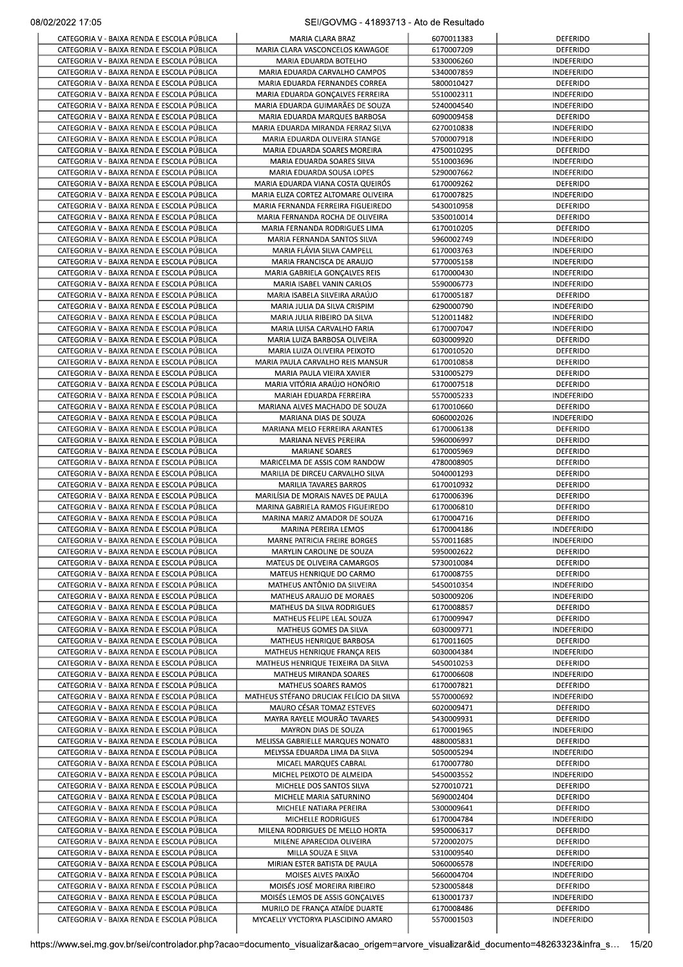|                                                                                          | MARIA CLARA BRAZ                                                     | 6070011383               | <b>DEFERIDO</b>                        |
|------------------------------------------------------------------------------------------|----------------------------------------------------------------------|--------------------------|----------------------------------------|
| CATEGORIA V - BAIXA RENDA E ESCOLA PÚBLICA<br>CATEGORIA V - BAIXA RENDA E ESCOLA PÚBLICA | MARIA CLARA VASCONCELOS KAWAGOE<br>MARIA EDUARDA BOTELHO             | 6170007209<br>5330006260 | <b>DEFERIDO</b><br><b>INDEFERIDO</b>   |
| CATEGORIA V - BAIXA RENDA E ESCOLA PÚBLICA                                               | MARIA EDUARDA CARVALHO CAMPOS                                        | 5340007859               | <b>INDEFERIDO</b>                      |
| CATEGORIA V - BAIXA RENDA E ESCOLA PÚBLICA                                               | MARIA EDUARDA FERNANDES CORREA                                       | 5800010427               | DEFERIDO                               |
| CATEGORIA V - BAIXA RENDA E ESCOLA PÚBLICA                                               | MARIA EDUARDA GONCALVES FERREIRA                                     | 5510002311               | INDEFERIDO                             |
| CATEGORIA V - BAIXA RENDA E ESCOLA PÚBLICA                                               | MARIA EDUARDA GUIMARÃES DE SOUZA                                     | 5240004540               | INDEFERIDO                             |
| CATEGORIA V - BAIXA RENDA E ESCOLA PÚBLICA                                               | MARIA EDUARDA MARQUES BARBOSA                                        | 6090009458               | <b>DEFERIDO</b>                        |
| CATEGORIA V - BAIXA RENDA E ESCOLA PUBLICA<br>CATEGORIA V - BAIXA RENDA E ESCOLA PÚBLICA | MARIA EDUARDA MIRANDA FERRAZ SILVA<br>MARIA EDUARDA OLIVEIRA STANGE  | 6270010838<br>5700007918 | <b>INDEFERIDO</b><br><b>INDEFERIDO</b> |
| CATEGORIA V - BAIXA RENDA E ESCOLA PÚBLICA                                               | MARIA EDUARDA SOARES MOREIRA                                         | 4750010295               | <b>DEFERIDO</b>                        |
| CATEGORIA V - BAIXA RENDA E ESCOLA PÚBLICA                                               | MARIA EDUARDA SOARES SILVA                                           | 5510003696               | <b>INDEFERIDO</b>                      |
| CATEGORIA V - BAIXA RENDA E ESCOLA PÚBLICA                                               | MARIA EDUARDA SOUSA LOPES                                            | 5290007662               | <b>INDEFERIDO</b>                      |
| CATEGORIA V - BAIXA RENDA E ESCOLA PÚBLICA                                               | MARIA EDUARDA VIANA COSTA QUEIRÓS                                    | 6170009262               | <b>DEFERIDO</b>                        |
| CATEGORIA V - BAIXA RENDA E ESCOLA PÚBLICA                                               | MARIA ELIZA CORTEZ ALTOMARE OLIVEIRA                                 | 6170007825               | <b>INDEFERIDO</b>                      |
| CATEGORIA V - BAIXA RENDA E ESCOLA PÚBLICA                                               | MARIA FERNANDA FERREIRA FIGUEIREDO                                   | 5430010958               | DEFERIDO                               |
| CATEGORIA V - BAIXA RENDA E ESCOLA PÚBLICA                                               | MARIA FERNANDA ROCHA DE OLIVEIRA                                     | 5350010014               | <b>DEFERIDO</b>                        |
| CATEGORIA V - BAIXA RENDA E ESCOLA PÚBLICA                                               | MARIA FERNANDA RODRIGUES LIMA                                        | 6170010205               | DEFERIDO                               |
| CATEGORIA V - BAIXA RENDA E ESCOLA PÚBLICA<br>CATEGORIA V - BAIXA RENDA E ESCOLA PÚBLICA | MARIA FERNANDA SANTOS SILVA<br>MARIA FLÁVIA SILVA CAMPELL            | 5960002749<br>6170003763 | <b>INDEFERIDO</b><br><b>INDEFERIDO</b> |
| CATEGORIA V - BAIXA RENDA E ESCOLA PÚBLICA                                               | MARIA FRANCISCA DE ARAUJO                                            | 5770005158               | <b>INDEFERIDO</b>                      |
| CATEGORIA V - BAIXA RENDA E ESCOLA PÚBLICA                                               | MARIA GABRIELA GONÇALVES REIS                                        | 6170000430               | <b>INDEFERIDO</b>                      |
| CATEGORIA V - BAIXA RENDA E ESCOLA PÚBLICA                                               | MARIA ISABEL VANIN CARLOS                                            | 5590006773               | <b>INDEFERIDO</b>                      |
| CATEGORIA V - BAIXA RENDA E ESCOLA PÚBLICA                                               | MARIA ISABELA SILVEIRA ARAÚJO                                        | 6170005187               | <b>DEFERIDO</b>                        |
| CATEGORIA V - BAIXA RENDA E ESCOLA PÚBLICA                                               | MARIA JULIA DA SILVA CRISPIM                                         | 6290000790               | <b>INDEFERIDO</b>                      |
| CATEGORIA V - BAIXA RENDA E ESCOLA PÚBLICA                                               | MARIA JULIA RIBEIRO DA SILVA                                         | 5120011482               | <b>INDEFERIDO</b>                      |
| CATEGORIA V - BAIXA RENDA E ESCOLA PÚBLICA                                               | MARIA LUISA CARVALHO FARIA                                           | 6170007047               | <b>INDEFERIDO</b>                      |
| CATEGORIA V - BAIXA RENDA E ESCOLA PÚBLICA<br>CATEGORIA V - BAIXA RENDA E ESCOLA PÚBLICA | MARIA LUIZA BARBOSA OLIVEIRA<br>MARIA LUIZA OLIVEIRA PEIXOTO         | 6030009920<br>6170010520 | DEFERIDO<br><b>DEFERIDO</b>            |
| CATEGORIA V - BAIXA RENDA E ESCOLA PÚBLICA                                               | MARIA PAULA CARVALHO REIS MANSUR                                     | 6170010858               | DEFERIDO                               |
| CATEGORIA V - BAIXA RENDA E ESCOLA PÚBLICA                                               | MARIA PAULA VIEIRA XAVIER                                            | 5310005279               | <b>DEFERIDO</b>                        |
| CATEGORIA V - BAIXA RENDA E ESCOLA PÚBLICA                                               | MARIA VITÓRIA ARAÚJO HONÓRIO                                         | 6170007518               | <b>DEFERIDO</b>                        |
| CATEGORIA V - BAIXA RENDA E ESCOLA PÚBLICA                                               | MARIAH EDUARDA FERREIRA                                              | 5570005233               | <b>INDEFERIDO</b>                      |
| CATEGORIA V - BAIXA RENDA E ESCOLA PÚBLICA                                               | MARIANA ALVES MACHADO DE SOUZA                                       | 6170010660               | <b>DEFERIDO</b>                        |
| CATEGORIA V - BAIXA RENDA E ESCOLA PÚBLICA                                               | MARIANA DIAS DE SOUZA                                                | 6060002026               | <b>INDEFERIDO</b>                      |
| CATEGORIA V - BAIXA RENDA E ESCOLA PÚBLICA                                               | MARIANA MELO FERREIRA ARANTES                                        | 6170006138               | DEFERIDO                               |
| CATEGORIA V - BAIXA RENDA E ESCOLA PÚBLICA<br>CATEGORIA V - BAIXA RENDA E ESCOLA PÚBLICA | MARIANA NEVES PEREIRA                                                | 5960006997               | DEFERIDO                               |
| CATEGORIA V - BAIXA RENDA E ESCOLA PÚBLICA                                               | <b>MARIANE SOARES</b><br>MARICELMA DE ASSIS COM RANDOW               | 6170005969<br>4780008905 | <b>DEFERIDO</b><br>DEFERIDO            |
| CATEGORIA V - BAIXA RENDA E ESCOLA PÚBLICA                                               | MARILIA DE DIRCEU CARVALHO SILVA                                     | 5040001293               | <b>DEFERIDO</b>                        |
| CATEGORIA V - BAIXA RENDA E ESCOLA PÚBLICA                                               | MARILIA TAVARES BARROS                                               | 6170010932               | <b>DEFERIDO</b>                        |
| CATEGORIA V - BAIXA RENDA E ESCOLA PÚBLICA                                               | MARILÍSIA DE MORAIS NAVES DE PAULA                                   | 6170006396               | DEFERIDO                               |
| CATEGORIA V - BAIXA RENDA E ESCOLA PÚBLICA                                               | MARINA GABRIELA RAMOS FIGUEIREDO                                     | 6170006810               | DEFERIDO                               |
| CATEGORIA V - BAIXA RENDA E ESCOLA PÚBLICA                                               | MARINA MARIZ AMADOR DE SOUZA                                         | 6170004716               | <b>DEFERIDO</b>                        |
| CATEGORIA V - BAIXA RENDA E ESCOLA PÚBLICA                                               | MARINA PEREIRA LEMOS                                                 | 6170004186               | INDEFERIDO                             |
| CATEGORIA V - BAIXA RENDA E ESCOLA PÚBLICA                                               | <b>MARNE PATRICIA FREIRE BORGES</b><br>MARYLIN CAROLINE DE SOUZA     | 5570011685               | <b>INDEFERIDO</b>                      |
| CATEGORIA V - BAIXA RENDA E ESCOLA PÚBLICA<br>CATEGORIA V - BAIXA RENDA E ESCOLA PÚBLICA | MATEUS DE OLIVEIRA CAMARGOS                                          | 5950002622<br>5730010084 | DEFERIDO<br>DEFERIDO                   |
| CATEGORIA V - BAIXA RENDA E ESCOLA PÚBLICA                                               | MATEUS HENRIQUE DO CARMO                                             | 6170008755               | <b>DEFERIDO</b>                        |
| CATEGORIA V - BAIXA RENDA E ESCOLA PÚBLICA                                               | MATHEUS ANTÔNIO DA SILVEIRA                                          | 5450010354               | <b>INDEFERIDO</b>                      |
| CATEGORIA V - BAIXA RENDA E ESCOLA PÚBLICA                                               | MATHEUS ARAUJO DE MORAES                                             | 5030009206               | <b>INDEFERIDO</b>                      |
| CATEGORIA V - BAIXA RENDA E ESCOLA PÚBLICA                                               | MATHEUS DA SILVA RODRIGUES                                           | 6170008857               | <b>DEFERIDO</b>                        |
| CATEGORIA V - BAIXA RENDA E ESCOLA PÚBLICA                                               | MATHEUS FELIPE LEAL SOUZA                                            | 6170009947               | <b>DEFERIDO</b>                        |
| CATEGORIA V - BAIXA RENDA E ESCOLA PÚBLICA<br>CATEGORIA V - BAIXA RENDA E ESCOLA PÚBLICA | MATHEUS GOMES DA SILVA<br>MATHEUS HENRIQUE BARBOSA                   | 6030009771<br>6170011605 | <b>INDEFERIDO</b><br>DEFERIDO          |
| CATEGORIA V - BAIXA RENDA E ESCOLA PÚBLICA                                               | MATHEUS HENRIQUE FRANÇA REIS                                         | 6030004384               | INDEFERIDO                             |
| CATEGORIA V - BAIXA RENDA E ESCOLA PÚBLICA                                               | MATHEUS HENRIQUE TEIXEIRA DA SILVA                                   | 5450010253               | <b>DEFERIDO</b>                        |
| CATEGORIA V - BAIXA RENDA E ESCOLA PÚBLICA                                               | MATHEUS MIRANDA SOARES                                               | 6170006608               | <b>INDEFERIDO</b>                      |
| CATEGORIA V - BAIXA RENDA E ESCOLA PÚBLICA                                               | MATHEUS SOARES RAMOS                                                 | 6170007821               | DEFERIDO                               |
| CATEGORIA V - BAIXA RENDA E ESCOLA PÚBLICA                                               | MATHEUS STÉFANO DRUCIAK FELÍCIO DA SILVA                             | 5570000692               | <b>INDEFERIDO</b>                      |
| CATEGORIA V - BAIXA RENDA E ESCOLA PÚBLICA                                               | MAURO CÉSAR TOMAZ ESTEVES                                            | 6020009471               | DEFERIDO                               |
| CATEGORIA V - BAIXA RENDA E ESCOLA PÚBLICA                                               | MAYRA RAYELE MOURÃO TAVARES                                          | 5430009931               | <b>DEFERIDO</b>                        |
| CATEGORIA V - BAIXA RENDA E ESCOLA PÚBLICA<br>CATEGORIA V - BAIXA RENDA E ESCOLA PÚBLICA | MAYRON DIAS DE SOUZA<br>MELISSA GABRIELLE MARQUES NONATO             | 6170001965<br>4880005831 | <b>INDEFERIDO</b><br>DEFERIDO          |
| CATEGORIA V - BAIXA RENDA E ESCOLA PÚBLICA                                               | MELYSSA EDUARDA LIMA DA SILVA                                        | 5050005294               | INDEFERIDO                             |
| CATEGORIA V - BAIXA RENDA E ESCOLA PÚBLICA                                               | MICAEL MARQUES CABRAL                                                | 6170007780               | DEFERIDO                               |
| CATEGORIA V - BAIXA RENDA E ESCOLA PÚBLICA                                               | MICHEL PEIXOTO DE ALMEIDA                                            | 5450003552               | <b>INDEFERIDO</b>                      |
| CATEGORIA V - BAIXA RENDA E ESCOLA PÚBLICA                                               | MICHELE DOS SANTOS SILVA                                             | 5270010721               | DEFERIDO                               |
| CATEGORIA V - BAIXA RENDA E ESCOLA PÚBLICA                                               | MICHELE MARIA SATURNINO                                              | 5690002404               | <b>DEFERIDO</b>                        |
| CATEGORIA V - BAIXA RENDA E ESCOLA PÚBLICA                                               | MICHELE NATIARA PEREIRA                                              | 5300009641               | DEFERIDO                               |
| CATEGORIA V - BAIXA RENDA E ESCOLA PÚBLICA                                               | MICHELLE RODRIGUES                                                   | 6170004784               | <b>INDEFERIDO</b>                      |
| CATEGORIA V - BAIXA RENDA E ESCOLA PÚBLICA<br>CATEGORIA V - BAIXA RENDA E ESCOLA PÚBLICA | MILENA RODRIGUES DE MELLO HORTA<br>MILENE APARECIDA OLIVEIRA         | 5950006317<br>5720002075 | <b>DEFERIDO</b><br><b>DEFERIDO</b>     |
| CATEGORIA V - BAIXA RENDA E ESCOLA PÚBLICA                                               | MILLA SOUZA E SILVA                                                  | 5310009540               | <b>DEFERIDO</b>                        |
| CATEGORIA V - BAIXA RENDA E ESCOLA PÚBLICA                                               | MIRIAN ESTER BATISTA DE PAULA                                        | 5060006578               | <b>INDEFERIDO</b>                      |
| CATEGORIA V - BAIXA RENDA E ESCOLA PÚBLICA                                               | MOISES ALVES PAIXÃO                                                  | 5660004704               | INDEFERIDO                             |
| CATEGORIA V - BAIXA RENDA E ESCOLA PÚBLICA                                               | MOISÉS JOSÉ MOREIRA RIBEIRO                                          | 5230005848               | DEFERIDO                               |
| CATEGORIA V - BAIXA RENDA E ESCOLA PÚBLICA                                               | MOISÉS LEMOS DE ASSIS GONÇALVES                                      | 6130001737               | <b>INDEFERIDO</b>                      |
| CATEGORIA V - BAIXA RENDA E ESCOLA PÚBLICA                                               | MURILO DE FRANÇA ATAÍDE DUARTE<br>MYCAELLY VYCTORYA PLASCIDINO AMARO | 6170008486<br>5570001503 | DEFERIDO                               |
| CATEGORIA V - BAIXA RENDA E ESCOLA PÚBLICA                                               |                                                                      |                          | <b>INDEFERIDO</b>                      |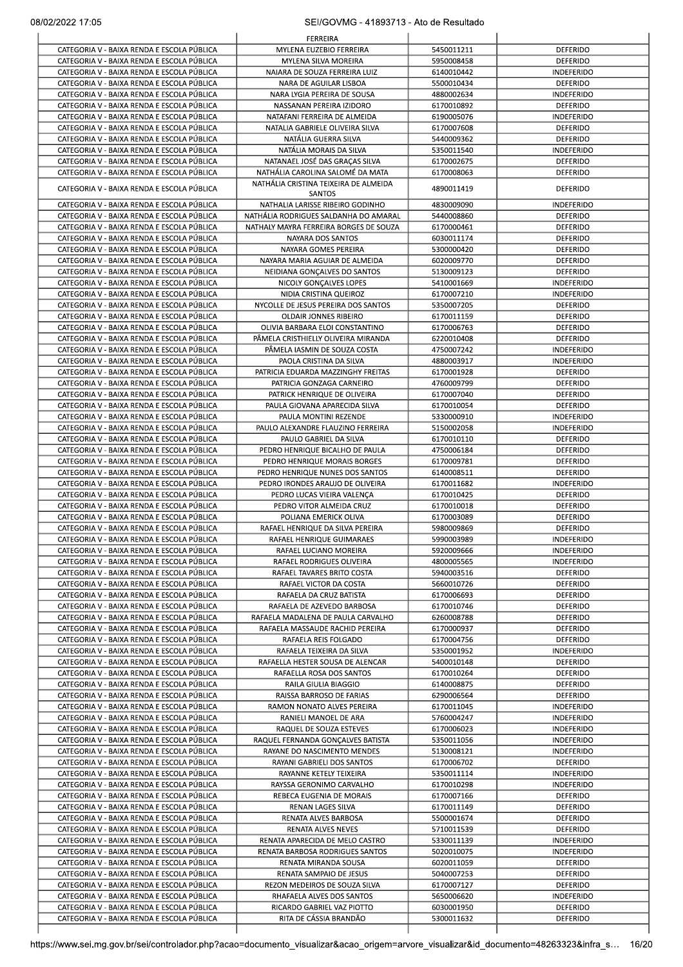|                                                                                          | FERREIRA                                                        |                          |                                      |
|------------------------------------------------------------------------------------------|-----------------------------------------------------------------|--------------------------|--------------------------------------|
| CATEGORIA V - BAIXA RENDA E ESCOLA PÚBLICA                                               | MYLENA EUZEBIO FERREIRA                                         | 5450011211               | <b>DEFERIDO</b>                      |
| CATEGORIA V - BAIXA RENDA E ESCOLA PÚBLICA                                               | MYLENA SILVA MOREIRA                                            | 5950008458               | <b>DEFERIDO</b>                      |
| CATEGORIA V - BAIXA RENDA E ESCOLA PÚBLICA                                               | NAIARA DE SOUZA FERREIRA LUIZ                                   | 6140010442               | <b>INDEFERIDO</b>                    |
| CATEGORIA V - BAIXA RENDA E ESCOLA PÚBLICA                                               | NARA DE AGUILAR LISBOA                                          | 5500010434               | DEFERIDO                             |
| CATEGORIA V - BAIXA RENDA E ESCOLA PÚBLICA                                               | NARA LYGIA PEREIRA DE SOUSA                                     | 4880002634               | INDEFERIDO                           |
| CATEGORIA V - BAIXA RENDA E ESCOLA PÚBLICA<br>CATEGORIA V - BAIXA RENDA E ESCOLA PÚBLICA | NASSANAN PEREIRA IZIDORO                                        | 6170010892<br>6190005076 | <b>DEFERIDO</b>                      |
| CATEGORIA V - BAIXA RENDA E ESCOLA PÚBLICA                                               | NATAFANI FERREIRA DE ALMEIDA<br>NATALIA GABRIELE OLIVEIRA SILVA | 6170007608               | <b>INDEFERIDO</b><br>DEFERIDO        |
| CATEGORIA V - BAIXA RENDA E ESCOLA PÚBLICA                                               | NATÁLIA GUERRA SILVA                                            | 5440009362               | <b>DEFERIDO</b>                      |
| CATEGORIA V - BAIXA RENDA E ESCOLA PÚBLICA                                               | NATÁLIA MORAIS DA SILVA                                         | 5350011540               | <b>INDEFERIDO</b>                    |
| CATEGORIA V - BAIXA RENDA E ESCOLA PÚBLICA                                               | NATANAEL JOSÉ DAS GRAÇAS SILVA                                  | 6170002675               | <b>DEFERIDO</b>                      |
| CATEGORIA V - BAIXA RENDA E ESCOLA PÚBLICA                                               | NATHÁLIA CAROLINA SALOMÉ DA MATA                                | 6170008063               | <b>DEFERIDO</b>                      |
|                                                                                          | NATHÁLIA CRISTINA TEIXEIRA DE ALMEIDA                           |                          |                                      |
| CATEGORIA V - BAIXA RENDA E ESCOLA PÚBLICA                                               | SANTOS                                                          | 4890011419               | <b>DEFERIDO</b>                      |
| CATEGORIA V - BAIXA RENDA E ESCOLA PÚBLICA                                               | NATHALIA LARISSE RIBEIRO GODINHO                                | 4830009090               | <b>INDEFERIDO</b>                    |
| CATEGORIA V - BAIXA RENDA E ESCOLA PÚBLICA                                               | NATHÁLIA RODRIGUES SALDANHA DO AMARAL                           | 5440008860               | <b>DEFERIDO</b>                      |
| CATEGORIA V - BAIXA RENDA E ESCOLA PÚBLICA                                               | NATHALY MAYRA FERREIRA BORGES DE SOUZA                          | 6170000461               | <b>DEFERIDO</b>                      |
| CATEGORIA V - BAIXA RENDA E ESCOLA PÚBLICA                                               | NAYARA DOS SANTOS                                               | 6030011174               | <b>DEFERIDO</b>                      |
| CATEGORIA V - BAIXA RENDA E ESCOLA PÚBLICA                                               | NAYARA GOMES PEREIRA                                            | 5300000420               | DEFERIDO                             |
| CATEGORIA V - BAIXA RENDA E ESCOLA PÚBLICA                                               | NAYARA MARIA AGUIAR DE ALMEIDA                                  | 6020009770               | <b>DEFERIDO</b>                      |
| CATEGORIA V - BAIXA RENDA E ESCOLA PÚBLICA                                               | NEIDIANA GONÇALVES DO SANTOS                                    | 5130009123               | DEFERIDO                             |
| CATEGORIA V - BAIXA RENDA E ESCOLA PÚBLICA                                               | NICOLY GONÇALVES LOPES                                          | 5410001669               | <b>INDEFERIDO</b>                    |
| CATEGORIA V - BAIXA RENDA E ESCOLA PÚBLICA                                               | NIDIA CRISTINA QUEIROZ                                          | 6170007210<br>5350007205 | <b>INDEFERIDO</b>                    |
| CATEGORIA V - BAIXA RENDA E ESCOLA PÚBLICA<br>CATEGORIA V - BAIXA RENDA E ESCOLA PÚBLICA | NYCOLLE DE JESUS PEREIRA DOS SANTOS<br>OLDAIR JONNES RIBEIRO    | 6170011159               | DEFERIDO<br>DEFERIDO                 |
| CATEGORIA V - BAIXA RENDA E ESCOLA PÚBLICA                                               | OLIVIA BARBARA ELOI CONSTANTINO                                 | 6170006763               | <b>DEFERIDO</b>                      |
| CATEGORIA V - BAIXA RENDA E ESCOLA PÚBLICA                                               | PÂMELA CRISTHIELLY OLIVEIRA MIRANDA                             | 6220010408               | <b>DEFERIDO</b>                      |
| CATEGORIA V - BAIXA RENDA E ESCOLA PÚBLICA                                               | PÂMELA IASMIN DE SOUZA COSTA                                    | 4750007242               | <b>INDEFERIDO</b>                    |
| CATEGORIA V - BAIXA RENDA E ESCOLA PÚBLICA                                               | PAOLA CRISTINA DA SILVA                                         | 4880003917               | INDEFERIDO                           |
| CATEGORIA V - BAIXA RENDA E ESCOLA PÚBLICA                                               | PATRICIA EDUARDA MAZZINGHY FREITAS                              | 6170001928               | DEFERIDO                             |
| CATEGORIA V - BAIXA RENDA E ESCOLA PUBLICA                                               | PATRICIA GONZAGA CARNEIRO                                       | 4760009799               | DEFERIDO                             |
| CATEGORIA V - BAIXA RENDA E ESCOLA PÚBLICA                                               | PATRICK HENRIQUE DE OLIVEIRA                                    | 6170007040               | <b>DEFERIDO</b>                      |
| CATEGORIA V - BAIXA RENDA E ESCOLA PÚBLICA                                               | PAULA GIOVANA APARECIDA SILVA                                   | 6170010054               | <b>DEFERIDO</b>                      |
| CATEGORIA V - BAIXA RENDA E ESCOLA PÚBLICA                                               | PAULA MONTINI REZENDE                                           | 5330000910               | INDEFERIDO                           |
| CATEGORIA V - BAIXA RENDA E ESCOLA PÚBLICA                                               | PAULO ALEXANDRE FLAUZINO FERREIRA                               | 5150002058               | <b>INDEFERIDO</b>                    |
| CATEGORIA V - BAIXA RENDA E ESCOLA PÚBLICA                                               | PAULO GABRIEL DA SILVA                                          | 6170010110               | <b>DEFERIDO</b>                      |
| CATEGORIA V - BAIXA RENDA E ESCOLA PÚBLICA                                               | PEDRO HENRIQUE BICALHO DE PAULA                                 | 4750006184               | <b>DEFERIDO</b>                      |
| CATEGORIA V - BAIXA RENDA E ESCOLA PÚBLICA                                               | PEDRO HENRIQUE MORAIS BORGES                                    | 6170009781               | DEFERIDO                             |
| CATEGORIA V - BAIXA RENDA E ESCOLA PÚBLICA                                               | PEDRO HENRIQUE NUNES DOS SANTOS                                 | 6140008511               | <b>DEFERIDO</b>                      |
| CATEGORIA V - BAIXA RENDA E ESCOLA PÚBLICA                                               | PEDRO IRONDES ARAUJO DE OLIVEIRA                                | 6170011682               | <b>INDEFERIDO</b>                    |
| CATEGORIA V - BAIXA RENDA E ESCOLA PÚBLICA                                               | PEDRO LUCAS VIEIRA VALENCA                                      | 6170010425<br>6170010018 | <b>DEFERIDO</b>                      |
| CATEGORIA V - BAIXA RENDA E ESCOLA PÚBLICA<br>CATEGORIA V - BAIXA RENDA E ESCOLA PÚBLICA | PEDRO VITOR ALMEIDA CRUZ<br>POLIANA EMERICK OLIVA               | 6170003089               | DEFERIDO<br><b>DEFERIDO</b>          |
| CATEGORIA V - BAIXA RENDA E ESCOLA PÚBLICA                                               | RAFAEL HENRIQUE DA SILVA PEREIRA                                | 5980009869               | DEFERIDO                             |
| CATEGORIA V - BAIXA RENDA E ESCOLA PÚBLICA                                               | RAFAEL HENRIQUE GUIMARAES                                       | 5990003989               | <b>INDEFERIDO</b>                    |
| CATEGORIA V - BAIXA RENDA E ESCOLA PUBLICA                                               | RAFAEL LUCIANO MOREIRA                                          | 5920009666               | <b>INDEFERIDO</b>                    |
| CATEGORIA V - BAIXA RENDA E ESCOLA PÚBLICA                                               | RAFAEL RODRIGUES OLIVEIRA                                       | 4800005565               | <b>INDEFERIDO</b>                    |
| CATEGORIA V - BAIXA RENDA E ESCOLA PÚBLICA                                               | RAFAEL TAVARES BRITO COSTA                                      | 5940003516               | DEFERIDO                             |
| CATEGORIA V - BAIXA RENDA E ESCOLA PÚBLICA                                               | RAFAEL VICTOR DA COSTA                                          | 5660010726               | <b>DEFERIDO</b>                      |
| CATEGORIA V - BAIXA RENDA E ESCOLA PÚBLICA                                               | RAFAELA DA CRUZ BATISTA                                         | 6170006693               | DEFERIDO                             |
| CATEGORIA V - BAIXA RENDA E ESCOLA PÚBLICA                                               | RAFAELA DE AZEVEDO BARBOSA                                      | 6170010746               | DEFERIDO                             |
| CATEGORIA V - BAIXA RENDA E ESCOLA PÚBLICA                                               | RAFAELA MADALENA DE PAULA CARVALHO                              | 6260008788               | <b>DEFERIDO</b>                      |
| CATEGORIA V - BAIXA RENDA E ESCOLA PÚBLICA                                               | RAFAELA MASSAUDE RACHID PEREIRA                                 | 6170000937               | DEFERIDO                             |
| CATEGORIA V - BAIXA RENDA E ESCOLA PÚBLICA                                               | RAFAELA REIS FOLGADO                                            | 6170004756               | DEFERIDO                             |
| CATEGORIA V - BAIXA RENDA E ESCOLA PÚBLICA                                               | RAFAELA TEIXEIRA DA SILVA                                       | 5350001952               | <b>INDEFERIDO</b>                    |
| CATEGORIA V - BAIXA RENDA E ESCOLA PÚBLICA                                               | RAFAELLA HESTER SOUSA DE ALENCAR                                | 5400010148               | DEFERIDO                             |
| CATEGORIA V - BAIXA RENDA E ESCOLA PÚBLICA                                               | RAFAELLA ROSA DOS SANTOS                                        | 6170010264               | <b>DEFERIDO</b>                      |
| CATEGORIA V - BAIXA RENDA E ESCOLA PÚBLICA                                               | RAILA GIULIA BIAGGIO                                            | 6140008875               | DEFERIDO                             |
| CATEGORIA V - BAIXA RENDA E ESCOLA PÚBLICA<br>CATEGORIA V - BAIXA RENDA E ESCOLA PÚBLICA | RAISSA BARROSO DE FARIAS<br>RAMON NONATO ALVES PEREIRA          | 6290006564<br>6170011045 | DEFERIDO<br><b>INDEFERIDO</b>        |
| CATEGORIA V - BAIXA RENDA E ESCOLA PÚBLICA                                               | RANIELI MANOEL DE ARA                                           | 5760004247               | <b>INDEFERIDO</b>                    |
| CATEGORIA V - BAIXA RENDA E ESCOLA PÚBLICA                                               | RAQUEL DE SOUZA ESTEVES                                         | 6170006023               | INDEFERIDO                           |
| CATEGORIA V - BAIXA RENDA E ESCOLA PÚBLICA                                               | RAQUEL FERNANDA GONÇALVES BATISTA                               | 5350011056               | <b>INDEFERIDO</b>                    |
| CATEGORIA V - BAIXA RENDA E ESCOLA PÚBLICA                                               | RAYANE DO NASCIMENTO MENDES                                     | 5130008121               | <b>INDEFERIDO</b>                    |
| CATEGORIA V - BAIXA RENDA E ESCOLA PÚBLICA                                               | RAYANI GABRIELI DOS SANTOS                                      | 6170006702               | <b>DEFERIDO</b>                      |
| CATEGORIA V - BAIXA RENDA E ESCOLA PÚBLICA                                               | RAYANNE KETELY TEIXEIRA                                         | 5350011114               | <b>INDEFERIDO</b>                    |
| CATEGORIA V - BAIXA RENDA E ESCOLA PÚBLICA                                               | RAYSSA GERONIMO CARVALHO                                        | 6170010298               | INDEFERIDO                           |
| CATEGORIA V - BAIXA RENDA E ESCOLA PÚBLICA                                               | REBECA EUGENIA DE MORAIS                                        | 6170007166               | DEFERIDO                             |
| CATEGORIA V - BAIXA RENDA E ESCOLA PÚBLICA                                               | RENAN LAGES SILVA                                               | 6170011149               | DEFERIDO                             |
| CATEGORIA V - BAIXA RENDA E ESCOLA PÚBLICA                                               | RENATA ALVES BARBOSA                                            | 5500001674               | <b>DEFERIDO</b>                      |
| CATEGORIA V - BAIXA RENDA E ESCOLA PÚBLICA                                               | RENATA ALVES NEVES                                              | 5710011539               | DEFERIDO                             |
| CATEGORIA V - BAIXA RENDA E ESCOLA PÚBLICA                                               | RENATA APARECIDA DE MELO CASTRO                                 | 5330011139               | INDEFERIDO                           |
| CATEGORIA V - BAIXA RENDA E ESCOLA PÚBLICA                                               | RENATA BARBOSA RODRIGUES SANTOS                                 | 5020010075               | <b>INDEFERIDO</b>                    |
| CATEGORIA V - BAIXA RENDA E ESCOLA PÚBLICA                                               | RENATA MIRANDA SOUSA                                            | 6020011059               | <b>DEFERIDO</b>                      |
| CATEGORIA V - BAIXA RENDA E ESCOLA PÚBLICA                                               | RENATA SAMPAIO DE JESUS                                         | 5040007253               | DEFERIDO                             |
|                                                                                          | REZON MEDEIROS DE SOUZA SILVA                                   | 6170007127<br>5650006620 | <b>DEFERIDO</b><br><b>INDEFERIDO</b> |
| CATEGORIA V - BAIXA RENDA E ESCOLA PÚBLICA                                               |                                                                 |                          |                                      |
| CATEGORIA V - BAIXA RENDA E ESCOLA PÚBLICA<br>CATEGORIA V - BAIXA RENDA E ESCOLA PÚBLICA | RHAFAELA ALVES DOS SANTOS<br>RICARDO GABRIEL VAZ PIOTTO         | 6030001950               | DEFERIDO                             |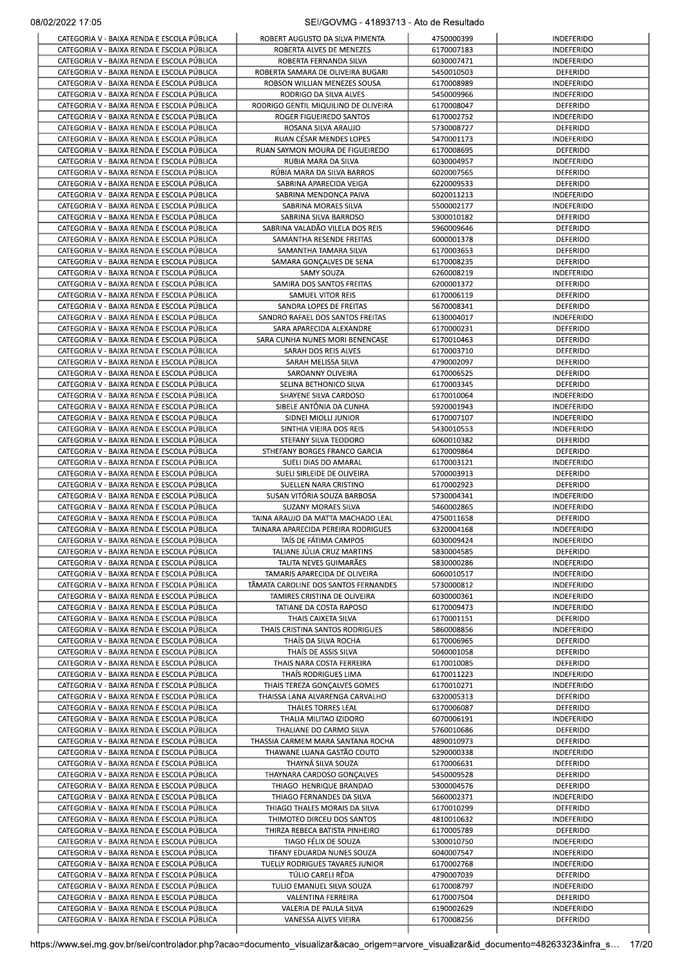| CATEGORIA V - BAIXA RENDA E ESCOLA PÚBLICA                                               | ROBERT AUGUSTO DA SILVA PIMENTA                              | 4750000399               | INDEFERIDO                             |
|------------------------------------------------------------------------------------------|--------------------------------------------------------------|--------------------------|----------------------------------------|
|                                                                                          | ROBERTA ALVES DE MENEZES                                     | 6170007183               | <b>INDEFERIDO</b>                      |
| CATEGORIA V - BAIXA RENDA E ESCOLA PÚBLICA<br>CATEGORIA V - BAIXA RENDA E ESCOLA PÚBLICA | ROBERTA FERNANDA SILVA<br>ROBERTA SAMARA DE OLIVEIRA BUGARI  | 6030007471<br>5450010503 | <b>INDEFERIDO</b><br><b>DEFERIDO</b>   |
| CATEGORIA V - BAIXA RENDA E ESCOLA PÚBLICA                                               | ROBSON WILLIAN MENEZES SOUSA                                 | 6170008989               | <b>INDEFERIDO</b>                      |
| CATEGORIA V - BAIXA RENDA E ESCOLA PÚBLICA                                               | RODRIGO DA SILVA ALVES                                       | 5450009966               | <b>INDEFERIDO</b>                      |
| CATEGORIA V - BAIXA RENDA E ESCOLA PÚBLICA                                               | RODRIGO GENTIL MIQUILINO DE OLIVEIRA                         | 6170008047               | DEFERIDO                               |
| CATEGORIA V - BAIXA RENDA E ESCOLA PÚBLICA                                               | ROGER FIGUEIREDO SANTOS                                      | 6170002752               | <b>INDEFERIDO</b>                      |
| CATEGORIA V - BAIXA RENDA E ESCOLA PÚBLICA                                               | ROSANA SILVA ARAUJO                                          | 5730008727               | DEFERIDO                               |
| CATEGORIA V - BAIXA RENDA E ESCOLA PÚBLICA                                               | RUAN CÉSAR MENDES LOPES                                      | 5470001173               | INDEFERIDO                             |
| CATEGORIA V - BAIXA RENDA E ESCOLA PÚBLICA<br>CATEGORIA V - BAIXA RENDA E ESCOLA PÚBLICA | RUAN SAYMON MOURA DE FIGUEIREDO<br>RUBIA MARA DA SILVA       | 6170008695<br>6030004957 | <b>DEFERIDO</b><br><b>INDEFERIDO</b>   |
| CATEGORIA V - BAIXA RENDA E ESCOLA PÚBLICA                                               | RUBIA MARA DA SILVA BARROS                                   | 6020007565               | <b>DEFERIDO</b>                        |
| CATEGORIA V - BAIXA RENDA E ESCOLA PÚBLICA                                               | SABRINA APARECIDA VEIGA                                      | 6220009533               | <b>DEFERIDO</b>                        |
| CATEGORIA V - BAIXA RENDA E ESCOLA PÚBLICA                                               | SABRINA MENDONCA PAIVA                                       | 6020011213               | <b>INDEFERIDO</b>                      |
| CATEGORIA V - BAIXA RENDA E ESCOLA PÚBLICA                                               | SABRINA MORAES SILVA                                         | 5500002177               | <b>INDEFERIDO</b>                      |
| CATEGORIA V - BAIXA RENDA E ESCOLA PÚBLICA                                               | SABRINA SILVA BARROSO                                        | 5300010182               | DEFERIDO                               |
| CATEGORIA V - BAIXA RENDA E ESCOLA PÚBLICA                                               | SABRINA VALADÃO VILELA DOS REIS                              | 5960009646               | DEFERIDO                               |
| CATEGORIA V - BAIXA RENDA E ESCOLA PÚBLICA                                               | SAMANTHA RESENDE FREITAS                                     | 6000001378               | DEFERIDO                               |
| CATEGORIA V - BAIXA RENDA E ESCOLA PÚBLICA                                               | SAMANTHA TAMARA SILVA                                        | 6170003653               | DEFERIDO                               |
| CATEGORIA V - BAIXA RENDA E ESCOLA PÚBLICA                                               | SAMARA GONÇALVES DE SENA                                     | 6170008235               | DEFERIDO                               |
| CATEGORIA V - BAIXA RENDA E ESCOLA PÚBLICA                                               | SAMY SOUZA                                                   | 6260008219               | <b>INDEFERIDO</b>                      |
| CATEGORIA V - BAIXA RENDA E ESCOLA PÚBLICA                                               | SAMIRA DOS SANTOS FREITAS                                    | 6200001372               | <b>DEFERIDO</b>                        |
| CATEGORIA V - BAIXA RENDA E ESCOLA PÚBLICA                                               | <b>SAMUEL VITOR REIS</b>                                     | 6170006119               | <b>DEFERIDO</b>                        |
| CATEGORIA V - BAIXA RENDA E ESCOLA PÚBLICA                                               | SANDRA LOPES DE FREITAS                                      | 5670008341               | DEFERIDO                               |
| CATEGORIA V - BAIXA RENDA E ESCOLA PÚBLICA<br>CATEGORIA V - BAIXA RENDA E ESCOLA PÚBLICA | SANDRO RAFAEL DOS SANTOS FREITAS<br>SARA APARECIDA ALEXANDRE | 6130004017<br>6170000231 | INDEFERIDO<br>DEFERIDO                 |
| CATEGORIA V - BAIXA RENDA E ESCOLA PÚBLICA                                               | SARA CUNHA NUNES MORI BENENCASE                              | 6170010463               | DEFERIDO                               |
| CATEGORIA V - BAIXA RENDA E ESCOLA PÚBLICA                                               | SARAH DOS REIS ALVES                                         | 6170003710               | DEFERIDO                               |
| CATEGORIA V - BAIXA RENDA E ESCOLA PÚBLICA                                               | SARAH MELISSA SILVA                                          | 4790002097               | DEFERIDO                               |
| CATEGORIA V - BAIXA RENDA E ESCOLA PÚBLICA                                               | SAROANNY OLIVEIRA                                            | 6170006525               | <b>DEFERIDO</b>                        |
| CATEGORIA V - BAIXA RENDA E ESCOLA PÚBLICA                                               | SELINA BETHONICO SILVA                                       | 6170003345               | <b>DEFERIDO</b>                        |
| CATEGORIA V - BAIXA RENDA E ESCOLA PÚBLICA                                               | SHAYENE SILVA CARDOSO                                        | 6170010064               | <b>INDEFERIDO</b>                      |
| CATEGORIA V - BAIXA RENDA E ESCOLA PÚBLICA                                               | SIBELE ANTÔNIA DA CUNHA                                      | 5920001943               | INDEFERIDO                             |
| CATEGORIA V - BAIXA RENDA E ESCOLA PÚBLICA                                               | SIDNEI MIOLLI JUNIOR                                         | 6170007107               | <b>INDEFERIDO</b>                      |
| CATEGORIA V - BAIXA RENDA E ESCOLA PÚBLICA                                               | SINTHIA VIEIRA DOS REIS                                      | 5430010553               | INDEFERIDO                             |
| CATEGORIA V - BAIXA RENDA E ESCOLA PÚBLICA                                               | STEFANY SILVA TEODORO                                        | 6060010382               | <b>DEFERIDO</b>                        |
| CATEGORIA V - BAIXA RENDA E ESCOLA PÚBLICA                                               | STHEFANY BORGES FRANCO GARCIA                                | 6170009864               | DEFERIDO                               |
| CATEGORIA V - BAIXA RENDA E ESCOLA PÚBLICA                                               | SUELI DIAS DO AMARAL                                         | 6170003121               | <b>INDEFERIDO</b>                      |
| CATEGORIA V - BAIXA RENDA E ESCOLA PÚBLICA<br>CATEGORIA V - BAIXA RENDA E ESCOLA PÚBLICA | SUELI SIRLEIDE DE OLIVEIRA<br>SUELLEN NARA CRISTINO          | 5700003913<br>6170002923 | DEFERIDO<br>DEFERIDO                   |
| CATEGORIA V - BAIXA RENDA E ESCOLA PÚBLICA                                               | SUSAN VITÓRIA SOUZA BARBOSA                                  | 5730004341               | <b>INDEFERIDO</b>                      |
| CATEGORIA V - BAIXA RENDA E ESCOLA PÚBLICA                                               | SUZANY MORAES SILVA                                          | 5460002865               | <b>INDEFERIDO</b>                      |
| CATEGORIA V - BAIXA RENDA E ESCOLA PÚBLICA                                               | TAINA ARAUJO DA MATTA MACHADO LEAL                           | 4750011658               | DEFERIDO                               |
| CATEGORIA V - BAIXA RENDA E ESCOLA PÚBLICA                                               | TAINARA APARECIDA PEREIRA RODRIGUES                          | 6320004168               | <b>INDEFERIDO</b>                      |
| CATEGORIA V - BAIXA RENDA E ESCOLA PÚBLICA                                               | TAÍS DE FÁTIMA CAMPOS                                        | 6030009424               | <b>INDEFERIDO</b>                      |
| CATEGORIA V - BAIXA RENDA E ESCOLA PÚBLICA                                               | TALIANE JÚLIA CRUZ MARTINS                                   | 5830004585               | DEFERIDO                               |
| CATEGORIA V - BAIXA RENDA E ESCOLA PÚBLICA                                               | TALITA NEVES GUIMARÃES                                       | 5830000286               | <b>INDEFERIDO</b>                      |
| CATEGORIA V - BAIXA RENDA E ESCOLA PÚBLICA                                               | TAMARIS APARECIDA DE OLIVEIRA                                | 6060010517               | <b>INDEFERIDO</b>                      |
| CATEGORIA V - BAIXA RENDA E ESCOLA PÚBLICA                                               | TÂMATA CAROLINE DOS SANTOS FERNANDES                         | 5730000812               | <b>INDEFERIDO</b>                      |
| CATEGORIA V - BAIXA RENDA E ESCOLA PÚBLICA<br>CATEGORIA V - BAIXA RENDA E ESCOLA PÚBLICA | TAMIRES CRISTINA DE OLIVEIRA<br>TATIANE DA COSTA RAPOSO      | 6030000361<br>6170009473 | <b>INDEFERIDO</b><br><b>INDEFERIDO</b> |
| CATEGORIA V - BAIXA RENDA E ESCOLA PÚBLICA                                               | THAIS CAIXETA SILVA                                          | 6170001151               | <b>DEFERIDO</b>                        |
| CATEGORIA V - BAIXA RENDA E ESCOLA PÚBLICA                                               | THAIS CRISTINA SANTOS RODRIGUES                              | 5860008856               | <b>INDEFERIDO</b>                      |
| CATEGORIA V - BAIXA RENDA E ESCOLA PÚBLICA                                               | THAIS DA SILVA ROCHA                                         | 6170006965               | DEFERIDO                               |
| CATEGORIA V - BAIXA RENDA E ESCOLA PÚBLICA                                               | THAIS DE ASSIS SILVA                                         | 5040001058               | DEFERIDO                               |
| CATEGORIA V - BAIXA RENDA E ESCOLA PÚBLICA                                               | THAIS NARA COSTA FERREIRA                                    | 6170010085               | DEFERIDO                               |
| CATEGORIA V - BAIXA RENDA E ESCOLA PÚBLICA                                               | THAÍS RODRIGUES LIMA                                         | 6170011223               | <b>INDEFERIDO</b>                      |
| CATEGORIA V - BAIXA RENDA E ESCOLA PÚBLICA                                               | THAIS TEREZA GONÇALVES GOMES                                 | 6170010271               | <b>INDEFERIDO</b>                      |
| CATEGORIA V - BAIXA RENDA E ESCOLA PÚBLICA                                               | THAISSA LANA ALVARENGA CARVALHO                              | 6320005313               | <b>DEFERIDO</b>                        |
| CATEGORIA V - BAIXA RENDA E ESCOLA PÚBLICA                                               | THALES TORRES LEAL                                           | 6170006087               | <b>DEFERIDO</b>                        |
| CATEGORIA V - BAIXA RENDA E ESCOLA PÚBLICA                                               | THALIA MILITAO IZIDORO                                       | 6070006191               | <b>INDEFERIDO</b>                      |
| CATEGORIA V - BAIXA RENDA E ESCOLA PÚBLICA                                               | THALIANE DO CARMO SILVA                                      | 5760010686               | <b>DEFERIDO</b>                        |
| CATEGORIA V - BAIXA RENDA E ESCOLA PÚBLICA                                               | THASSIA CARMEM MARA SANTANA ROCHA                            | 4890010973               | <b>DEFERIDO</b>                        |
| CATEGORIA V - BAIXA RENDA E ESCOLA PÚBLICA<br>CATEGORIA V - BAIXA RENDA E ESCOLA PÚBLICA | THAWANE LUANA GASTÃO COUTO<br>THAYNÁ SILVA SOUZA             | 5290000338<br>6170006631 | <b>INDEFERIDO</b><br>DEFERIDO          |
| CATEGORIA V - BAIXA RENDA E ESCOLA PÚBLICA                                               | THAYNARA CARDOSO GONÇALVES                                   | 5450009528               | <b>DEFERIDO</b>                        |
| CATEGORIA V - BAIXA RENDA E ESCOLA PÚBLICA                                               | THIAGO HENRIQUE BRANDAO                                      | 5300004576               | DEFERIDO                               |
| CATEGORIA V - BAIXA RENDA E ESCOLA PÚBLICA                                               | THIAGO FERNANDES DA SILVA                                    | 5660002371               | <b>INDEFERIDO</b>                      |
| CATEGORIA V - BAIXA RENDA E ESCOLA PÚBLICA                                               | THIAGO THALES MORAIS DA SILVA                                | 6170010299               | DEFERIDO                               |
| CATEGORIA V - BAIXA RENDA E ESCOLA PÚBLICA                                               | THIMOTEO DIRCEU DOS SANTOS                                   | 4810010632               | <b>INDEFERIDO</b>                      |
| CATEGORIA V - BAIXA RENDA E ESCOLA PÚBLICA                                               | THIRZA REBECA BATISTA PINHEIRO                               | 6170005789               | DEFERIDO                               |
| CATEGORIA V - BAIXA RENDA E ESCOLA PÚBLICA                                               | TIAGO FÉLIX DE SOUZA                                         | 5300010750               | <b>INDEFERIDO</b>                      |
| CATEGORIA V - BAIXA RENDA E ESCOLA PÚBLICA                                               | TIFANY EDUARDA NUNES SOUZA                                   | 6040007547               | <b>INDEFERIDO</b>                      |
| CATEGORIA V - BAIXA RENDA E ESCOLA PÚBLICA                                               | TUELLY RODRIGUES TAVARES JUNIOR                              | 6170002768               | <b>INDEFERIDO</b>                      |
| CATEGORIA V - BAIXA RENDA E ESCOLA PÚBLICA                                               | TÚLIO CARELI RÊDA                                            | 4790007039               | DEFERIDO                               |
| CATEGORIA V - BAIXA RENDA E ESCOLA PÚBLICA                                               | TULIO EMANUEL SILVA SOUZA                                    | 6170008797               | <b>INDEFERIDO</b><br>DEFERIDO          |
|                                                                                          | VALENTINA FERREIRA                                           | 6170007504<br>6190002629 | <b>INDEFERIDO</b>                      |
| CATEGORIA V - BAIXA RENDA E ESCOLA PÚBLICA<br>CATEGORIA V - BAIXA RENDA E ESCOLA PÚBLICA | VALERIA DE PAULA SILVA                                       |                          |                                        |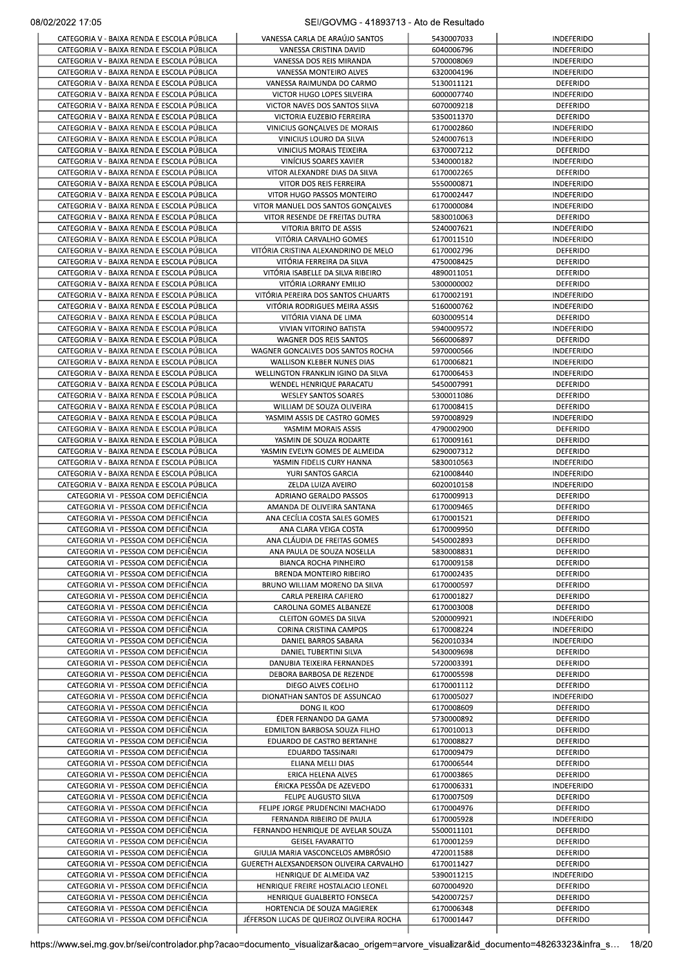| 08/02/2022 17:05 |  |
|------------------|--|
|                  |  |

| CATEGORIA V - BAIXA RENDA E ESCOLA PÚBLICA                                               | VANESSA CARLA DE ARAÚJO SANTOS                                      | 5430007033               | INDEFERIDO                             |
|------------------------------------------------------------------------------------------|---------------------------------------------------------------------|--------------------------|----------------------------------------|
| CATEGORIA V - BAIXA RENDA E ESCOLA PÚBLICA                                               | VANESSA CRISTINA DAVID                                              | 6040006796               | <b>INDEFERIDO</b>                      |
| CATEGORIA V - BAIXA RENDA E ESCOLA PÚBLICA                                               | VANESSA DOS REIS MIRANDA                                            | 5700008069               | <b>INDEFERIDO</b>                      |
| CATEGORIA V - BAIXA RENDA E ESCOLA PÚBLICA                                               | VANESSA MONTEIRO ALVES                                              | 6320004196               | <b>INDEFERIDO</b>                      |
| CATEGORIA V - BAIXA RENDA E ESCOLA PÚBLICA                                               | VANESSA RAIMUNDA DO CARMO                                           | 5130011121               | <b>DEFERIDO</b>                        |
| CATEGORIA V - BAIXA RENDA E ESCOLA PÚBLICA                                               | VICTOR HUGO LOPES SILVEIRA                                          | 6000007740<br>6070009218 | <b>INDEFERIDO</b><br><b>DEFERIDO</b>   |
| CATEGORIA V - BAIXA RENDA E ESCOLA PÚBLICA<br>CATEGORIA V - BAIXA RENDA E ESCOLA PÚBLICA | VICTOR NAVES DOS SANTOS SILVA<br>VICTORIA EUZEBIO FERREIRA          | 5350011370               | <b>DEFERIDO</b>                        |
| CATEGORIA V - BAIXA RENDA E ESCOLA PÚBLICA                                               | VINICIUS GONÇALVES DE MORAIS                                        | 6170002860               | <b>INDEFERIDO</b>                      |
| CATEGORIA V - BAIXA RENDA E ESCOLA PÚBLICA                                               | VINICIUS LOURO DA SILVA                                             | 5240007613               | <b>INDEFERIDO</b>                      |
| CATEGORIA V - BAIXA RENDA E ESCOLA PÚBLICA                                               | <b>VINICIUS MORAIS TEIXEIRA</b>                                     | 6370007212               | <b>DEFERIDO</b>                        |
| CATEGORIA V - BAIXA RENDA E ESCOLA PÚBLICA                                               | VINÍCIUS SOARES XAVIER                                              | 5340000182               | INDEFERIDO                             |
| CATEGORIA V - BAIXA RENDA E ESCOLA PÚBLICA                                               | VITOR ALEXANDRE DIAS DA SILVA                                       | 6170002265               | <b>DEFERIDO</b>                        |
| CATEGORIA V - BAIXA RENDA E ESCOLA PÚBLICA                                               | VITOR DOS REIS FERREIRA                                             | 5550000871               | INDEFERIDO                             |
| CATEGORIA V - BAIXA RENDA E ESCOLA PÚBLICA                                               | VITOR HUGO PASSOS MONTEIRO                                          | 6170002447               | <b>INDEFERIDO</b>                      |
| CATEGORIA V - BAIXA RENDA E ESCOLA PÚBLICA                                               | VITOR MANUEL DOS SANTOS GONÇALVES                                   | 6170000084               | <b>INDEFERIDO</b>                      |
| CATEGORIA V - BAIXA RENDA E ESCOLA PÚBLICA                                               | VITOR RESENDE DE FREITAS DUTRA                                      | 5830010063               | DEFERIDO                               |
| CATEGORIA V - BAIXA RENDA E ESCOLA PÚBLICA                                               | VITORIA BRITO DE ASSIS                                              | 5240007621               | <b>INDEFERIDO</b>                      |
| CATEGORIA V - BAIXA RENDA E ESCOLA PÚBLICA                                               | VITÓRIA CARVALHO GOMES                                              | 6170011510               | <b>INDEFERIDO</b>                      |
| CATEGORIA V - BAIXA RENDA E ESCOLA PÚBLICA                                               | VITÓRIA CRISTINA ALEXANDRINO DE MELO                                | 6170002796               | <b>DEFERIDO</b>                        |
| CATEGORIA V - BAIXA RENDA E ESCOLA PÚBLICA                                               | VITÓRIA FERREIRA DA SILVA                                           | 4750008425               | DEFERIDO                               |
| CATEGORIA V - BAIXA RENDA E ESCOLA PÚBLICA                                               | VITORIA ISABELLE DA SILVA RIBEIRO                                   | 4890011051               | <b>DEFERIDO</b>                        |
| CATEGORIA V - BAIXA RENDA E ESCOLA PÚBLICA                                               | VITORIA LORRANY EMILIO                                              | 5300000002               | <b>DEFERIDO</b>                        |
| CATEGORIA V - BAIXA RENDA E ESCOLA PÚBLICA<br>CATEGORIA V - BAIXA RENDA E ESCOLA PÚBLICA | VITÓRIA PEREIRA DOS SANTOS CHUARTS<br>VITÓRIA RODRIGUES MEIRA ASSIS | 6170002191<br>5160000762 | <b>INDEFERIDO</b><br><b>INDEFERIDO</b> |
| CATEGORIA V - BAIXA RENDA E ESCOLA PÚBLICA                                               | VITÓRIA VIANA DE LIMA                                               | 6030009514               | <b>DEFERIDO</b>                        |
| CATEGORIA V - BAIXA RENDA E ESCOLA PÚBLICA                                               | VIVIAN VITORINO BATISTA                                             | 5940009572               | <b>INDEFERIDO</b>                      |
| CATEGORIA V - BAIXA RENDA E ESCOLA PÚBLICA                                               | WAGNER DOS REIS SANTOS                                              | 5660006897               | <b>DEFERIDO</b>                        |
| CATEGORIA V - BAIXA RENDA E ESCOLA PÚBLICA                                               | WAGNER GONCALVES DOS SANTOS ROCHA                                   | 5970000566               | <b>INDEFERIDO</b>                      |
| CATEGORIA V - BAIXA RENDA E ESCOLA PÚBLICA                                               | WALLISON KLEBER NUNES DIAS                                          | 6170006821               | <b>INDEFERIDO</b>                      |
| CATEGORIA V - BAIXA RENDA E ESCOLA PÚBLICA                                               | WELLINGTON FRANKLIN IGINO DA SILVA                                  | 6170006453               | <b>INDEFERIDO</b>                      |
| CATEGORIA V - BAIXA RENDA E ESCOLA PÚBLICA                                               | WENDEL HENRIQUE PARACATU                                            | 5450007991               | <b>DEFERIDO</b>                        |
| CATEGORIA V - BAIXA RENDA E ESCOLA PÚBLICA                                               | <b>WESLEY SANTOS SOARES</b>                                         | 5300011086               | <b>DEFERIDO</b>                        |
| CATEGORIA V - BAIXA RENDA E ESCOLA PÚBLICA                                               | WILLIAM DE SOUZA OLIVEIRA                                           | 6170008415               | DEFERIDO                               |
| CATEGORIA V - BAIXA RENDA E ESCOLA PÚBLICA                                               | YASMIM ASSIS DE CASTRO GOMES                                        | 5970008929               | <b>INDEFERIDO</b>                      |
| CATEGORIA V - BAIXA RENDA E ESCOLA PÚBLICA                                               | YASMIM MORAIS ASSIS                                                 | 4790002900               | DEFERIDO                               |
| CATEGORIA V - BAIXA RENDA E ESCOLA PÚBLICA                                               | YASMIN DE SOUZA RODARTE                                             | 6170009161               | <b>DEFERIDO</b>                        |
| CATEGORIA V - BAIXA RENDA E ESCOLA PÚBLICA                                               | YASMIN EVELYN GOMES DE ALMEIDA                                      | 6290007312               | <b>DEFERIDO</b>                        |
| CATEGORIA V - BAIXA RENDA E ESCOLA PÚBLICA                                               | YASMIN FIDELIS CURY HANNA                                           | 5830010563               | INDEFERIDO                             |
| CATEGORIA V - BAIXA RENDA E ESCOLA PÚBLICA<br>CATEGORIA V - BAIXA RENDA E ESCOLA PÚBLICA | YURI SANTOS GARCIA<br>ZELDA LUIZA AVEIRO                            | 6210008440<br>6020010158 | <b>INDEFERIDO</b><br><b>INDEFERIDO</b> |
| CATEGORIA VI - PESSOA COM DEFICIÊNCIA                                                    | ADRIANO GERALDO PASSOS                                              | 6170009913               | DEFERIDO                               |
| CATEGORIA VI - PESSOA COM DEFICIÊNCIA                                                    | AMANDA DE OLIVEIRA SANTANA                                          | 6170009465               | <b>DEFERIDO</b>                        |
| CATEGORIA VI - PESSOA COM DEFICIÊNCIA                                                    | ANA CECÍLIA COSTA SALES GOMES                                       | 6170001521               | DEFERIDO                               |
| CATEGORIA VI - PESSOA COM DEFICIÊNCIA                                                    | ANA CLARA VEIGA COSTA                                               | 6170009950               | <b>DEFERIDO</b>                        |
| CATEGORIA VI - PESSOA COM DEFICIÊNCIA                                                    | ANA CLÁUDIA DE FREITAS GOMES                                        | 5450002893               | <b>DEFERIDO</b>                        |
| CATEGORIA VI - PESSOA COM DEFICIÊNCIA                                                    | ANA PAULA DE SOUZA NOSELLA                                          | 5830008831               | <b>DEFERIDO</b>                        |
| CATEGORIA VI - PESSOA COM DEFICIÊNCIA                                                    | <b>BIANCA ROCHA PINHEIRO</b>                                        | 6170009158               | DEFERIDO                               |
| CATEGORIA VI - PESSOA COM DEFICIÊNCIA                                                    | <b>BRENDA MONTEIRO RIBEIRO</b>                                      | 6170002435               | DEFERIDO                               |
| CATEGORIA VI - PESSOA COM DEFICIÊNCIA                                                    | BRUNO WILLIAM MORENO DA SILVA                                       | 6170000597               | <b>DEFERIDO</b>                        |
| CATEGORIA VI - PESSOA COM DEFICIÊNCIA                                                    | CARLA PEREIRA CAFIERO                                               | 6170001827               | <b>DEFERIDO</b>                        |
| CATEGORIA VI - PESSOA COM DEFICIÊNCIA                                                    | CAROLINA GOMES ALBANEZE                                             | 6170003008               | <b>DEFERIDO</b>                        |
| CATEGORIA VI - PESSOA COM DEFICIÊNCIA                                                    | <b>CLEITON GOMES DA SILVA</b>                                       | 5200009921               | <b>INDEFERIDO</b>                      |
| CATEGORIA VI - PESSOA COM DEFICIÊNCIA                                                    | CORINA CRISTINA CAMPOS                                              | 6170008224               | <b>INDEFERIDO</b>                      |
| CATEGORIA VI - PESSOA COM DEFICIÊNCIA<br>CATEGORIA VI - PESSOA COM DEFICIÊNCIA           | DANIEL BARROS SABARA                                                | 5620010334               | <b>INDEFERIDO</b>                      |
| CATEGORIA VI - PESSOA COM DEFICIÊNCIA                                                    | DANIEL TUBERTINI SILVA<br>DANUBIA TEIXEIRA FERNANDES                | 5430009698<br>5720003391 | DEFERIDO<br>DEFERIDO                   |
| CATEGORIA VI - PESSOA COM DEFICIÊNCIA                                                    | DEBORA BARBOSA DE REZENDE                                           | 6170005598               | DEFERIDO                               |
| CATEGORIA VI - PESSOA COM DEFICIÊNCIA                                                    | DIEGO ALVES COELHO                                                  | 6170001112               | DEFERIDO                               |
| CATEGORIA VI - PESSOA COM DEFICIÊNCIA                                                    | DIONATHAN SANTOS DE ASSUNCAO                                        | 6170005027               | <b>INDEFERIDO</b>                      |
| CATEGORIA VI - PESSOA COM DEFICIÊNCIA                                                    | DONG IL KOO                                                         | 6170008609               | DEFERIDO                               |
| CATEGORIA VI - PESSOA COM DEFICIÊNCIA                                                    | ÉDER FERNANDO DA GAMA                                               | 5730000892               | <b>DEFERIDO</b>                        |
| CATEGORIA VI - PESSOA COM DEFICIÊNCIA                                                    | EDMILTON BARBOSA SOUZA FILHO                                        | 6170010013               | DEFERIDO                               |
| CATEGORIA VI - PESSOA COM DEFICIÊNCIA                                                    | EDUARDO DE CASTRO BERTANHE                                          | 6170008827               | DEFERIDO                               |
| CATEGORIA VI - PESSOA COM DEFICIÊNCIA                                                    | <b>EDUARDO TASSINARI</b>                                            | 6170009479               | DEFERIDO                               |
| CATEGORIA VI - PESSOA COM DEFICIÊNCIA                                                    | ELIANA MELLI DIAS                                                   | 6170006544               | DEFERIDO                               |
| CATEGORIA VI - PESSOA COM DEFICIÊNCIA                                                    | ERICA HELENA ALVES                                                  | 6170003865               | DEFERIDO                               |
| CATEGORIA VI - PESSOA COM DEFICIÊNCIA                                                    | ÉRICKA PESSÔA DE AZEVEDO                                            | 6170006331               | <b>INDEFERIDO</b>                      |
| CATEGORIA VI - PESSOA COM DEFICIÊNCIA                                                    | FELIPE AUGUSTO SILVA                                                | 6170007509               | DEFERIDO                               |
| CATEGORIA VI - PESSOA COM DEFICIÊNCIA                                                    | FELIPE JORGE PRUDENCINI MACHADO                                     | 6170004976               | DEFERIDO                               |
| CATEGORIA VI - PESSOA COM DEFICIÊNCIA                                                    | FERNANDA RIBEIRO DE PAULA                                           | 6170005928               | <b>INDEFERIDO</b>                      |
| CATEGORIA VI - PESSOA COM DEFICIÊNCIA<br>CATEGORIA VI - PESSOA COM DEFICIÊNCIA           | FERNANDO HENRIQUE DE AVELAR SOUZA<br><b>GEISEL FAVARATTO</b>        | 5500011101<br>6170001259 | <b>DEFERIDO</b><br>DEFERIDO            |
| CATEGORIA VI - PESSOA COM DEFICIÊNCIA                                                    | GIULIA MARIA VASCONCELOS AMBRÓSIO                                   | 4720011588               | DEFERIDO                               |
| CATEGORIA VI - PESSOA COM DEFICIÊNCIA                                                    | GUERETH ALEXSANDERSON OLIVEIRA CARVALHO                             | 6170011427               | DEFERIDO                               |
| CATEGORIA VI - PESSOA COM DEFICIÊNCIA                                                    | HENRIQUE DE ALMEIDA VAZ                                             | 5390011215               | <b>INDEFERIDO</b>                      |
| CATEGORIA VI - PESSOA COM DEFICIÊNCIA                                                    | HENRIQUE FREIRE HOSTALACIO LEONEL                                   | 6070004920               | DEFERIDO                               |
| CATEGORIA VI - PESSOA COM DEFICIÊNCIA                                                    | HENRIQUE GUALBERTO FONSECA                                          | 5420007257               | DEFERIDO                               |
|                                                                                          | HORTENCIA DE SOUZA MAGIEREK                                         | 6170006348               | DEFERIDO                               |
| CATEGORIA VI - PESSOA COM DEFICIÊNCIA                                                    | JÉFERSON LUCAS DE QUEIROZ OLIVEIRA ROCHA                            | 6170001447               | DEFERIDO                               |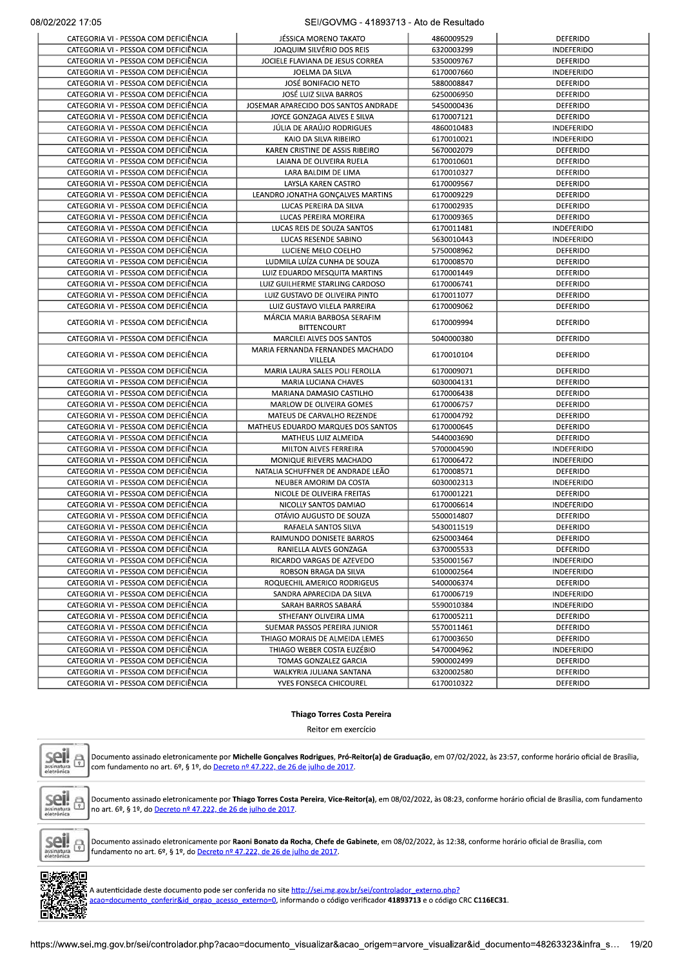# OVMG - 41893713 - Ato de Resultado»

| 08/02/2022 17:05 |  |
|------------------|--|
|                  |  |

| 8/02/2022 17:05                       | SEI/GOVMG - 41893713 - Ato de Resultado            |            |                   |
|---------------------------------------|----------------------------------------------------|------------|-------------------|
| CATEGORIA VI - PESSOA COM DEFICIÊNCIA | JÉSSICA MORENO TAKATO                              | 4860009529 | DEFERIDO          |
| CATEGORIA VI - PESSOA COM DEFICIÊNCIA | JOAQUIM SILVÉRIO DOS REIS                          | 6320003299 | <b>INDEFERIDO</b> |
| CATEGORIA VI - PESSOA COM DEFICIÊNCIA | JOCIELE FLAVIANA DE JESUS CORREA                   | 5350009767 | <b>DEFERIDO</b>   |
| CATEGORIA VI - PESSOA COM DEFICIÊNCIA | JOELMA DA SILVA                                    | 6170007660 | <b>INDEFERIDO</b> |
| CATEGORIA VI - PESSOA COM DEFICIÊNCIA | JOSÉ BONIFACIO NETO                                | 5880008847 | <b>DEFERIDO</b>   |
| CATEGORIA VI - PESSOA COM DEFICIÊNCIA | JOSÉ LUIZ SILVA BARROS                             | 6250006950 | <b>DEFERIDO</b>   |
| CATEGORIA VI - PESSOA COM DEFICIÊNCIA | JOSEMAR APARECIDO DOS SANTOS ANDRADE               | 5450000436 | DEFERIDO          |
| CATEGORIA VI - PESSOA COM DEFICIÊNCIA | JOYCE GONZAGA ALVES E SILVA                        | 6170007121 | DEFERIDO          |
| CATEGORIA VI - PESSOA COM DEFICIÊNCIA | JÚLIA DE ARAÚJO RODRIGUES                          | 4860010483 | <b>INDEFERIDO</b> |
| CATEGORIA VI - PESSOA COM DEFICIÊNCIA | KAIO DA SILVA RIBEIRO                              | 6170010021 | <b>INDEFERIDO</b> |
| CATEGORIA VI - PESSOA COM DEFICIÊNCIA | KAREN CRISTINE DE ASSIS RIBEIRO                    | 5670002079 | DEFERIDO          |
| CATEGORIA VI - PESSOA COM DEFICIÊNCIA | LAIANA DE OLIVEIRA RUELA                           | 6170010601 | <b>DEFERIDO</b>   |
| CATEGORIA VI - PESSOA COM DEFICIÊNCIA | LARA BALDIM DE LIMA                                | 6170010327 | <b>DEFERIDO</b>   |
| CATEGORIA VI - PESSOA COM DEFICIÊNCIA | LAYSLA KAREN CASTRO                                | 6170009567 | <b>DEFERIDO</b>   |
| CATEGORIA VI - PESSOA COM DEFICIÊNCIA | LEANDRO JONATHA GONÇALVES MARTINS                  | 6170009229 | DEFERIDO          |
| CATEGORIA VI - PESSOA COM DEFICIÊNCIA | LUCAS PEREIRA DA SILVA                             | 6170002935 | DEFERIDO          |
| CATEGORIA VI - PESSOA COM DEFICIÊNCIA | LUCAS PEREIRA MOREIRA                              | 6170009365 | <b>DEFERIDO</b>   |
| CATEGORIA VI - PESSOA COM DEFICIÊNCIA | LUCAS REIS DE SOUZA SANTOS                         | 6170011481 | <b>INDEFERIDO</b> |
| CATEGORIA VI - PESSOA COM DEFICIÊNCIA | LUCAS RESENDE SABINO                               | 5630010443 | <b>INDEFERIDO</b> |
| CATEGORIA VI - PESSOA COM DEFICIÊNCIA | LUCIENE MELO COELHO                                | 5750008962 | <b>DEFERIDO</b>   |
| CATEGORIA VI - PESSOA COM DEFICIÊNCIA | LUDMILA LUÍZA CUNHA DE SOUZA                       | 6170008570 | DEFERIDO          |
| CATEGORIA VI - PESSOA COM DEFICIÊNCIA | LUIZ EDUARDO MESQUITA MARTINS                      | 6170001449 | <b>DEFERIDO</b>   |
| CATEGORIA VI - PESSOA COM DEFICIÊNCIA | LUIZ GUILHERME STARLING CARDOSO                    | 6170006741 | <b>DEFERIDO</b>   |
| CATEGORIA VI - PESSOA COM DEFICIÊNCIA | LUIZ GUSTAVO DE OLIVEIRA PINTO                     | 6170011077 | <b>DEFERIDO</b>   |
| CATEGORIA VI - PESSOA COM DEFICIÊNCIA | LUIZ GUSTAVO VILELA PARREIRA                       | 6170009062 | <b>DEFERIDO</b>   |
| CATEGORIA VI - PESSOA COM DEFICIÊNCIA | MÁRCIA MARIA BARBOSA SERAFIM<br><b>BITTENCOURT</b> | 6170009994 | DEFERIDO          |
| CATEGORIA VI - PESSOA COM DEFICIÊNCIA | MARCILEI ALVES DOS SANTOS                          | 5040000380 | <b>DEFERIDO</b>   |
| CATEGORIA VI - PESSOA COM DEFICIÊNCIA | MARIA FERNANDA FERNANDES MACHADO<br>VILLELA        | 6170010104 | <b>DEFERIDO</b>   |
| CATEGORIA VI - PESSOA COM DEFICIÊNCIA | MARIA LAURA SALES POLI FEROLLA                     | 6170009071 | <b>DEFERIDO</b>   |
| CATEGORIA VI - PESSOA COM DEFICIÊNCIA | <b>MARIA LUCIANA CHAVES</b>                        | 6030004131 | <b>DEFERIDO</b>   |
| CATEGORIA VI - PESSOA COM DEFICIÊNCIA | MARIANA DAMASIO CASTILHO                           | 6170006438 | <b>DEFERIDO</b>   |
| CATEGORIA VI - PESSOA COM DEFICIÊNCIA | MARLOW DE OLIVEIRA GOMES                           | 6170006757 | DEFERIDO          |
| CATEGORIA VI - PESSOA COM DEFICIÊNCIA | MATEUS DE CARVALHO REZENDE                         | 6170004792 | DEFERIDO          |
| CATEGORIA VI - PESSOA COM DEFICIÊNCIA | MATHEUS EDUARDO MARQUES DOS SANTOS                 | 6170000645 | DEFERIDO          |
| CATEGORIA VI - PESSOA COM DEFICIÊNCIA | MATHEUS LUIZ ALMEIDA                               | 5440003690 | DEFERIDO          |
| CATEGORIA VI - PESSOA COM DEFICIÊNCIA | MILTON ALVES FERREIRA                              | 5700004590 | INDEFERIDO        |
| CATEGORIA VI - PESSOA COM DEFICIÊNCIA | MONIQUE RIEVERS MACHADO                            | 6170006472 | <b>INDEFERIDO</b> |
| CATEGORIA VI - PESSOA COM DEFICIÊNCIA | NATALIA SCHUFFNER DE ANDRADE LEÃO                  | 6170008571 | <b>DEFERIDO</b>   |
| CATEGORIA VI - PESSOA COM DEFICIÊNCIA | NEUBER AMORIM DA COSTA                             | 6030002313 | <b>INDEFERIDO</b> |
| CATEGORIA VI - PESSOA COM DEFICIÊNCIA | NICOLE DE OLIVEIRA FREITAS                         | 6170001221 | <b>DEFERIDO</b>   |
| CATEGORIA VI - PESSOA COM DEFICIÊNCIA | NICOLLY SANTOS DAMIAO                              | 6170006614 | <b>INDEFERIDO</b> |
| CATEGORIA VI - PESSOA COM DEFICIÊNCIA | OTÁVIO AUGUSTO DE SOUZA                            | 5500014807 | DEFERIDO          |
| CATEGORIA VI - PESSOA COM DEFICIÊNCIA | RAFAELA SANTOS SILVA                               | 5430011519 | <b>DEFERIDO</b>   |
| CATEGORIA VI - PESSOA COM DEFICIËNCIA | RAIMUNDO DONISETE BARROS                           | 6250003464 | DEFERIDO          |
| CATEGORIA VI - PESSOA COM DEFICIÊNCIA | RANIELLA ALVES GONZAGA                             | 6370005533 | DEFERIDO          |
| CATEGORIA VI - PESSOA COM DEFICIÊNCIA | RICARDO VARGAS DE AZEVEDO                          | 5350001567 | INDEFERIDO        |
| CATEGORIA VI - PESSOA COM DEFICIÊNCIA | ROBSON BRAGA DA SILVA                              | 6100002564 | <b>INDEFERIDO</b> |
| CATEGORIA VI - PESSOA COM DEFICIÊNCIA | ROQUECHIL AMERICO RODRIGEUS                        | 5400006374 | DEFERIDO          |
| CATEGORIA VI - PESSOA COM DEFICIÊNCIA | SANDRA APARECIDA DA SILVA                          | 6170006719 | INDEFERIDO        |
| CATEGORIA VI - PESSOA COM DEFICIÊNCIA | SARAH BARROS SABARÁ                                | 5590010384 | INDEFERIDO        |
| CATEGORIA VI - PESSOA COM DEFICIÊNCIA | STHEFANY OLIVEIRA LIMA                             | 6170005211 | <b>DEFERIDO</b>   |
| CATEGORIA VI - PESSOA COM DEFICIÊNCIA | SUEMAR PASSOS PEREIRA JUNIOR                       | 5570011461 | <b>DEFERIDO</b>   |
| CATEGORIA VI - PESSOA COM DEFICIÊNCIA | THIAGO MORAIS DE ALMEIDA LEMES                     | 6170003650 | DEFERIDO          |
| CATEGORIA VI - PESSOA COM DEFICIÊNCIA | THIAGO WEBER COSTA EUZÉBIO                         | 5470004962 | <b>INDEFERIDO</b> |
| CATEGORIA VI - PESSOA COM DEFICIÊNCIA | TOMAS GONZALEZ GARCIA                              | 5900002499 | <b>DEFERIDO</b>   |
| CATEGORIA VI - PESSOA COM DEFICIÊNCIA | WALKYRIA JULIANA SANTANA                           | 6320002580 | DEFERIDO          |
| CATEGORIA VI - PESSOA COM DEFICIÊNCIA | YVES FONSECA CHICOUREL                             | 6170010322 | DEFERIDO          |

# Thiago Torres Costa Pereira

Reitor em exercício